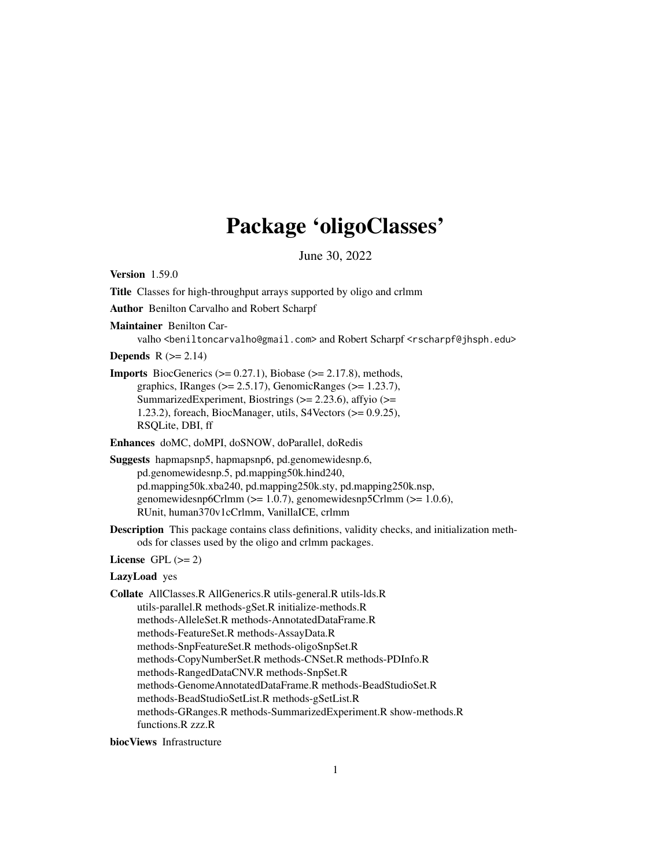# Package 'oligoClasses'

June 30, 2022

<span id="page-0-0"></span>Version 1.59.0 Title Classes for high-throughput arrays supported by oligo and crlmm Author Benilton Carvalho and Robert Scharpf Maintainer Benilton Carvalho <beniltoncarvalho@gmail.com> and Robert Scharpf <rscharpf@jhsph.edu> **Depends**  $R$  ( $>= 2.14$ ) **Imports** BiocGenerics ( $>= 0.27.1$ ), Biobase ( $>= 2.17.8$ ), methods, graphics, IRanges ( $>= 2.5.17$ ), GenomicRanges ( $>= 1.23.7$ ), SummarizedExperiment, Biostrings  $(>= 2.23.6)$ , affyio  $(>= 1.23.6)$ 1.23.2), foreach, BiocManager, utils, S4Vectors (>= 0.9.25), RSQLite, DBI, ff Enhances doMC, doMPI, doSNOW, doParallel, doRedis Suggests hapmapsnp5, hapmapsnp6, pd.genomewidesnp.6, pd.genomewidesnp.5, pd.mapping50k.hind240, pd.mapping50k.xba240, pd.mapping250k.sty, pd.mapping250k.nsp, genomewidesnp6Crlmm (>= 1.0.7), genomewidesnp5Crlmm (>= 1.0.6), RUnit, human370v1cCrlmm, VanillaICE, crlmm Description This package contains class definitions, validity checks, and initialization methods for classes used by the oligo and crlmm packages. License GPL  $(>= 2)$ LazyLoad yes Collate AllClasses.R AllGenerics.R utils-general.R utils-lds.R utils-parallel.R methods-gSet.R initialize-methods.R methods-AlleleSet.R methods-AnnotatedDataFrame.R methods-FeatureSet.R methods-AssayData.R methods-SnpFeatureSet.R methods-oligoSnpSet.R methods-CopyNumberSet.R methods-CNSet.R methods-PDInfo.R methods-RangedDataCNV.R methods-SnpSet.R methods-GenomeAnnotatedDataFrame.R methods-BeadStudioSet.R methods-BeadStudioSetList.R methods-gSetList.R methods-GRanges.R methods-SummarizedExperiment.R show-methods.R

functions.R zzz.R

biocViews Infrastructure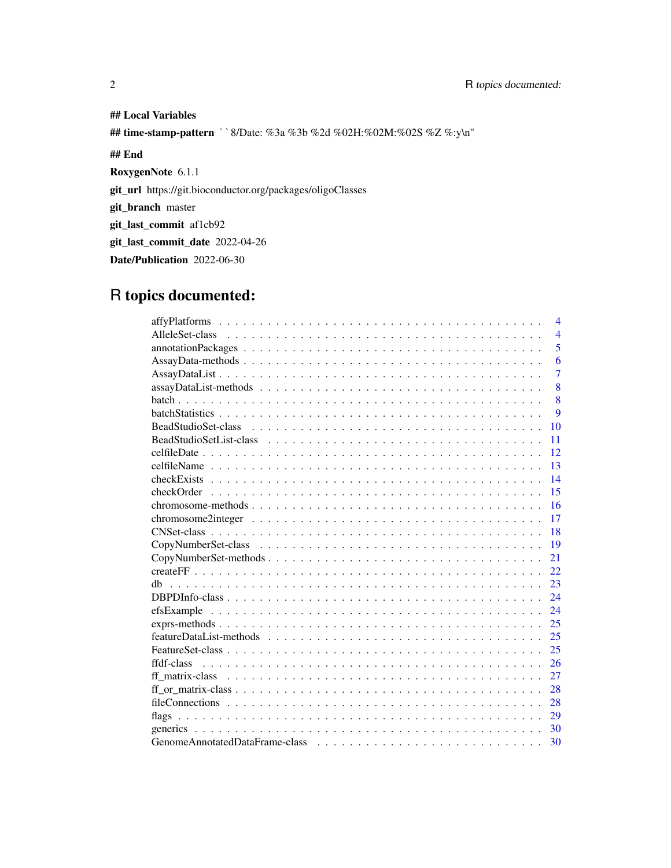## Local Variables ## time-stamp-pattern ``8/Date: %3a %3b %2d %02H:%02M:%02S %Z %:y\n'' ## End RoxygenNote 6.1.1 git\_url https://git.bioconductor.org/packages/oligoClasses git\_branch master git\_last\_commit af1cb92 git\_last\_commit\_date 2022-04-26 Date/Publication 2022-06-30

# R topics documented:

| $\overline{4}$           |
|--------------------------|
| $\overline{\mathcal{A}}$ |
| 5                        |
| 6                        |
| $\overline{7}$           |
| 8                        |
| 8                        |
| 9                        |
| 10                       |
| 11                       |
| 12                       |
| 13                       |
| 14                       |
| 15                       |
| 16                       |
| 17                       |
| 18                       |
| 19                       |
| 21                       |
| 22                       |
| 23<br>dh                 |
| 24                       |
| 24                       |
| 25                       |
| 25                       |
| 25                       |
| 26                       |
| 27                       |
| 28                       |
| 28                       |
| 29                       |
|                          |
| 30                       |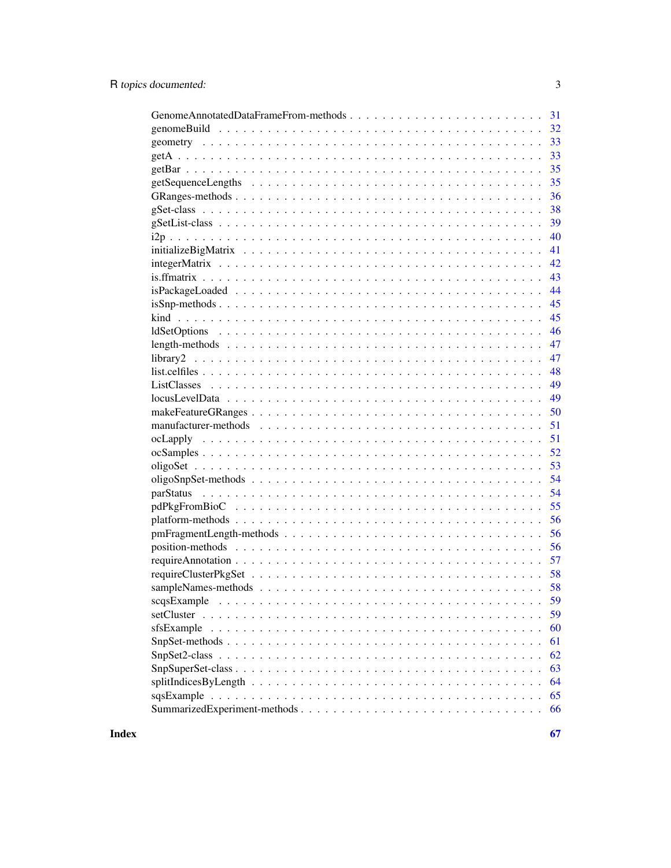| GenomeAnnotatedDataFrameFrom-methods<br>31 |
|--------------------------------------------|
| 32                                         |
| 33                                         |
| 33                                         |
| 35                                         |
| 35                                         |
| 36                                         |
| 38                                         |
| 39                                         |
| 40                                         |
| 41                                         |
| 42                                         |
| 43                                         |
| 44                                         |
| 45                                         |
| 45                                         |
| 46                                         |
| 47                                         |
| 47                                         |
| 48                                         |
| 49                                         |
| 49                                         |
| 50                                         |
| 51                                         |
| 51                                         |
| 52                                         |
| 53                                         |
| 54                                         |
| 54                                         |
| 55                                         |
| 56                                         |
| pmFragmentLength-methods<br>56             |
| 56                                         |
| 57                                         |
| 58                                         |
|                                            |
|                                            |
| 59                                         |
| sfsExample<br>60                           |
| 61                                         |
| 62                                         |
| 63                                         |
| 64                                         |
| 65                                         |
| SummarizedExperiment-methods<br>66         |
|                                            |

**Index** 

 $\overline{3}$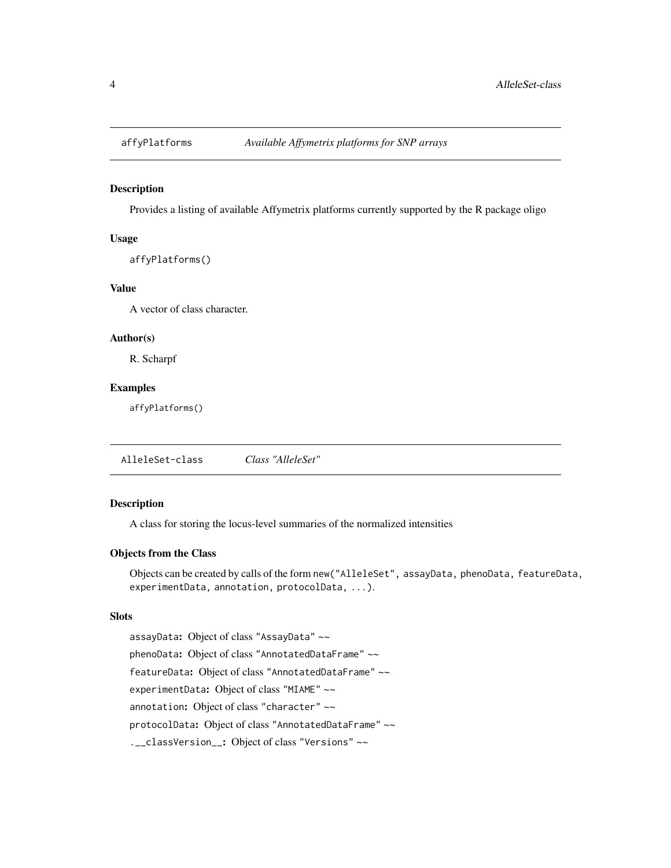<span id="page-3-0"></span>

### Description

Provides a listing of available Affymetrix platforms currently supported by the R package oligo

#### Usage

```
affyPlatforms()
```
### Value

A vector of class character.

#### Author(s)

R. Scharpf

#### Examples

affyPlatforms()

AlleleSet-class *Class "AlleleSet"*

#### Description

A class for storing the locus-level summaries of the normalized intensities

### Objects from the Class

Objects can be created by calls of the form new("AlleleSet", assayData, phenoData, featureData, experimentData, annotation, protocolData, ...).

#### Slots

assayData: Object of class "AssayData" ~~ phenoData: Object of class "AnnotatedDataFrame" ~~ featureData: Object of class "AnnotatedDataFrame" ~~ experimentData: Object of class "MIAME" ~~ annotation: Object of class "character" ~~ protocolData: Object of class "AnnotatedDataFrame" ~~ .\_\_classVersion\_\_: Object of class "Versions" ~~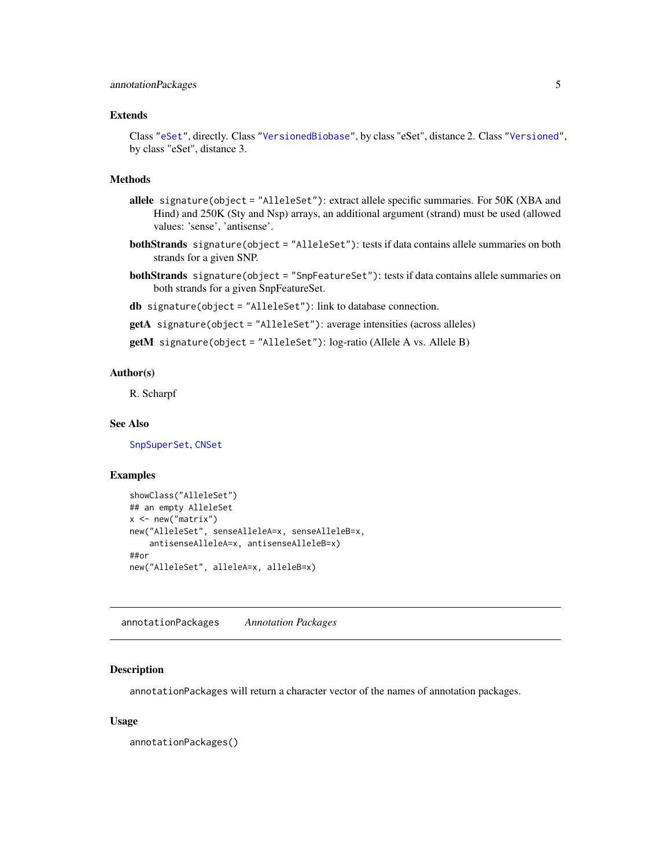### <span id="page-4-0"></span>Extends

Class ["eSet"](#page-0-0), directly. Class ["VersionedBiobase"](#page-0-0), by class "eSet", distance 2. Class ["Versioned"](#page-0-0), by class "eSet", distance 3.

### Methods

- allele signature(object = "AlleleSet"): extract allele specific summaries. For 50K (XBA and Hind) and 250K (Sty and Nsp) arrays, an additional argument (strand) must be used (allowed values: 'sense', 'antisense'.
- bothStrands signature(object = "AlleleSet"): tests if data contains allele summaries on both strands for a given SNP.
- bothStrands signature(object = "SnpFeatureSet"): tests if data contains allele summaries on both strands for a given SnpFeatureSet.
- db signature(object = "AlleleSet"): link to database connection.
- getA signature(object = "AlleleSet"): average intensities (across alleles)
- getM signature(object = "AlleleSet"): log-ratio (Allele A vs. Allele B)

#### Author(s)

R. Scharpf

### See Also

[SnpSuperSet](#page-62-1), [CNSet](#page-17-1)

#### Examples

```
showClass("AlleleSet")
## an empty AlleleSet
x \leq - new("matrix")
new("AlleleSet", senseAlleleA=x, senseAlleleB=x,
    antisenseAlleleA=x, antisenseAlleleB=x)
##or
new("AlleleSet", alleleA=x, alleleB=x)
```
annotationPackages *Annotation Packages*

#### Description

annotationPackages will return a character vector of the names of annotation packages.

#### Usage

annotationPackages()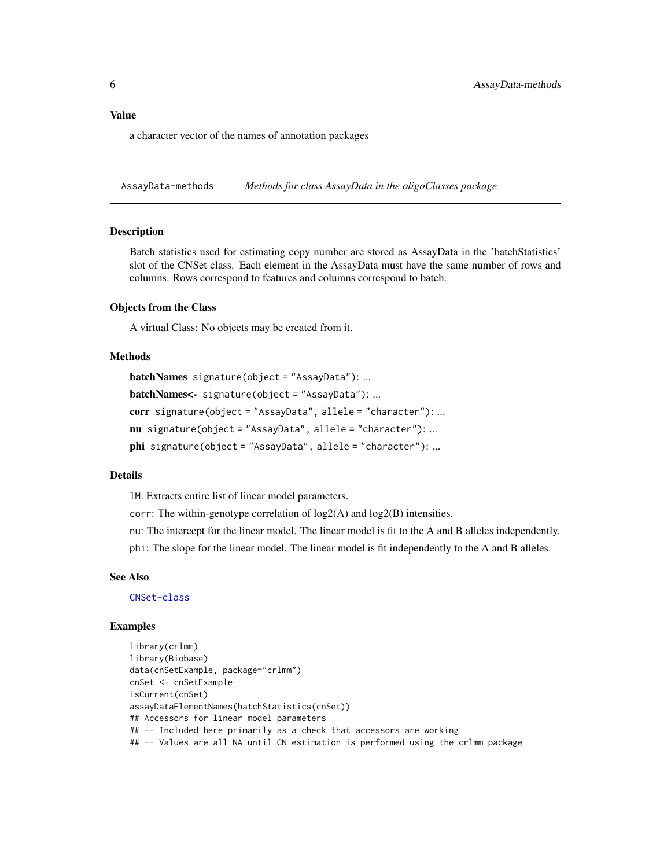#### <span id="page-5-0"></span>Value

a character vector of the names of annotation packages

AssayData-methods *Methods for class AssayData in the oligoClasses package*

#### **Description**

Batch statistics used for estimating copy number are stored as AssayData in the 'batchStatistics' slot of the CNSet class. Each element in the AssayData must have the same number of rows and columns. Rows correspond to features and columns correspond to batch.

### Objects from the Class

A virtual Class: No objects may be created from it.

### Methods

```
batchNames signature(object = "AssayData"): ...
batchNames<- signature(object = "AssayData"): ...
corr signature(object = "AssayData", allele = "character"): ...
nu signature(object = "AssayData", allele = "character"): ...
phi signature(object = "AssayData", allele = "character"): ...
```
### Details

lM: Extracts entire list of linear model parameters.

corr: The within-genotype correlation of log2(A) and log2(B) intensities.

nu: The intercept for the linear model. The linear model is fit to the A and B alleles independently.

phi: The slope for the linear model. The linear model is fit independently to the A and B alleles.

#### See Also

[CNSet-class](#page-17-1)

```
library(crlmm)
library(Biobase)
data(cnSetExample, package="crlmm")
cnSet <- cnSetExample
isCurrent(cnSet)
assayDataElementNames(batchStatistics(cnSet))
## Accessors for linear model parameters
## -- Included here primarily as a check that accessors are working
## -- Values are all NA until CN estimation is performed using the crlmm package
```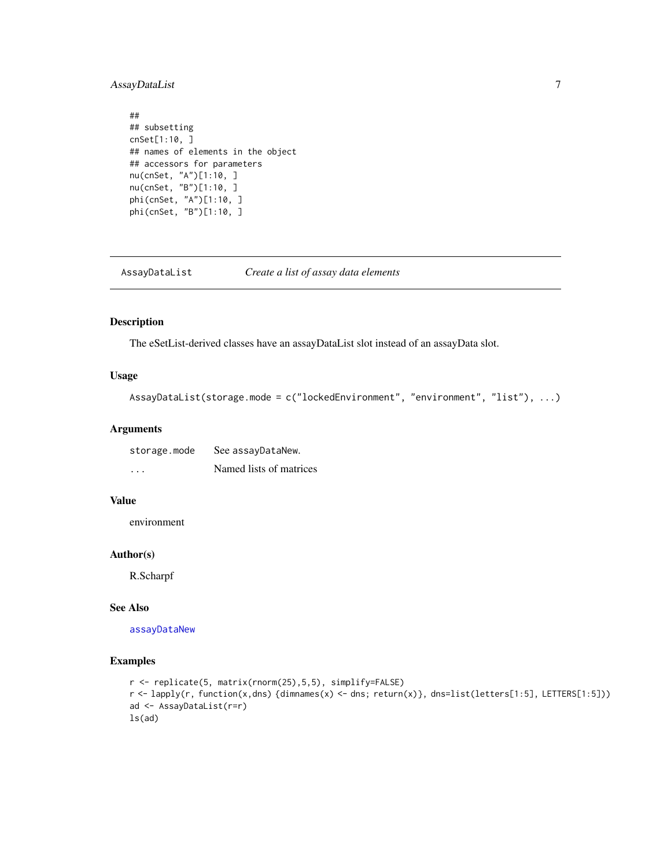### <span id="page-6-0"></span>AssayDataList 7

```
##
## subsetting
cnSet[1:10, ]
## names of elements in the object
## accessors for parameters
nu(cnSet, "A")[1:10, ]
nu(cnSet, "B")[1:10, ]
phi(cnSet, "A")[1:10, ]
phi(cnSet, "B")[1:10, ]
```
AssayDataList *Create a list of assay data elements*

#### Description

The eSetList-derived classes have an assayDataList slot instead of an assayData slot.

#### Usage

```
AssayDataList(storage.mode = c("lockedEnvironment", "environment", "list"), ...)
```
#### Arguments

| storage.mode         | See assayDataNew.       |
|----------------------|-------------------------|
| $\ddot{\phantom{0}}$ | Named lists of matrices |

### Value

environment

### Author(s)

R.Scharpf

### See Also

[assayDataNew](#page-0-0)

```
r <- replicate(5, matrix(rnorm(25),5,5), simplify=FALSE)
r <- lapply(r, function(x,dns) {dimnames(x) <- dns; return(x)}, dns=list(letters[1:5], LETTERS[1:5]))
ad <- AssayDataList(r=r)
ls(ad)
```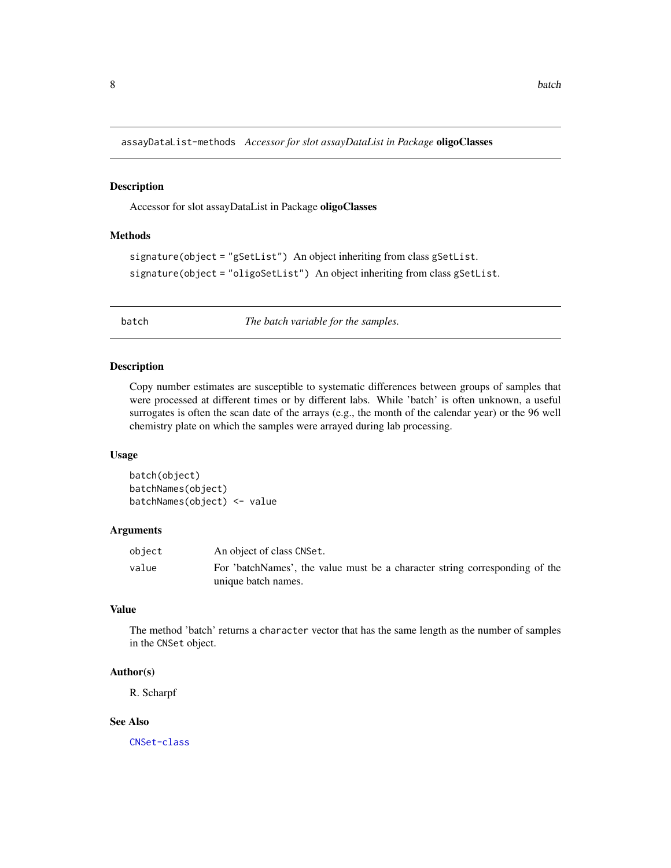<span id="page-7-0"></span>assayDataList-methods *Accessor for slot assayDataList in Package* oligoClasses

### Description

Accessor for slot assayDataList in Package oligoClasses

#### Methods

```
signature(object = "gSetList") An object inheriting from class gSetList.
signature(object = "oligoSetList") An object inheriting from class gSetList.
```
<span id="page-7-2"></span>batch *The batch variable for the samples.*

#### <span id="page-7-1"></span>Description

Copy number estimates are susceptible to systematic differences between groups of samples that were processed at different times or by different labs. While 'batch' is often unknown, a useful surrogates is often the scan date of the arrays (e.g., the month of the calendar year) or the 96 well chemistry plate on which the samples were arrayed during lab processing.

#### Usage

batch(object) batchNames(object) batchNames(object) <- value

### Arguments

| object | An object of class CNSet.                                                   |
|--------|-----------------------------------------------------------------------------|
| value  | For 'batchNames', the value must be a character string corresponding of the |
|        | unique batch names.                                                         |

### Value

The method 'batch' returns a character vector that has the same length as the number of samples in the CNSet object.

#### Author(s)

R. Scharpf

### See Also

[CNSet-class](#page-17-1)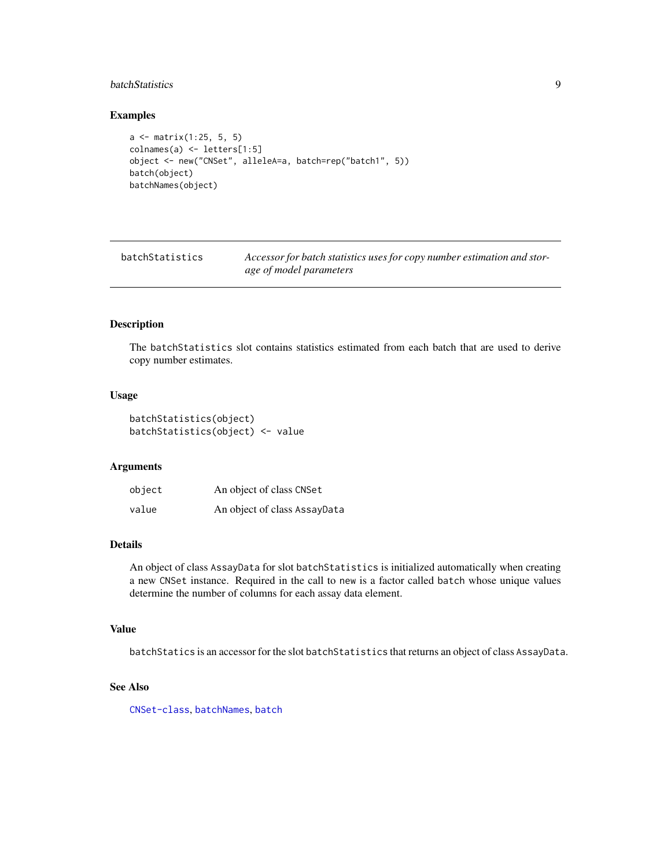### <span id="page-8-0"></span>batchStatistics 9

### Examples

```
a <- matrix(1:25, 5, 5)
colnames(a) <- letters[1:5]
object <- new("CNSet", alleleA=a, batch=rep("batch1", 5))
batch(object)
batchNames(object)
```
<span id="page-8-1"></span>

| batchStatistics | Accessor for batch statistics uses for copy number estimation and stor- |
|-----------------|-------------------------------------------------------------------------|
|                 | age of model parameters                                                 |

### Description

The batchStatistics slot contains statistics estimated from each batch that are used to derive copy number estimates.

#### Usage

```
batchStatistics(object)
batchStatistics(object) <- value
```
#### Arguments

| object | An object of class CNSet     |
|--------|------------------------------|
| value  | An object of class AssayData |

#### Details

An object of class AssayData for slot batchStatistics is initialized automatically when creating a new CNSet instance. Required in the call to new is a factor called batch whose unique values determine the number of columns for each assay data element.

#### Value

batchStatics is an accessor for the slot batchStatistics that returns an object of class AssayData.

### See Also

[CNSet-class](#page-17-1), [batchNames](#page-7-1), [batch](#page-7-2)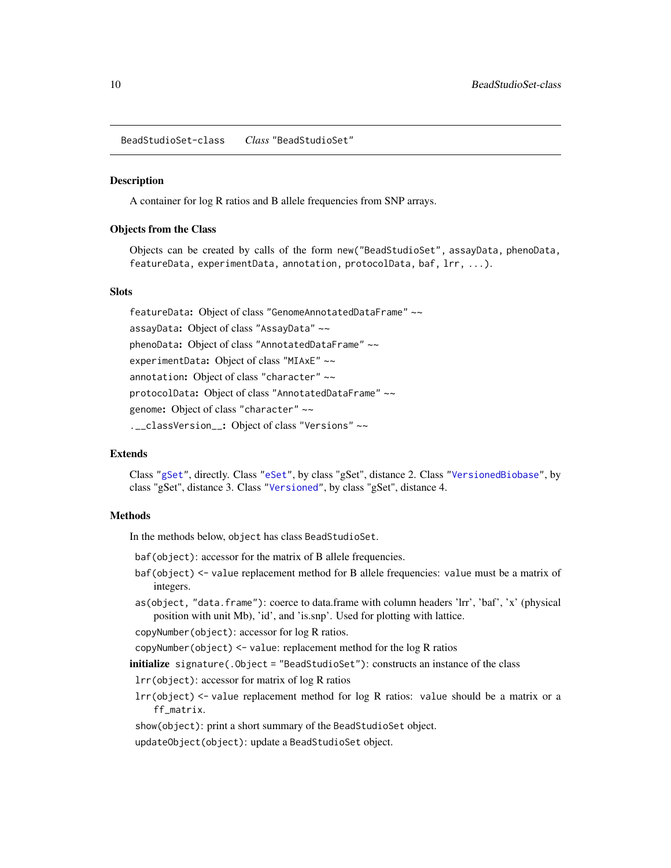<span id="page-9-0"></span>BeadStudioSet-class *Class* "BeadStudioSet"

### Description

A container for log R ratios and B allele frequencies from SNP arrays.

#### Objects from the Class

Objects can be created by calls of the form new("BeadStudioSet", assayData, phenoData, featureData, experimentData, annotation, protocolData, baf, lrr, ...).

#### **Slots**

featureData: Object of class "GenomeAnnotatedDataFrame" ~~ assayData: Object of class "AssayData" ~~ phenoData: Object of class "AnnotatedDataFrame" ~~ experimentData: Object of class "MIAxE" ~~ annotation: Object of class "character" ~~ protocolData: Object of class "AnnotatedDataFrame" ~~ genome: Object of class "character" ~~ .\_\_classVersion\_: Object of class "Versions" ~~

#### Extends

Class ["gSet"](#page-37-1), directly. Class ["eSet"](#page-0-0), by class "gSet", distance 2. Class ["VersionedBiobase"](#page-0-0), by class "gSet", distance 3. Class ["Versioned"](#page-0-0), by class "gSet", distance 4.

#### **Methods**

In the methods below, object has class BeadStudioSet.

- baf(object): accessor for the matrix of B allele frequencies.
- baf(object) <- value replacement method for B allele frequencies: value must be a matrix of integers.
- as(object, "data.frame"): coerce to data.frame with column headers 'lrr', 'baf', 'x' (physical position with unit Mb), 'id', and 'is.snp'. Used for plotting with lattice.

copyNumber(object): accessor for log R ratios.

copyNumber(object) <- value: replacement method for the log R ratios

initialize signature(.Object = "BeadStudioSet"): constructs an instance of the class

lrr(object): accessor for matrix of log R ratios

lrr(object) <- value replacement method for log R ratios: value should be a matrix or a ff\_matrix.

show(object): print a short summary of the BeadStudioSet object.

updateObject(object): update a BeadStudioSet object.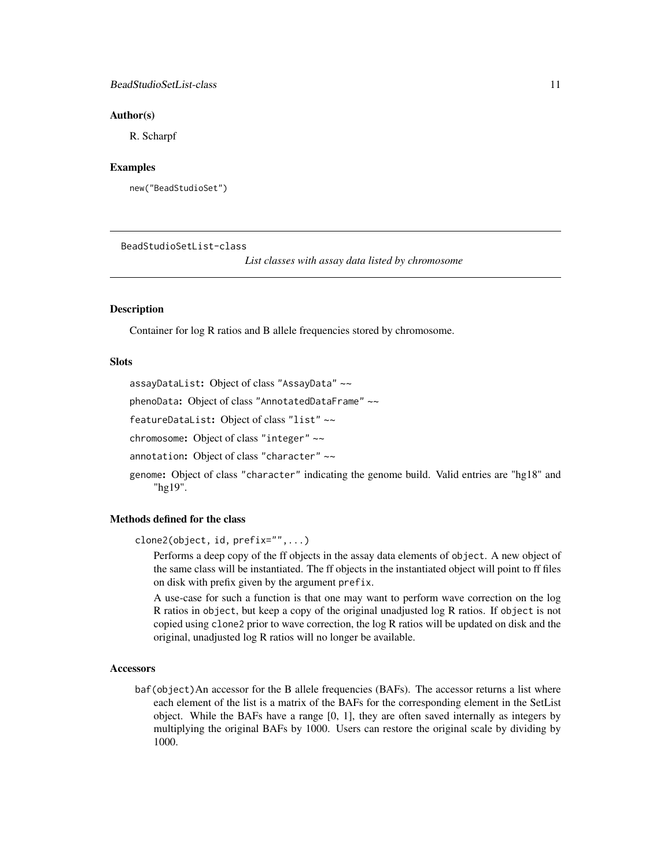### <span id="page-10-0"></span>BeadStudioSetList-class 11

#### Author(s)

R. Scharpf

### Examples

new("BeadStudioSet")

BeadStudioSetList-class

*List classes with assay data listed by chromosome*

#### **Description**

Container for log R ratios and B allele frequencies stored by chromosome.

### **Slots**

assayDataList: Object of class "AssayData" ~~

phenoData: Object of class "AnnotatedDataFrame" ~~

featureDataList: Object of class "list" ~~

chromosome: Object of class "integer" ~~

annotation: Object of class "character" ~~

genome: Object of class "character" indicating the genome build. Valid entries are "hg18" and "hg19".

### Methods defined for the class

clone2(object, id, prefix="",...)

Performs a deep copy of the ff objects in the assay data elements of object. A new object of the same class will be instantiated. The ff objects in the instantiated object will point to ff files on disk with prefix given by the argument prefix.

A use-case for such a function is that one may want to perform wave correction on the log R ratios in object, but keep a copy of the original unadjusted log R ratios. If object is not copied using clone2 prior to wave correction, the log R ratios will be updated on disk and the original, unadjusted log R ratios will no longer be available.

#### Accessors

baf(object)An accessor for the B allele frequencies (BAFs). The accessor returns a list where each element of the list is a matrix of the BAFs for the corresponding element in the SetList object. While the BAFs have a range [0, 1], they are often saved internally as integers by multiplying the original BAFs by 1000. Users can restore the original scale by dividing by 1000.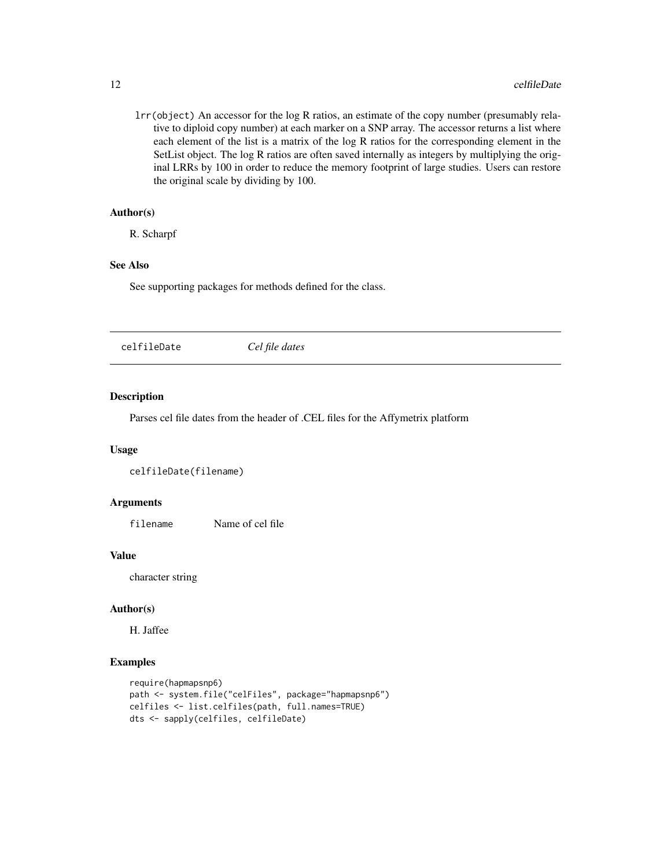lrr(object) An accessor for the log R ratios, an estimate of the copy number (presumably relative to diploid copy number) at each marker on a SNP array. The accessor returns a list where each element of the list is a matrix of the log R ratios for the corresponding element in the SetList object. The log R ratios are often saved internally as integers by multiplying the original LRRs by 100 in order to reduce the memory footprint of large studies. Users can restore the original scale by dividing by 100.

#### Author(s)

R. Scharpf

### See Also

See supporting packages for methods defined for the class.

celfileDate *Cel file dates*

### Description

Parses cel file dates from the header of .CEL files for the Affymetrix platform

#### Usage

celfileDate(filename)

#### Arguments

filename Name of cel file

#### Value

character string

### Author(s)

H. Jaffee

```
require(hapmapsnp6)
path <- system.file("celFiles", package="hapmapsnp6")
celfiles <- list.celfiles(path, full.names=TRUE)
dts <- sapply(celfiles, celfileDate)
```
<span id="page-11-0"></span>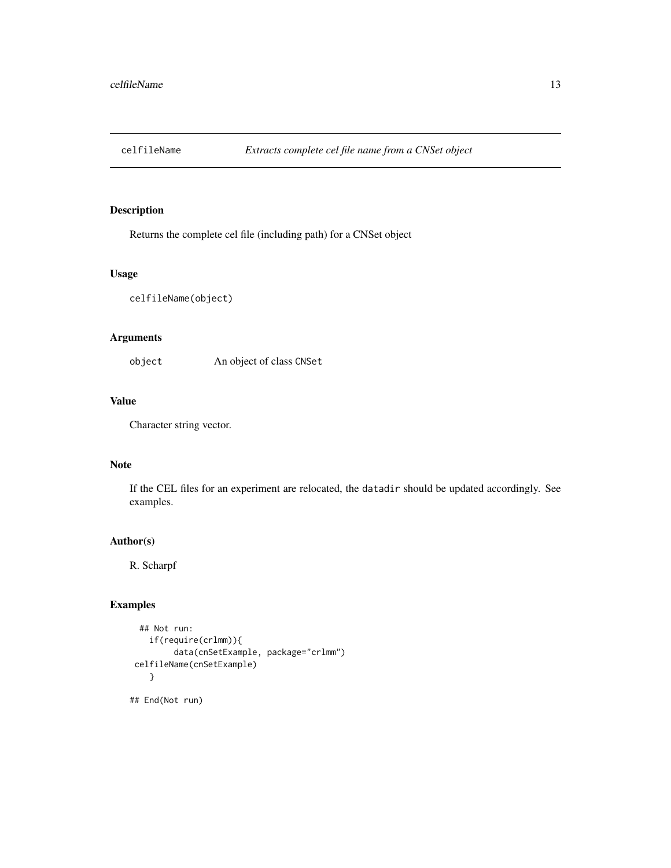<span id="page-12-0"></span>

### Description

Returns the complete cel file (including path) for a CNSet object

#### Usage

celfileName(object)

### Arguments

object An object of class CNSet

### Value

Character string vector.

### Note

If the CEL files for an experiment are relocated, the datadir should be updated accordingly. See examples.

#### Author(s)

R. Scharpf

```
## Not run:
   if(require(crlmm)){
         data(cnSetExample, package="crlmm")
celfileName(cnSetExample)
    }
## End(Not run)
```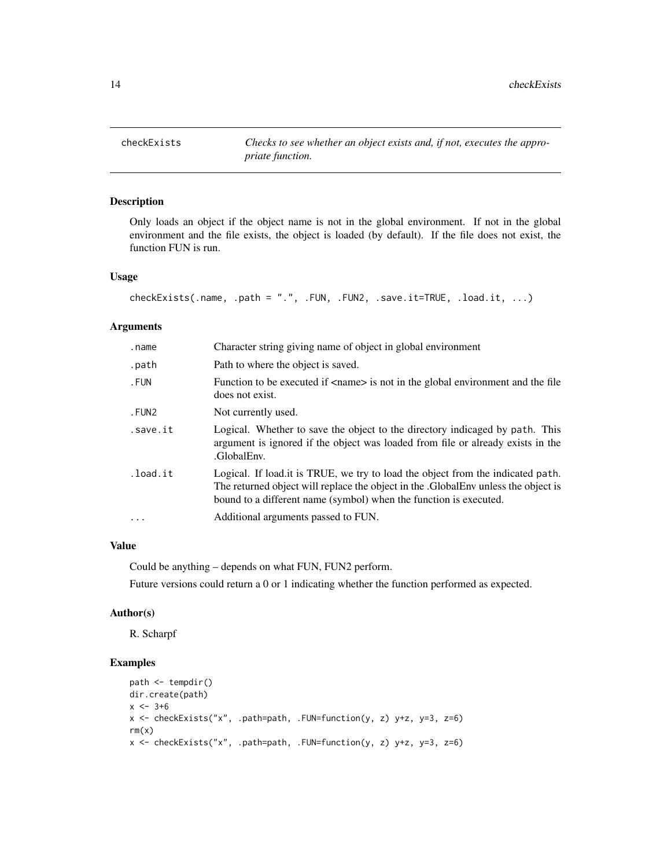<span id="page-13-0"></span>checkExists *Checks to see whether an object exists and, if not, executes the appropriate function.*

### Description

Only loads an object if the object name is not in the global environment. If not in the global environment and the file exists, the object is loaded (by default). If the file does not exist, the function FUN is run.

### Usage

```
checkExists(.name, .path = ".", .FUN, .FUN2, .save.it=TRUE, .load.it, ...)
```
#### Arguments

| .name      | Character string giving name of object in global environment                                                                                                                                                                               |
|------------|--------------------------------------------------------------------------------------------------------------------------------------------------------------------------------------------------------------------------------------------|
| .path      | Path to where the object is saved.                                                                                                                                                                                                         |
| . FUN      | Function to be executed if <name> is not in the global environment and the file<br/>does not exist.</name>                                                                                                                                 |
| .FUN2      | Not currently used.                                                                                                                                                                                                                        |
| .save.it   | Logical. Whether to save the object to the directory indicaged by path. This<br>argument is ignored if the object was loaded from file or already exists in the<br>.GlobalEnv.                                                             |
| .load.it   | Logical. If load it is TRUE, we try to load the object from the indicated path.<br>The returned object will replace the object in the .GlobalEnv unless the object is<br>bound to a different name (symbol) when the function is executed. |
| $\ddots$ . | Additional arguments passed to FUN.                                                                                                                                                                                                        |

#### Value

Could be anything – depends on what FUN, FUN2 perform.

Future versions could return a 0 or 1 indicating whether the function performed as expected.

#### Author(s)

R. Scharpf

```
path <- tempdir()
dir.create(path)
x < -3+6x <- checkExists("x", .path=path, .FUN=function(y, z) y+z, y=3, z=6)
rm(x)x <- checkExists("x", .path=path, .FUN=function(y, z) y+z, y=3, z=6)
```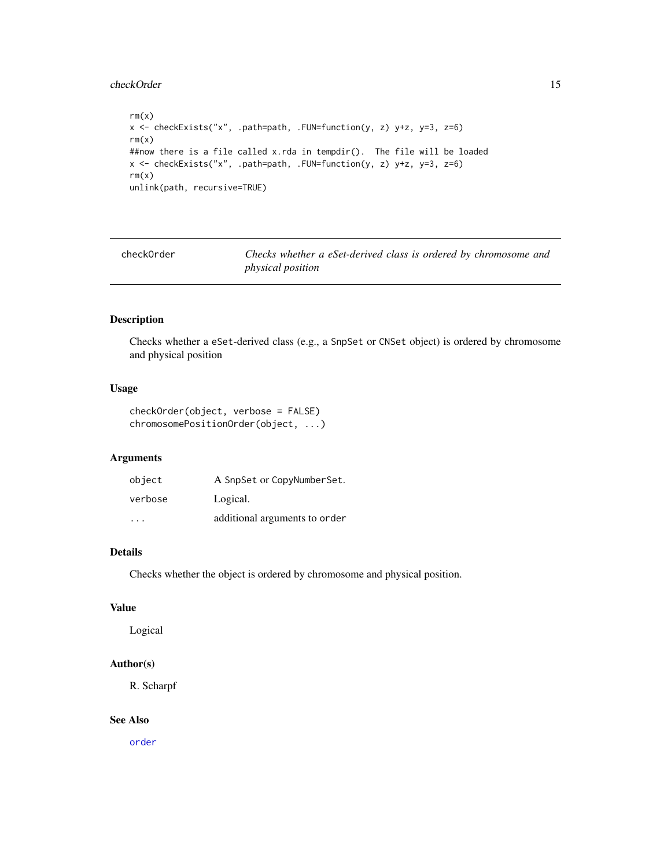#### <span id="page-14-0"></span>checkOrder 15

```
rm(x)x <- checkExists("x", .path=path, .FUN=function(y, z) y+z, y=3, z=6)
rm(x)
##now there is a file called x.rda in tempdir(). The file will be loaded
x <- checkExists("x", .path=path, .FUN=function(y, z) y+z, y=3, z=6)
rm(x)
unlink(path, recursive=TRUE)
```
checkOrder *Checks whether a eSet-derived class is ordered by chromosome and physical position*

### Description

Checks whether a eSet-derived class (e.g., a SnpSet or CNSet object) is ordered by chromosome and physical position

#### Usage

checkOrder(object, verbose = FALSE) chromosomePositionOrder(object, ...)

### Arguments

| object                  | A SnpSet or CopyNumberSet.    |
|-------------------------|-------------------------------|
| verbose                 | Logical.                      |
| $\cdot$ $\cdot$ $\cdot$ | additional arguments to order |

#### Details

Checks whether the object is ordered by chromosome and physical position.

### Value

Logical

### Author(s)

R. Scharpf

#### See Also

[order](#page-0-0)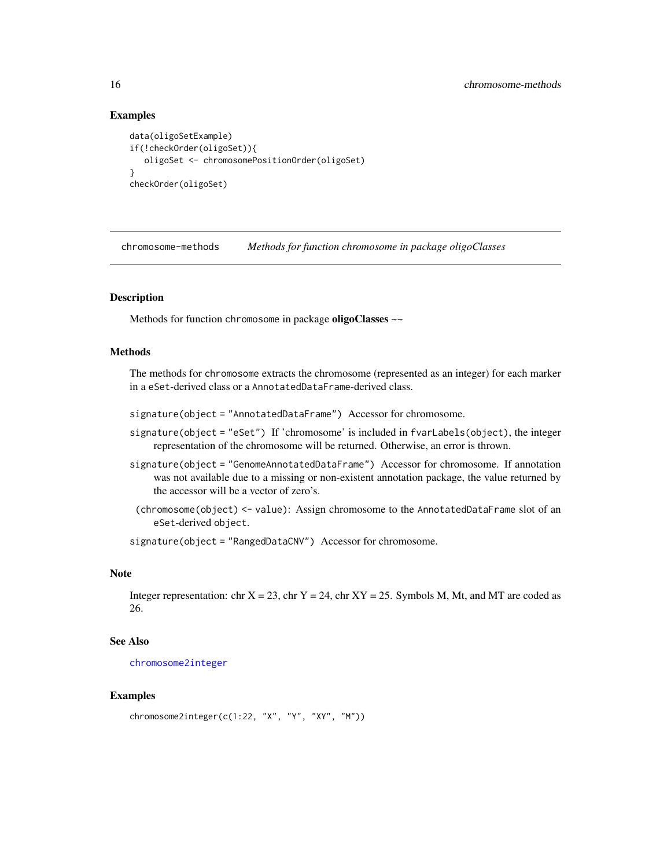### Examples

```
data(oligoSetExample)
if(!checkOrder(oligoSet)){
  oligoSet <- chromosomePositionOrder(oligoSet)
}
checkOrder(oligoSet)
```
chromosome-methods *Methods for function chromosome in package oligoClasses*

#### **Description**

Methods for function chromosome in package oligoClasses ~~

### Methods

The methods for chromosome extracts the chromosome (represented as an integer) for each marker in a eSet-derived class or a AnnotatedDataFrame-derived class.

signature(object = "AnnotatedDataFrame") Accessor for chromosome.

- signature(object = "eSet") If 'chromosome' is included in fvarLabels(object), the integer representation of the chromosome will be returned. Otherwise, an error is thrown.
- signature(object = "GenomeAnnotatedDataFrame") Accessor for chromosome. If annotation was not available due to a missing or non-existent annotation package, the value returned by the accessor will be a vector of zero's.
- (chromosome(object) <- value): Assign chromosome to the AnnotatedDataFrame slot of an eSet-derived object.

signature(object = "RangedDataCNV") Accessor for chromosome.

#### Note

Integer representation: chr  $X = 23$ , chr  $Y = 24$ , chr  $XY = 25$ . Symbols M, Mt, and MT are coded as 26.

#### See Also

[chromosome2integer](#page-16-1)

```
chromosome2integer(c(1:22, "X", "Y", "XY", "M"))
```
<span id="page-15-0"></span>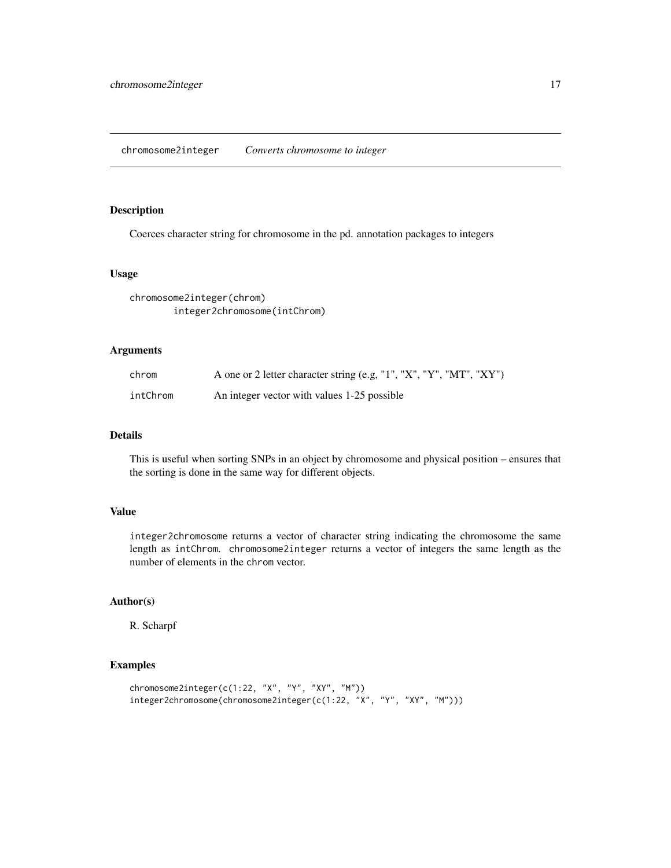### <span id="page-16-1"></span><span id="page-16-0"></span>Description

Coerces character string for chromosome in the pd. annotation packages to integers

#### Usage

```
chromosome2integer(chrom)
        integer2chromosome(intChrom)
```
### Arguments

| chrom    | A one or 2 letter character string (e.g, "1", "X", "Y", "MT", "XY") |
|----------|---------------------------------------------------------------------|
| intChrom | An integer vector with values 1-25 possible                         |

### Details

This is useful when sorting SNPs in an object by chromosome and physical position – ensures that the sorting is done in the same way for different objects.

#### Value

integer2chromosome returns a vector of character string indicating the chromosome the same length as intChrom. chromosome2integer returns a vector of integers the same length as the number of elements in the chrom vector.

#### Author(s)

R. Scharpf

```
chromosome2integer(c(1:22, "X", "Y", "XY", "M"))
integer2chromosome(chromosome2integer(c(1:22, "X", "Y", "XY", "M")))
```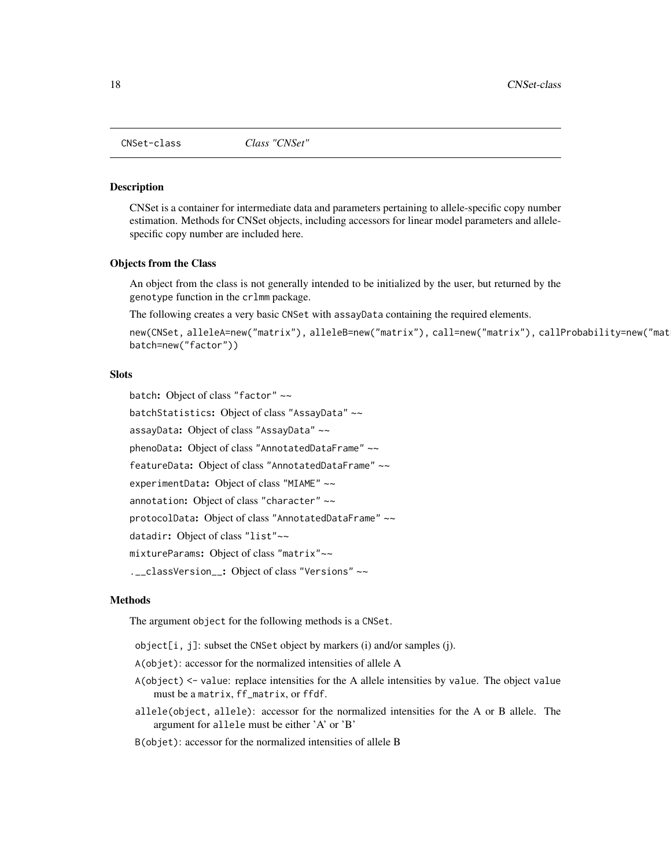<span id="page-17-1"></span><span id="page-17-0"></span>

#### Description

CNSet is a container for intermediate data and parameters pertaining to allele-specific copy number estimation. Methods for CNSet objects, including accessors for linear model parameters and allelespecific copy number are included here.

#### Objects from the Class

An object from the class is not generally intended to be initialized by the user, but returned by the genotype function in the crlmm package.

The following creates a very basic CNSet with assayData containing the required elements.

```
new(CNSet, alleleA=new("matrix"), alleleB=new("matrix"), call=new("matrix"), callProbability=new("matrix"),
batch=new("factor"))
```
### **Slots**

batch: Object of class "factor" ~~ batchStatistics: Object of class "AssayData" ~~ assayData: Object of class "AssayData" ~~ phenoData: Object of class "AnnotatedDataFrame" ~~ featureData: Object of class "AnnotatedDataFrame" ~~ experimentData: Object of class "MIAME" ~~ annotation: Object of class "character" ~~ protocolData: Object of class "AnnotatedDataFrame" ~~ datadir: Object of class "list"~~ mixtureParams: Object of class "matrix"~~ .\_\_classVersion\_\_: Object of class "Versions" ~~

#### Methods

The argument object for the following methods is a CNSet.

object[i, j]: subset the CNSet object by markers (i) and/or samples (j).

A(objet): accessor for the normalized intensities of allele A

- A(object) <- value: replace intensities for the A allele intensities by value. The object value must be a matrix, ff\_matrix, or ffdf.
- allele(object, allele): accessor for the normalized intensities for the A or B allele. The argument for allele must be either 'A' or 'B'

B(objet): accessor for the normalized intensities of allele B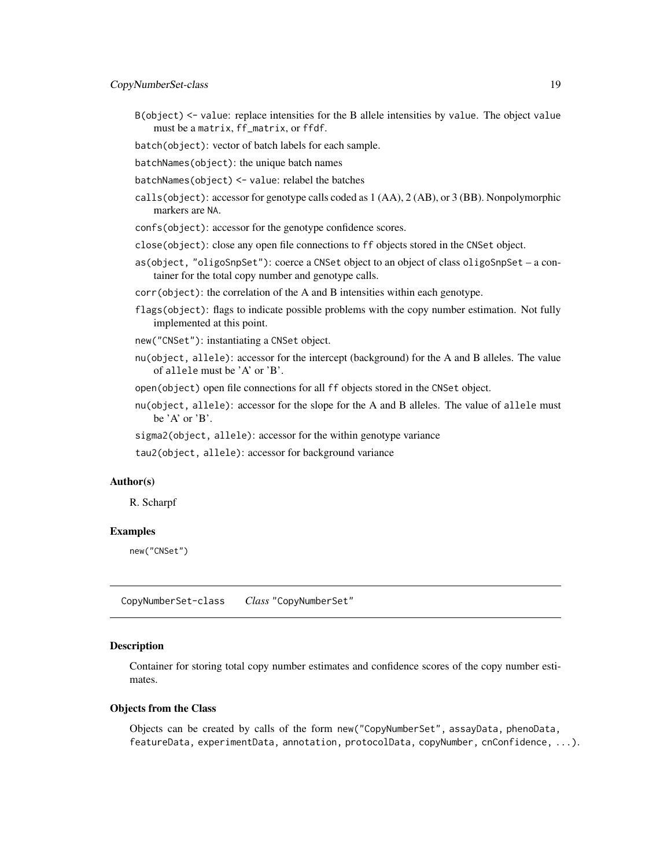- <span id="page-18-0"></span>B(object) <- value: replace intensities for the B allele intensities by value. The object value must be a matrix, ff\_matrix, or ffdf.
- batch(object): vector of batch labels for each sample.
- batchNames(object): the unique batch names
- batchNames(object) <- value: relabel the batches
- calls(object): accessor for genotype calls coded as 1 (AA), 2 (AB), or 3 (BB). Nonpolymorphic markers are NA.
- confs(object): accessor for the genotype confidence scores.
- close(object): close any open file connections to ff objects stored in the CNSet object.
- as(object, "oligoSnpSet"): coerce a CNSet object to an object of class oligoSnpSet a container for the total copy number and genotype calls.
- corr(object): the correlation of the A and B intensities within each genotype.
- flags(object): flags to indicate possible problems with the copy number estimation. Not fully implemented at this point.
- new("CNSet"): instantiating a CNSet object.
- nu(object, allele): accessor for the intercept (background) for the A and B alleles. The value of allele must be 'A' or 'B'.

open(object) open file connections for all ff objects stored in the CNSet object.

- nu(object, allele): accessor for the slope for the A and B alleles. The value of allele must be  $'A'$  or  $'B'$ .
- sigma2(object, allele): accessor for the within genotype variance

tau2(object, allele): accessor for background variance

### Author(s)

R. Scharpf

#### Examples

new("CNSet")

CopyNumberSet-class *Class* "CopyNumberSet"

#### Description

Container for storing total copy number estimates and confidence scores of the copy number estimates.

#### Objects from the Class

Objects can be created by calls of the form new("CopyNumberSet", assayData, phenoData, featureData, experimentData, annotation, protocolData, copyNumber, cnConfidence, ...).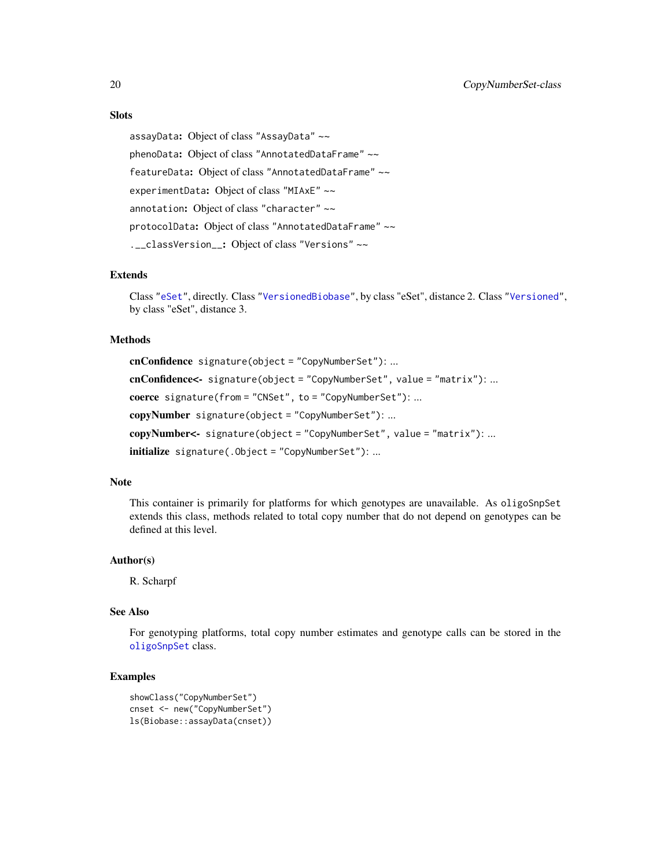### **Slots**

assayData: Object of class "AssayData" ~~ phenoData: Object of class "AnnotatedDataFrame" ~~ featureData: Object of class "AnnotatedDataFrame" ~~ experimentData: Object of class "MIAxE" ~~ annotation: Object of class "character" ~~ protocolData: Object of class "AnnotatedDataFrame" ~~ .\_\_classVersion\_\_: Object of class "Versions" ~~

#### Extends

Class ["eSet"](#page-0-0), directly. Class ["VersionedBiobase"](#page-0-0), by class "eSet", distance 2. Class ["Versioned"](#page-0-0), by class "eSet", distance 3.

#### Methods

cnConfidence signature(object = "CopyNumberSet"): ... cnConfidence<- signature(object = "CopyNumberSet", value = "matrix"): ... coerce signature(from = "CNSet", to = "CopyNumberSet"): ... copyNumber signature(object = "CopyNumberSet"): ... copyNumber<- signature(object = "CopyNumberSet", value = "matrix"): ... initialize signature(.Object = "CopyNumberSet"): ...

### Note

This container is primarily for platforms for which genotypes are unavailable. As oligoSnpSet extends this class, methods related to total copy number that do not depend on genotypes can be defined at this level.

#### Author(s)

R. Scharpf

### See Also

For genotyping platforms, total copy number estimates and genotype calls can be stored in the [oligoSnpSet](#page-53-1) class.

```
showClass("CopyNumberSet")
cnset <- new("CopyNumberSet")
ls(Biobase::assayData(cnset))
```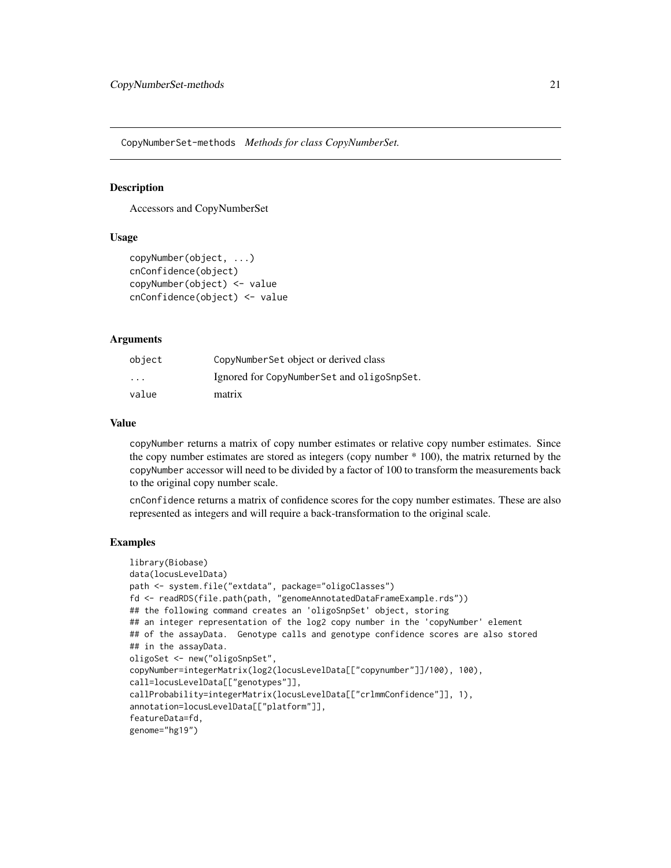<span id="page-20-0"></span>CopyNumberSet-methods *Methods for class CopyNumberSet.*

#### **Description**

Accessors and CopyNumberSet

#### Usage

```
copyNumber(object, ...)
cnConfidence(object)
copyNumber(object) <- value
cnConfidence(object) <- value
```
#### Arguments

| object   | CopyNumberSet object or derived class      |
|----------|--------------------------------------------|
| $\cdots$ | Ignored for CopyNumberSet and oligoSnpSet. |
| value    | matrix                                     |

### Value

copyNumber returns a matrix of copy number estimates or relative copy number estimates. Since the copy number estimates are stored as integers (copy number \* 100), the matrix returned by the copyNumber accessor will need to be divided by a factor of 100 to transform the measurements back to the original copy number scale.

cnConfidence returns a matrix of confidence scores for the copy number estimates. These are also represented as integers and will require a back-transformation to the original scale.

```
library(Biobase)
data(locusLevelData)
path <- system.file("extdata", package="oligoClasses")
fd <- readRDS(file.path(path, "genomeAnnotatedDataFrameExample.rds"))
## the following command creates an 'oligoSnpSet' object, storing
## an integer representation of the log2 copy number in the 'copyNumber' element
## of the assayData. Genotype calls and genotype confidence scores are also stored
## in the assayData.
oligoSet <- new("oligoSnpSet",
copyNumber=integerMatrix(log2(locusLevelData[["copynumber"]]/100), 100),
call=locusLevelData[["genotypes"]],
callProbability=integerMatrix(locusLevelData[["crlmmConfidence"]], 1),
annotation=locusLevelData[["platform"]],
featureData=fd,
genome="hg19")
```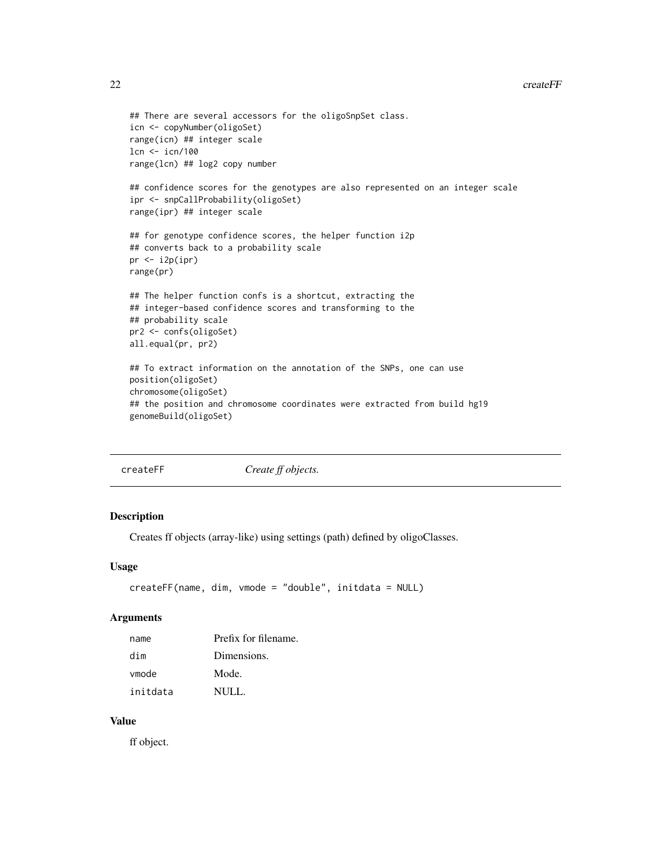```
## There are several accessors for the oligoSnpSet class.
icn <- copyNumber(oligoSet)
range(icn) ## integer scale
lcn <- icn/100
range(lcn) ## log2 copy number
## confidence scores for the genotypes are also represented on an integer scale
ipr <- snpCallProbability(oligoSet)
range(ipr) ## integer scale
## for genotype confidence scores, the helper function i2p
## converts back to a probability scale
pr < -i2p(ipr)range(pr)
## The helper function confs is a shortcut, extracting the
## integer-based confidence scores and transforming to the
## probability scale
pr2 <- confs(oligoSet)
all.equal(pr, pr2)
## To extract information on the annotation of the SNPs, one can use
position(oligoSet)
chromosome(oligoSet)
## the position and chromosome coordinates were extracted from build hg19
genomeBuild(oligoSet)
```

| createFF |  |  |
|----------|--|--|
|          |  |  |

F *Create ff objects.* 

### Description

Creates ff objects (array-like) using settings (path) defined by oligoClasses.

#### Usage

```
createFF(name, dim, vmode = "double", initdata = NULL)
```
#### Arguments

| name     | Prefix for filename. |
|----------|----------------------|
| dim      | Dimensions.          |
| vmode    | Mode.                |
| initdata | NULL.                |

### Value

ff object.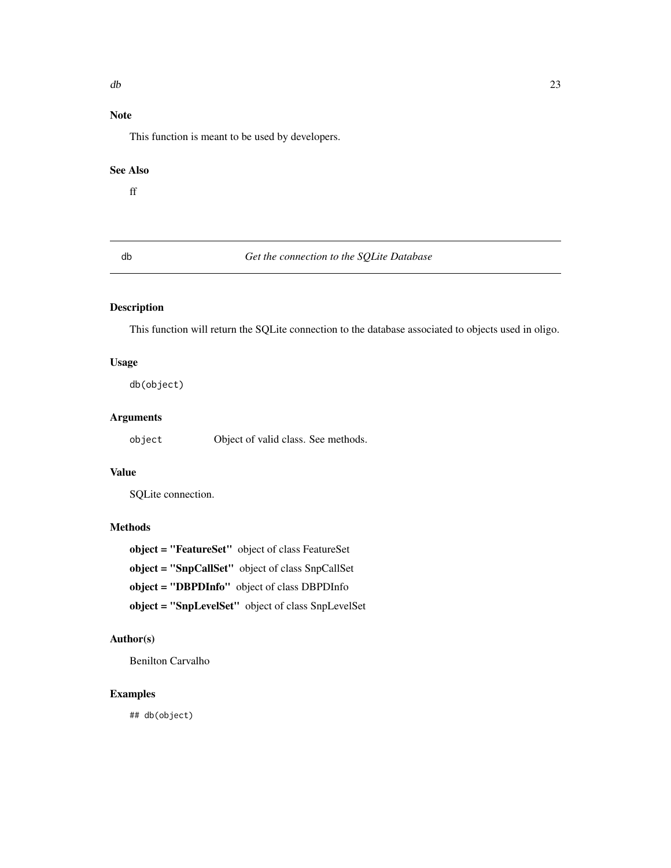## <span id="page-22-0"></span>Note

This function is meant to be used by developers.

### See Also

ff

### db *Get the connection to the SQLite Database*

### Description

This function will return the SQLite connection to the database associated to objects used in oligo.

### Usage

db(object)

### Arguments

object Object of valid class. See methods.

### Value

SQLite connection.

### Methods

object = "FeatureSet" object of class FeatureSet object = "SnpCallSet" object of class SnpCallSet object = "DBPDInfo" object of class DBPDInfo object = "SnpLevelSet" object of class SnpLevelSet

### Author(s)

Benilton Carvalho

### Examples

## db(object)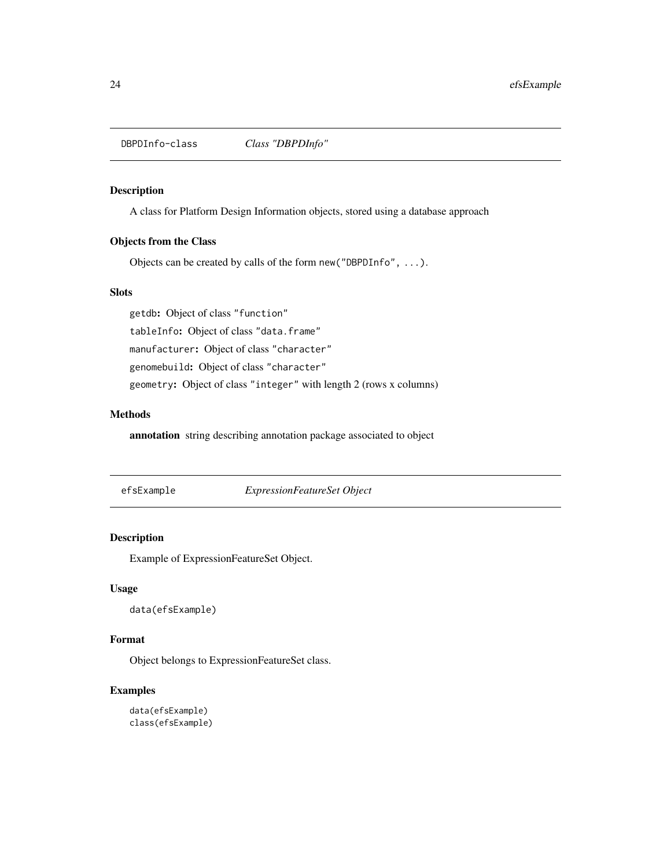<span id="page-23-0"></span>DBPDInfo-class *Class "DBPDInfo"*

#### Description

A class for Platform Design Information objects, stored using a database approach

### Objects from the Class

Objects can be created by calls of the form new("DBPDInfo", ...).

#### Slots

getdb: Object of class "function"

tableInfo: Object of class "data.frame"

manufacturer: Object of class "character"

genomebuild: Object of class "character"

geometry: Object of class "integer" with length 2 (rows x columns)

### Methods

annotation string describing annotation package associated to object

efsExample *ExpressionFeatureSet Object*

### Description

Example of ExpressionFeatureSet Object.

### Usage

data(efsExample)

### Format

Object belongs to ExpressionFeatureSet class.

```
data(efsExample)
class(efsExample)
```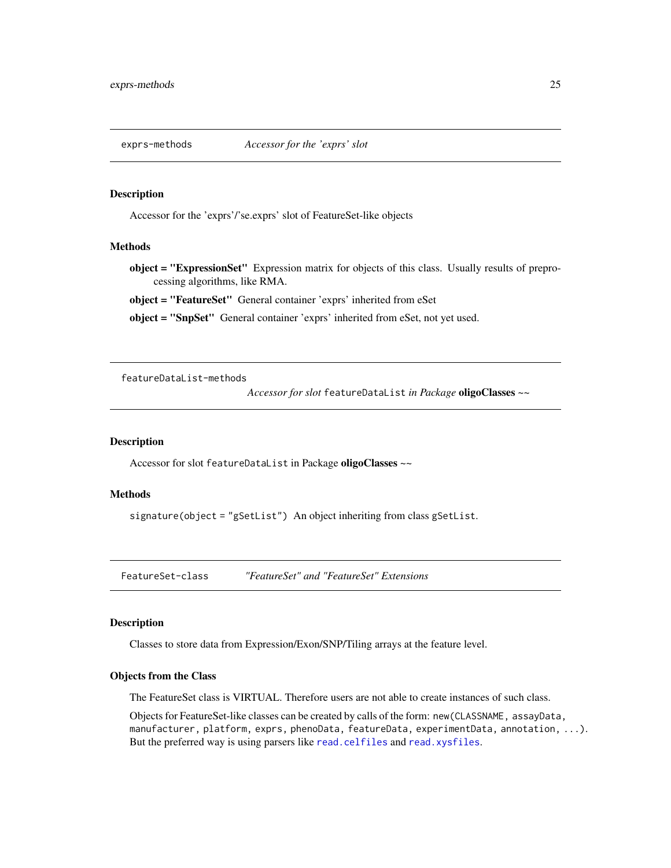<span id="page-24-0"></span>

#### Description

Accessor for the 'exprs'/'se.exprs' slot of FeatureSet-like objects

### Methods

object = "ExpressionSet" Expression matrix for objects of this class. Usually results of preprocessing algorithms, like RMA.

object = "FeatureSet" General container 'exprs' inherited from eSet

object = "SnpSet" General container 'exprs' inherited from eSet, not yet used.

featureDataList-methods

*Accessor for slot* featureDataList *in Package* oligoClasses *~~*

#### Description

Accessor for slot featureDataList in Package oligoClasses ~~

### Methods

signature(object = "gSetList") An object inheriting from class gSetList.

FeatureSet-class *"FeatureSet" and "FeatureSet" Extensions*

#### Description

Classes to store data from Expression/Exon/SNP/Tiling arrays at the feature level.

#### Objects from the Class

The FeatureSet class is VIRTUAL. Therefore users are not able to create instances of such class.

Objects for FeatureSet-like classes can be created by calls of the form: new(CLASSNAME, assayData, manufacturer, platform, exprs, phenoData, featureData, experimentData, annotation, ...). But the preferred way is using parsers like [read.celfiles](#page-0-0) and [read.xysfiles](#page-0-0).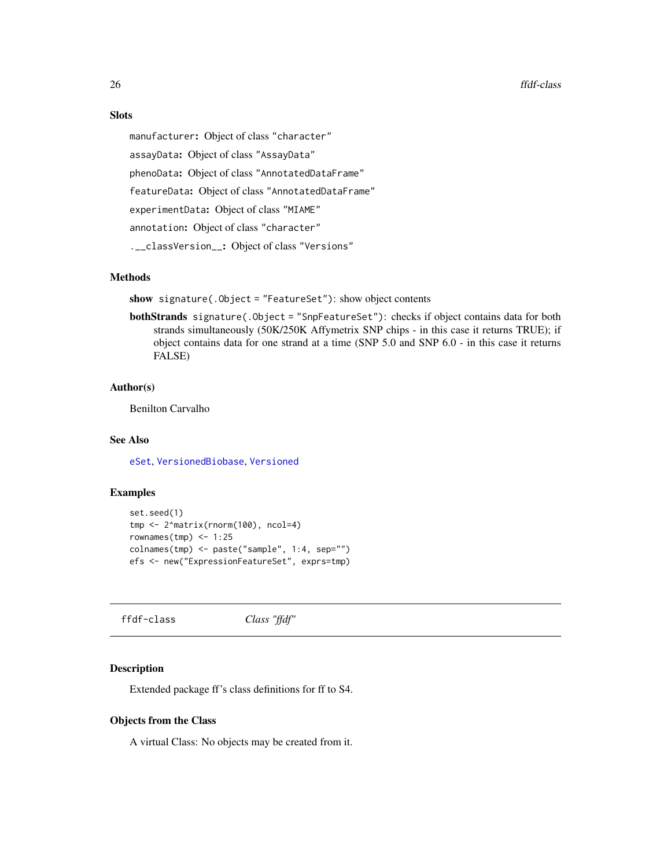#### <span id="page-25-0"></span>Slots

manufacturer: Object of class "character" assayData: Object of class "AssayData" phenoData: Object of class "AnnotatedDataFrame" featureData: Object of class "AnnotatedDataFrame" experimentData: Object of class "MIAME" annotation: Object of class "character" .\_\_classVersion\_\_: Object of class "Versions"

#### Methods

show signature(.Object = "FeatureSet"): show object contents

bothStrands signature(.Object = "SnpFeatureSet"): checks if object contains data for both strands simultaneously (50K/250K Affymetrix SNP chips - in this case it returns TRUE); if object contains data for one strand at a time (SNP 5.0 and SNP 6.0 - in this case it returns FALSE)

#### Author(s)

Benilton Carvalho

### See Also

[eSet](#page-0-0), [VersionedBiobase](#page-0-0), [Versioned](#page-0-0)

#### Examples

```
set.seed(1)
tmp <- 2^matrix(rnorm(100), ncol=4)
rownames(tmp) <- 1:25
colnames(tmp) <- paste("sample", 1:4, sep="")
efs <- new("ExpressionFeatureSet", exprs=tmp)
```
ffdf-class *Class "ffdf"*

#### <span id="page-25-1"></span>Description

Extended package ff's class definitions for ff to S4.

#### Objects from the Class

A virtual Class: No objects may be created from it.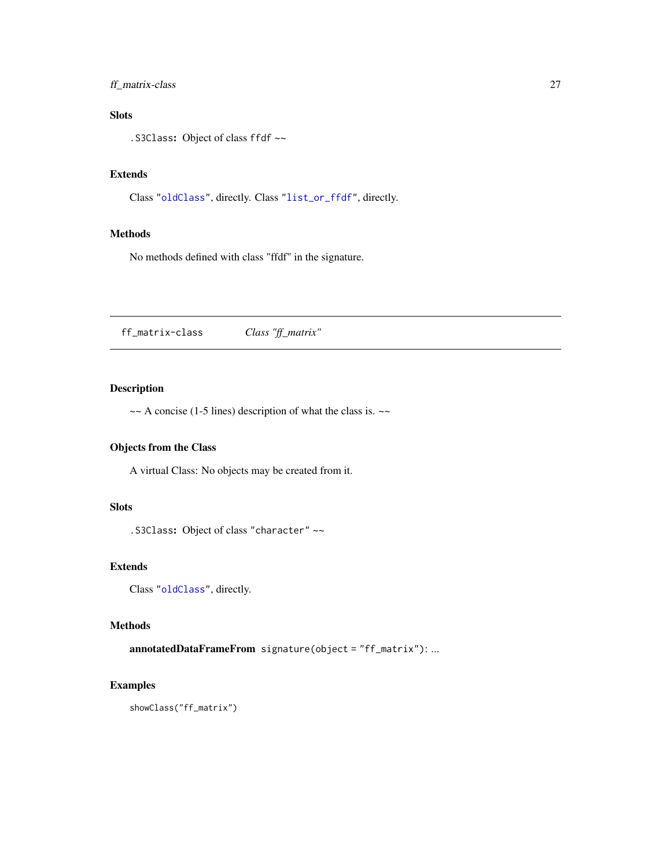### <span id="page-26-0"></span>ff\_matrix-class 27

### Slots

.S3Class: Object of class ffdf ~~

### Extends

Class ["oldClass"](#page-0-0), directly. Class ["list\\_or\\_ffdf"](#page-25-1), directly.

#### Methods

No methods defined with class "ffdf" in the signature.

ff\_matrix-class *Class "ff\_matrix"*

### Description

 $\sim$  A concise (1-5 lines) description of what the class is.  $\sim$ 

### Objects from the Class

A virtual Class: No objects may be created from it.

### Slots

.S3Class: Object of class "character" ~~

### Extends

Class ["oldClass"](#page-0-0), directly.

### Methods

annotatedDataFrameFrom signature(object = "ff\_matrix"): ...

#### Examples

showClass("ff\_matrix")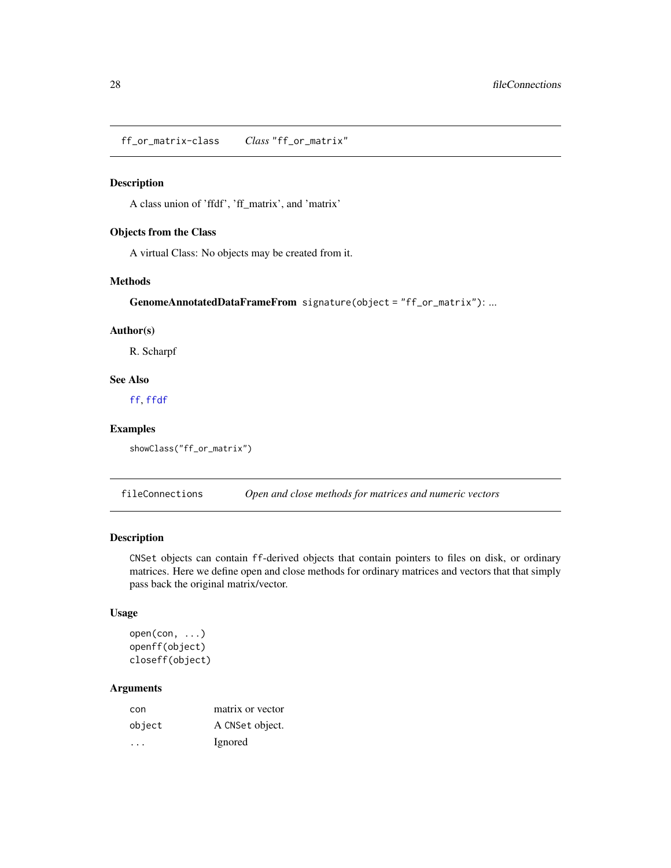<span id="page-27-0"></span>ff\_or\_matrix-class *Class* "ff\_or\_matrix"

#### Description

A class union of 'ffdf', 'ff\_matrix', and 'matrix'

#### Objects from the Class

A virtual Class: No objects may be created from it.

#### Methods

GenomeAnnotatedDataFrameFrom signature(object = "ff\_or\_matrix"): ...

#### Author(s)

R. Scharpf

### See Also

[ff](#page-0-0), [ffdf](#page-0-0)

### Examples

```
showClass("ff_or_matrix")
```
fileConnections *Open and close methods for matrices and numeric vectors*

### Description

CNSet objects can contain ff-derived objects that contain pointers to files on disk, or ordinary matrices. Here we define open and close methods for ordinary matrices and vectors that that simply pass back the original matrix/vector.

#### Usage

```
open(con, ...)
openff(object)
closeff(object)
```
#### Arguments

| con     | matrix or vector |
|---------|------------------|
| object  | A CNSet object.  |
| $\cdot$ | Ignored          |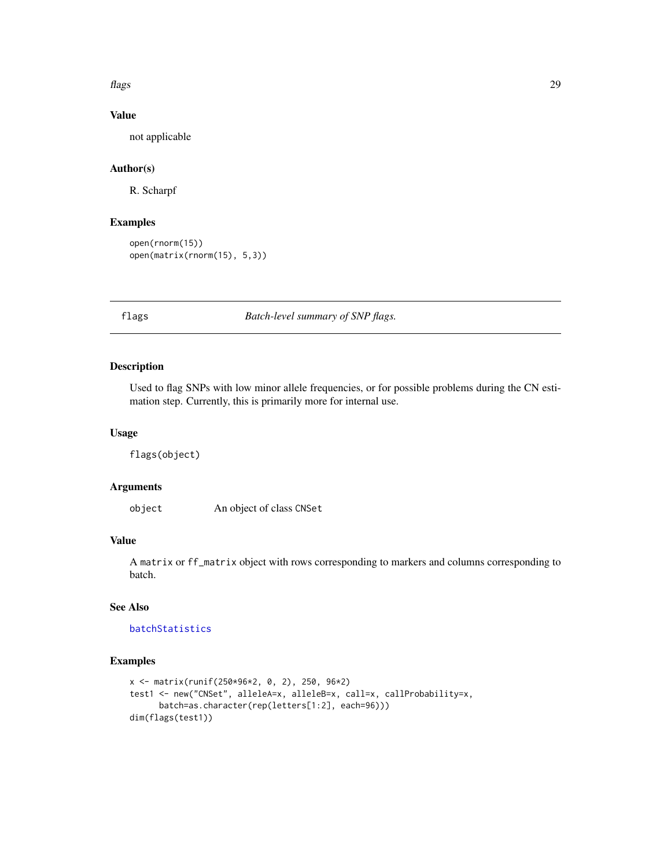#### <span id="page-28-0"></span>flags 29

### Value

not applicable

### Author(s)

R. Scharpf

### Examples

```
open(rnorm(15))
open(matrix(rnorm(15), 5,3))
```
flags *Batch-level summary of SNP flags.*

### Description

Used to flag SNPs with low minor allele frequencies, or for possible problems during the CN estimation step. Currently, this is primarily more for internal use.

### Usage

flags(object)

### Arguments

object An object of class CNSet

### Value

A matrix or ff\_matrix object with rows corresponding to markers and columns corresponding to batch.

### See Also

[batchStatistics](#page-8-1)

```
x <- matrix(runif(250*96*2, 0, 2), 250, 96*2)
test1 <- new("CNSet", alleleA=x, alleleB=x, call=x, callProbability=x,
     batch=as.character(rep(letters[1:2], each=96)))
dim(flags(test1))
```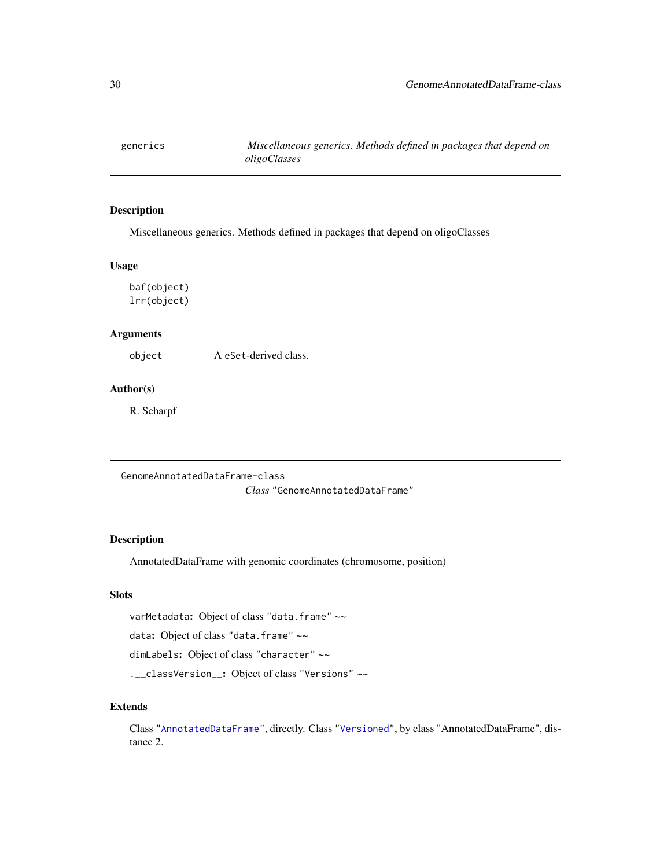<span id="page-29-0"></span>

### Description

Miscellaneous generics. Methods defined in packages that depend on oligoClasses

### Usage

baf(object) lrr(object)

### Arguments

object A eSet-derived class.

### Author(s)

R. Scharpf

<span id="page-29-1"></span>GenomeAnnotatedDataFrame-class *Class* "GenomeAnnotatedDataFrame"

### Description

AnnotatedDataFrame with genomic coordinates (chromosome, position)

### Slots

varMetadata: Object of class "data.frame" ~~

data: Object of class "data.frame" ~~

dimLabels: Object of class "character" ~~

.\_\_classVersion\_\_: Object of class "Versions" ~~

#### Extends

Class ["AnnotatedDataFrame"](#page-0-0), directly. Class ["Versioned"](#page-0-0), by class "AnnotatedDataFrame", distance 2.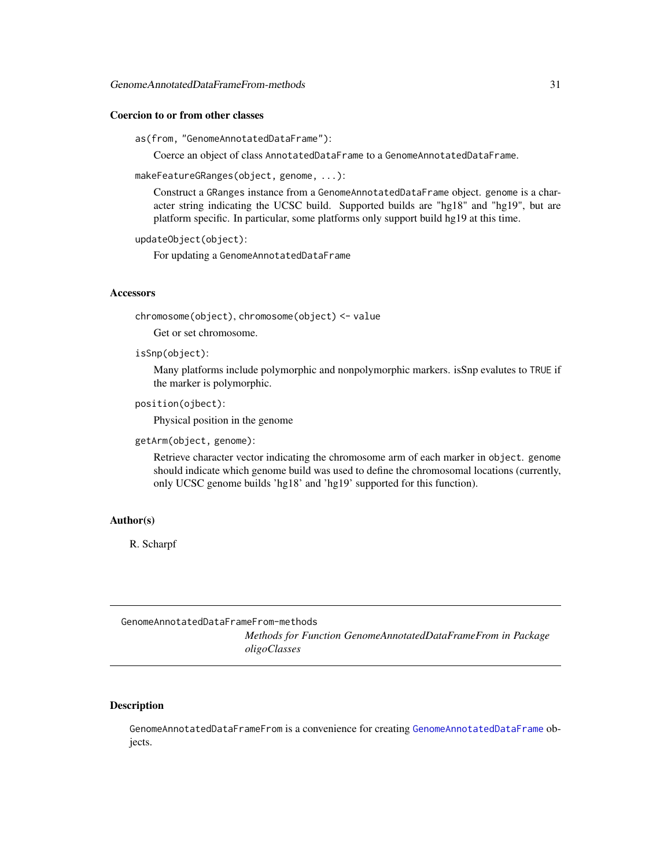#### <span id="page-30-0"></span>Coercion to or from other classes

as(from, "GenomeAnnotatedDataFrame"):

Coerce an object of class AnnotatedDataFrame to a GenomeAnnotatedDataFrame.

makeFeatureGRanges(object, genome, ...):

Construct a GRanges instance from a GenomeAnnotatedDataFrame object. genome is a character string indicating the UCSC build. Supported builds are "hg18" and "hg19", but are platform specific. In particular, some platforms only support build hg19 at this time.

```
updateObject(object):
```
For updating a GenomeAnnotatedDataFrame

#### **Accessors**

chromosome(object), chromosome(object) <- value

Get or set chromosome.

isSnp(object):

Many platforms include polymorphic and nonpolymorphic markers. isSnp evalutes to TRUE if the marker is polymorphic.

position(ojbect):

Physical position in the genome

getArm(object, genome):

Retrieve character vector indicating the chromosome arm of each marker in object. genome should indicate which genome build was used to define the chromosomal locations (currently, only UCSC genome builds 'hg18' and 'hg19' supported for this function).

### Author(s)

R. Scharpf

GenomeAnnotatedDataFrameFrom-methods

*Methods for Function GenomeAnnotatedDataFrameFrom in Package oligoClasses*

#### Description

GenomeAnnotatedDataFrameFrom is a convenience for creating [GenomeAnnotatedDataFrame](#page-29-1) objects.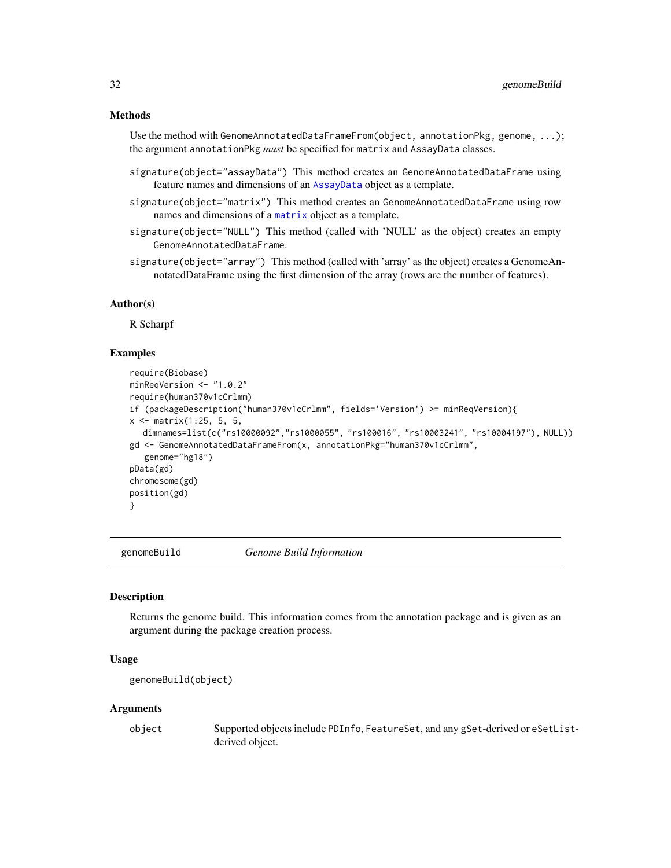#### <span id="page-31-0"></span>Methods

Use the method with GenomeAnnotatedDataFrameFrom(object, annotationPkg, genome, ...); the argument annotationPkg *must* be specified for matrix and AssayData classes.

- signature(object="assayData") This method creates an GenomeAnnotatedDataFrame using feature names and dimensions of an [AssayData](#page-0-0) object as a template.
- signature(object="matrix") This method creates an GenomeAnnotatedDataFrame using row names and dimensions of a [matrix](#page-0-0) object as a template.
- signature(object="NULL") This method (called with 'NULL' as the object) creates an empty GenomeAnnotatedDataFrame.
- signature(object="array") This method (called with 'array' as the object) creates a GenomeAnnotatedDataFrame using the first dimension of the array (rows are the number of features).

#### Author(s)

R Scharpf

#### Examples

```
require(Biobase)
minReqVersion <- "1.0.2"
require(human370v1cCrlmm)
if (packageDescription("human370v1cCrlmm", fields='Version') >= minReqVersion){
x \le - matrix(1:25, 5, 5,
  dimnames=list(c("rs10000092","rs1000055", "rs100016", "rs10003241", "rs10004197"), NULL))
gd <- GenomeAnnotatedDataFrameFrom(x, annotationPkg="human370v1cCrlmm",
   genome="hg18")
pData(gd)
chromosome(gd)
position(gd)
}
```
genomeBuild *Genome Build Information*

#### **Description**

Returns the genome build. This information comes from the annotation package and is given as an argument during the package creation process.

#### Usage

```
genomeBuild(object)
```
#### Arguments

object Supported objects include PDInfo, FeatureSet, and any gSet-derived or eSetListderived object.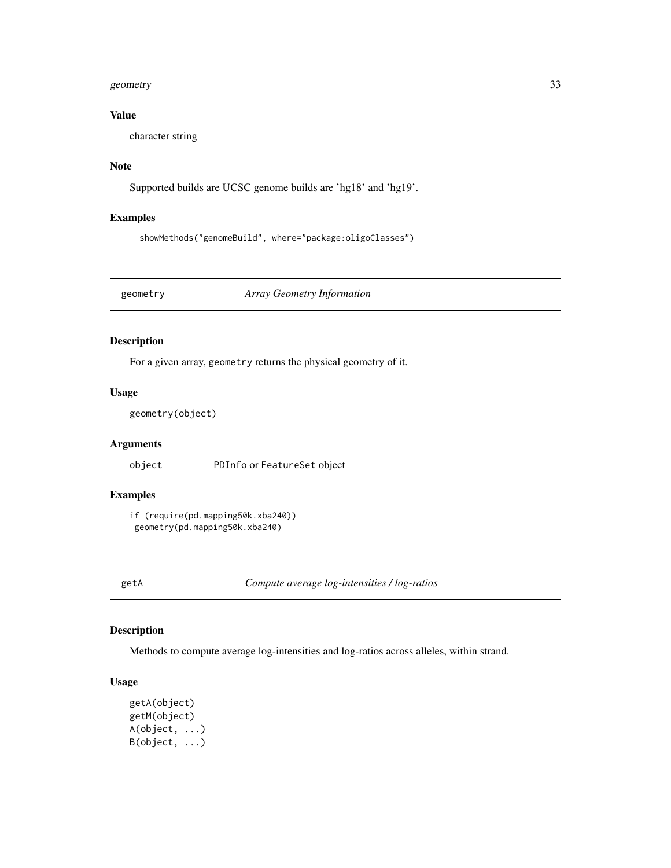#### <span id="page-32-0"></span>geometry 33

### Value

character string

### Note

Supported builds are UCSC genome builds are 'hg18' and 'hg19'.

### Examples

showMethods("genomeBuild", where="package:oligoClasses")

geometry *Array Geometry Information*

### Description

For a given array, geometry returns the physical geometry of it.

### Usage

geometry(object)

### Arguments

object PDInfo or FeatureSet object

### Examples

if (require(pd.mapping50k.xba240)) geometry(pd.mapping50k.xba240)

getA *Compute average log-intensities / log-ratios*

### Description

Methods to compute average log-intensities and log-ratios across alleles, within strand.

#### Usage

```
getA(object)
getM(object)
A(object, ...)
B(object, ...)
```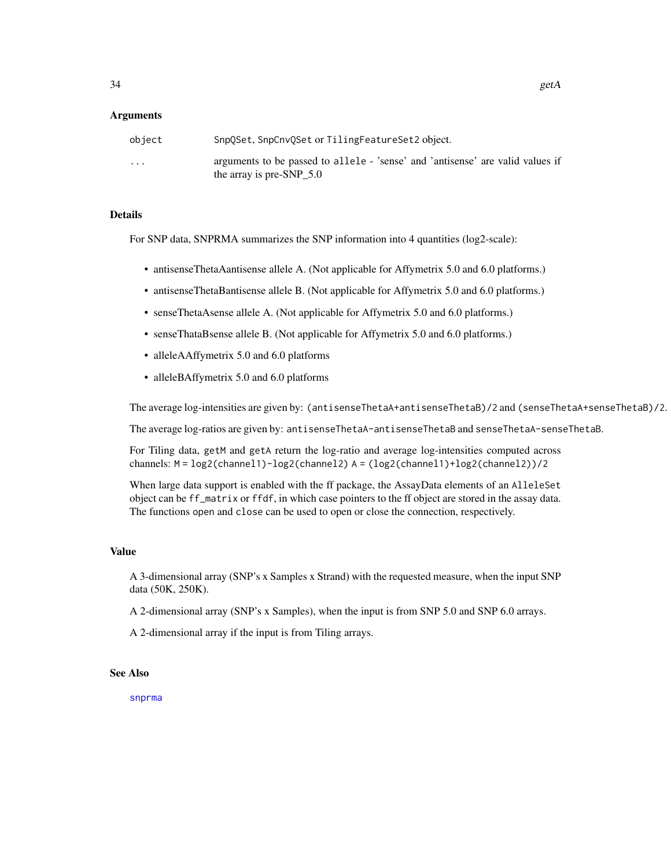#### Arguments

| object   | SnpQSet, SnpCnvQSet or TilingFeatureSet2 object.                                                               |
|----------|----------------------------------------------------------------------------------------------------------------|
| $\cdots$ | arguments to be passed to allele - 'sense' and 'antisense' are valid values if<br>the array is pre-SNP $\_5.0$ |

#### Details

For SNP data, SNPRMA summarizes the SNP information into 4 quantities (log2-scale):

- antisenseThetaAantisense allele A. (Not applicable for Affymetrix 5.0 and 6.0 platforms.)
- antisenseThetaBantisense allele B. (Not applicable for Affymetrix 5.0 and 6.0 platforms.)
- senseThetaAsense allele A. (Not applicable for Affymetrix 5.0 and 6.0 platforms.)
- senseThataBsense allele B. (Not applicable for Affymetrix 5.0 and 6.0 platforms.)
- alleleAAffymetrix 5.0 and 6.0 platforms
- alleleBAffymetrix 5.0 and 6.0 platforms

The average log-intensities are given by: (antisenseThetaA+antisenseThetaB)/2 and (senseThetaA+senseThetaB)/2.

The average log-ratios are given by: antisenseThetaA-antisenseThetaB and senseThetaA-senseThetaB.

For Tiling data, getM and getA return the log-ratio and average log-intensities computed across channels: M = log2(channel1)-log2(channel2) A = (log2(channel1)+log2(channel2))/2

When large data support is enabled with the ff package, the AssayData elements of an AlleleSet object can be ff\_matrix or ffdf, in which case pointers to the ff object are stored in the assay data. The functions open and close can be used to open or close the connection, respectively.

#### Value

A 3-dimensional array (SNP's x Samples x Strand) with the requested measure, when the input SNP data (50K, 250K).

A 2-dimensional array (SNP's x Samples), when the input is from SNP 5.0 and SNP 6.0 arrays.

A 2-dimensional array if the input is from Tiling arrays.

#### See Also

[snprma](#page-0-0)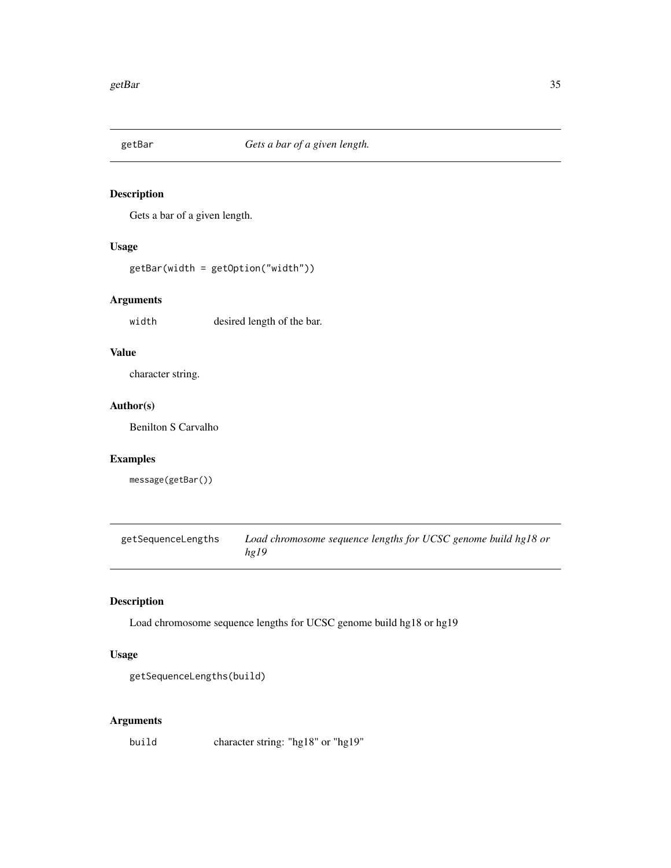<span id="page-34-0"></span>

### Description

Gets a bar of a given length.

### Usage

getBar(width = getOption("width"))

### Arguments

width desired length of the bar.

### Value

character string.

### Author(s)

Benilton S Carvalho

### Examples

message(getBar())

getSequenceLengths *Load chromosome sequence lengths for UCSC genome build hg18 or hg19*

#### Description

Load chromosome sequence lengths for UCSC genome build hg18 or hg19

### Usage

```
getSequenceLengths(build)
```
### Arguments

build character string: "hg18" or "hg19"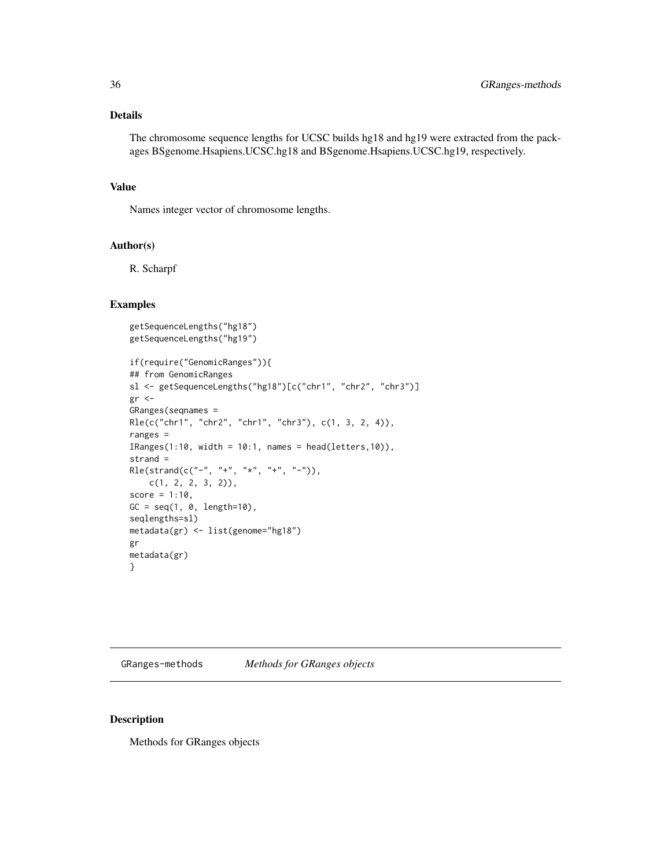### <span id="page-35-0"></span>Details

The chromosome sequence lengths for UCSC builds hg18 and hg19 were extracted from the packages BSgenome.Hsapiens.UCSC.hg18 and BSgenome.Hsapiens.UCSC.hg19, respectively.

### Value

Names integer vector of chromosome lengths.

#### Author(s)

R. Scharpf

#### Examples

```
getSequenceLengths("hg18")
getSequenceLengths("hg19")
if(require("GenomicRanges")){
## from GenomicRanges
sl <- getSequenceLengths("hg18")[c("chr1", "chr2", "chr3")]
gr <-
GRanges(seqnames =
Rle(c("chr1", "chr2", "chr1", "chr3"), c(1, 3, 2, 4)),
ranges =
IRanges(1:10, width = 10:1, names = head(letters,10)),
strand =
Rle(strand(c("-", "+", "*", "+", "-")),
   c(1, 2, 2, 3, 2)),
score = 1:10,GC = seq(1, 0, length=10),seqlengths=sl)
metadata(gr) <- list(genome="hg18")
gr
metadata(gr)
}
```
GRanges-methods *Methods for GRanges objects*

### Description

Methods for GRanges objects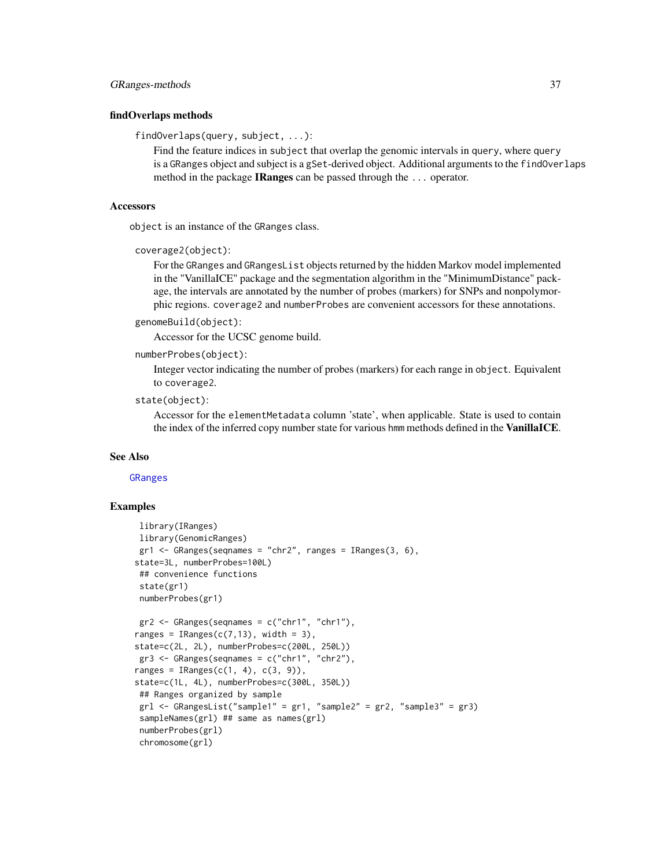#### <span id="page-36-0"></span>findOverlaps methods

findOverlaps(query, subject, ...):

Find the feature indices in subject that overlap the genomic intervals in query, where query is a GRanges object and subject is a gSet-derived object. Additional arguments to the findOverlaps method in the package IRanges can be passed through the ... operator.

#### **Accessors**

object is an instance of the GRanges class.

```
coverage2(object):
```
For the GRanges and GRangesList objects returned by the hidden Markov model implemented in the "VanillaICE" package and the segmentation algorithm in the "MinimumDistance" package, the intervals are annotated by the number of probes (markers) for SNPs and nonpolymorphic regions. coverage2 and numberProbes are convenient accessors for these annotations.

```
genomeBuild(object):
```
Accessor for the UCSC genome build.

```
numberProbes(object):
```
Integer vector indicating the number of probes (markers) for each range in object. Equivalent to coverage2.

```
state(object):
```
Accessor for the elementMetadata column 'state', when applicable. State is used to contain the index of the inferred copy number state for various hmm methods defined in the VanillaICE.

#### See Also

[GRanges](#page-0-0)

```
library(IRanges)
library(GenomicRanges)
gr1 \leq - GRanges(seqnames = "chr2", ranges = IRanges(3, 6),
state=3L, numberProbes=100L)
## convenience functions
state(gr1)
numberProbes(gr1)
gr2 \leq GRanges(seqnames = c("chr1", "chr1"),
ranges = IRanges(c(7,13), width = 3),
state=c(2L, 2L), numberProbes=c(200L, 250L))
gr3 \leq GRanges(seqnames = c("chr1", "chr2"),ranges = IRanges(c(1, 4), c(3, 9)),state=c(1L, 4L), numberProbes=c(300L, 350L))
## Ranges organized by sample
grl < - GRangesList("sample1" = gr1, "sample2" = gr2, "sample3" = gr3)
sampleNames(grl) ## same as names(grl)
numberProbes(grl)
chromosome(grl)
```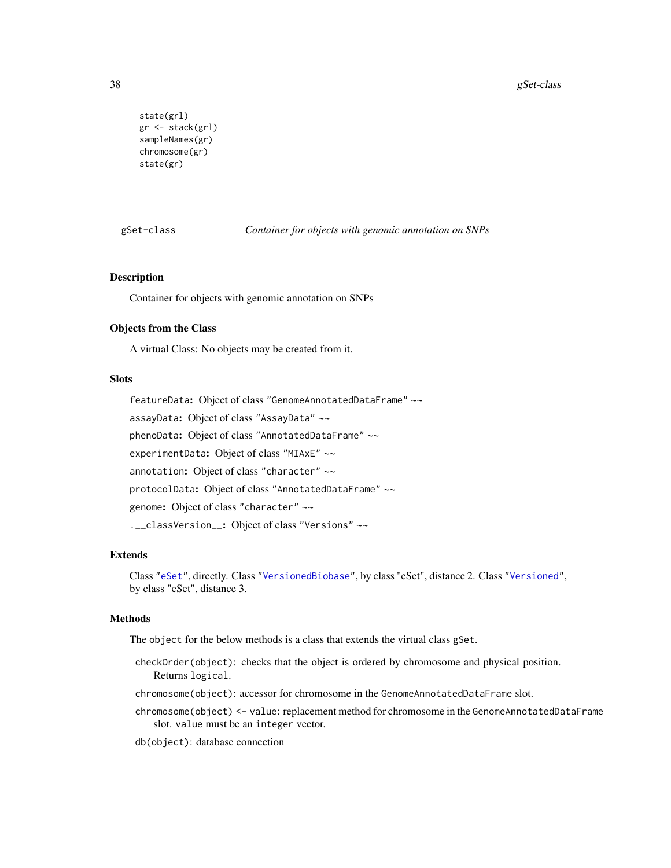```
state(grl)
gr <- stack(grl)
sampleNames(gr)
chromosome(gr)
state(gr)
```
gSet-class *Container for objects with genomic annotation on SNPs*

#### Description

Container for objects with genomic annotation on SNPs

#### Objects from the Class

A virtual Class: No objects may be created from it.

# Slots

featureData: Object of class "GenomeAnnotatedDataFrame" ~~ assayData: Object of class "AssayData" ~~ phenoData: Object of class "AnnotatedDataFrame" ~~ experimentData: Object of class "MIAxE" ~~ annotation: Object of class "character" ~~ protocolData: Object of class "AnnotatedDataFrame" ~~ genome: Object of class "character" ~~ .\_\_classVersion\_\_: Object of class "Versions" ~~

#### Extends

Class ["eSet"](#page-0-0), directly. Class ["VersionedBiobase"](#page-0-0), by class "eSet", distance 2. Class ["Versioned"](#page-0-0), by class "eSet", distance 3.

#### Methods

The object for the below methods is a class that extends the virtual class gSet.

- checkOrder(object): checks that the object is ordered by chromosome and physical position. Returns logical.
- chromosome(object): accessor for chromosome in the GenomeAnnotatedDataFrame slot.
- chromosome(object) <- value: replacement method for chromosome in the GenomeAnnotatedDataFrame slot. value must be an integer vector.

db(object): database connection

<span id="page-37-1"></span>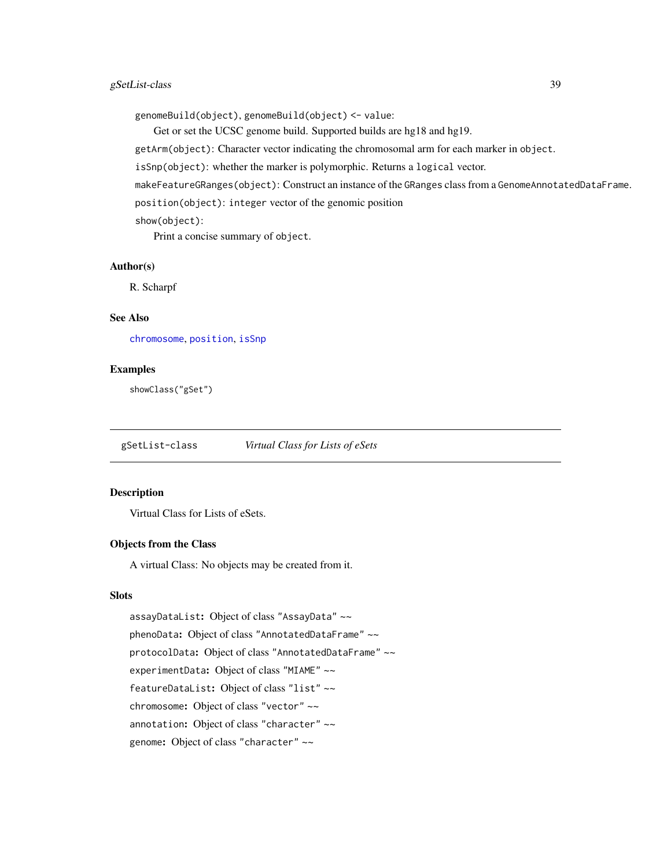# <span id="page-38-0"></span>gSetList-class 39

genomeBuild(object), genomeBuild(object) <- value:

Get or set the UCSC genome build. Supported builds are hg18 and hg19.

getArm(object): Character vector indicating the chromosomal arm for each marker in object.

isSnp(object): whether the marker is polymorphic. Returns a logical vector.

makeFeatureGRanges(object): Construct an instance of the GRanges class from a GenomeAnnotatedDataFrame.

position(object): integer vector of the genomic position

show(object):

Print a concise summary of object.

# Author(s)

R. Scharpf

# See Also

[chromosome](#page-15-0), [position](#page-55-0), [isSnp](#page-44-0)

#### Examples

showClass("gSet")

gSetList-class *Virtual Class for Lists of eSets*

#### Description

Virtual Class for Lists of eSets.

#### Objects from the Class

A virtual Class: No objects may be created from it.

# Slots

assayDataList: Object of class "AssayData" ~~ phenoData: Object of class "AnnotatedDataFrame" ~~ protocolData: Object of class "AnnotatedDataFrame" ~~ experimentData: Object of class "MIAME" ~~ featureDataList: Object of class "list" ~~ chromosome: Object of class "vector" ~~ annotation: Object of class "character" ~~ genome: Object of class "character" ~~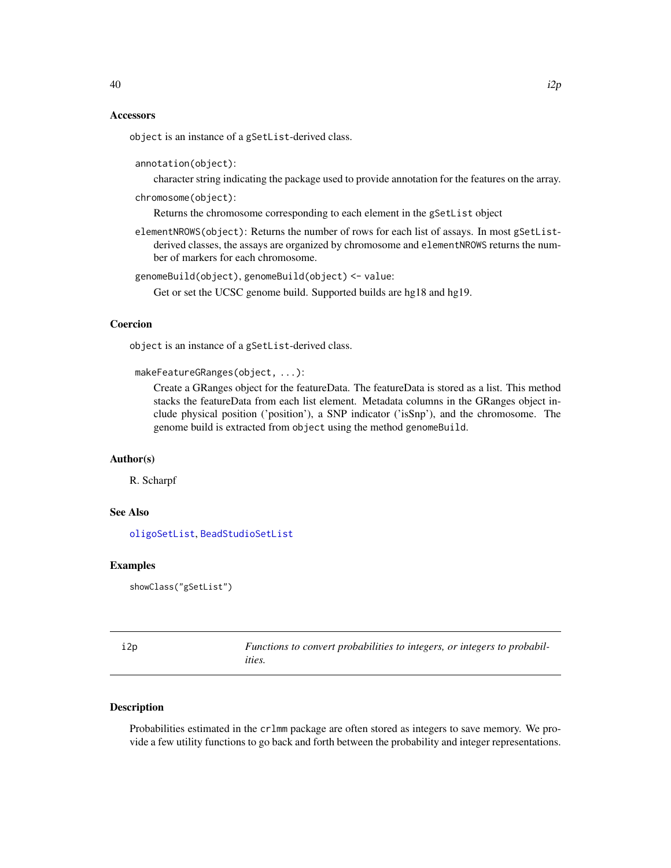#### <span id="page-39-2"></span>**Accessors**

object is an instance of a gSetList-derived class.

annotation(object):

character string indicating the package used to provide annotation for the features on the array.

chromosome(object):

Returns the chromosome corresponding to each element in the gSetList object

elementNROWS(object): Returns the number of rows for each list of assays. In most gSetListderived classes, the assays are organized by chromosome and elementNROWS returns the number of markers for each chromosome.

```
genomeBuild(object), genomeBuild(object) <- value:
```
Get or set the UCSC genome build. Supported builds are hg18 and hg19.

# Coercion

object is an instance of a gSetList-derived class.

```
makeFeatureGRanges(object, ...):
```
Create a GRanges object for the featureData. The featureData is stored as a list. This method stacks the featureData from each list element. Metadata columns in the GRanges object include physical position ('position'), a SNP indicator ('isSnp'), and the chromosome. The genome build is extracted from object using the method genomeBuild.

#### Author(s)

R. Scharpf

# See Also

[oligoSetList](#page-10-0), [BeadStudioSetList](#page-10-1)

#### Examples

showClass("gSetList")

<span id="page-39-1"></span>

| i2p | Functions to convert probabilities to integers, or integers to probabil- |
|-----|--------------------------------------------------------------------------|
|     | ities.                                                                   |

# <span id="page-39-0"></span>**Description**

Probabilities estimated in the crlmm package are often stored as integers to save memory. We provide a few utility functions to go back and forth between the probability and integer representations.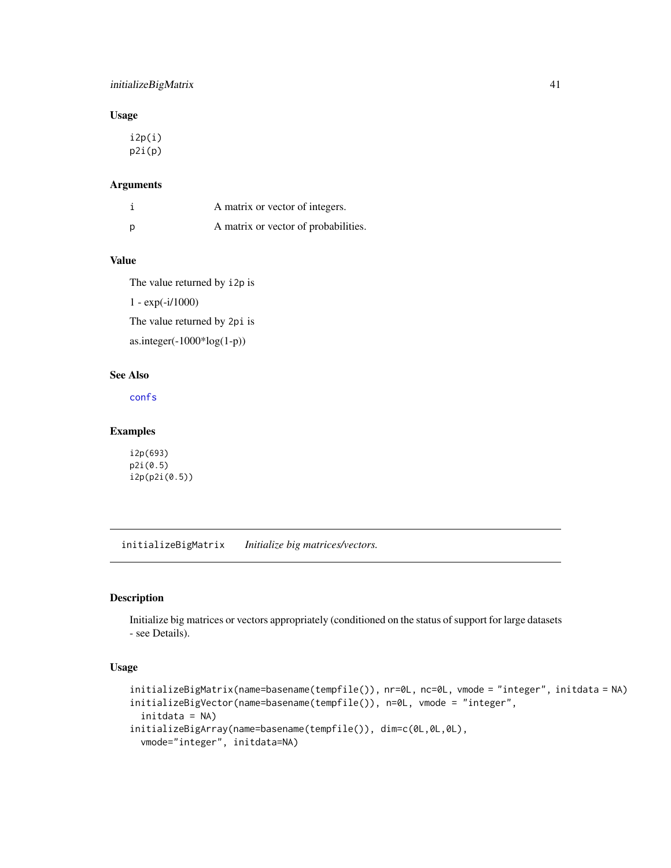# <span id="page-40-0"></span>initializeBigMatrix 41

# Usage

i2p(i) p2i(p)

#### Arguments

|   | A matrix or vector of integers.      |
|---|--------------------------------------|
| p | A matrix or vector of probabilities. |

# Value

The value returned by i2p is

1 - exp(-i/1000)

The value returned by 2pi is

as.integer(-1000\*log(1-p))

# See Also

[confs](#page-60-0)

#### Examples

i2p(693) p2i(0.5) i2p(p2i(0.5))

initializeBigMatrix *Initialize big matrices/vectors.*

# Description

Initialize big matrices or vectors appropriately (conditioned on the status of support for large datasets - see Details).

#### Usage

```
initializeBigMatrix(name=basename(tempfile()), nr=0L, nc=0L, vmode = "integer", initdata = NA)
initializeBigVector(name=basename(tempfile()), n=0L, vmode = "integer",
  initdata = NA)
initializeBigArray(name=basename(tempfile()), dim=c(0L,0L,0L),
 vmode="integer", initdata=NA)
```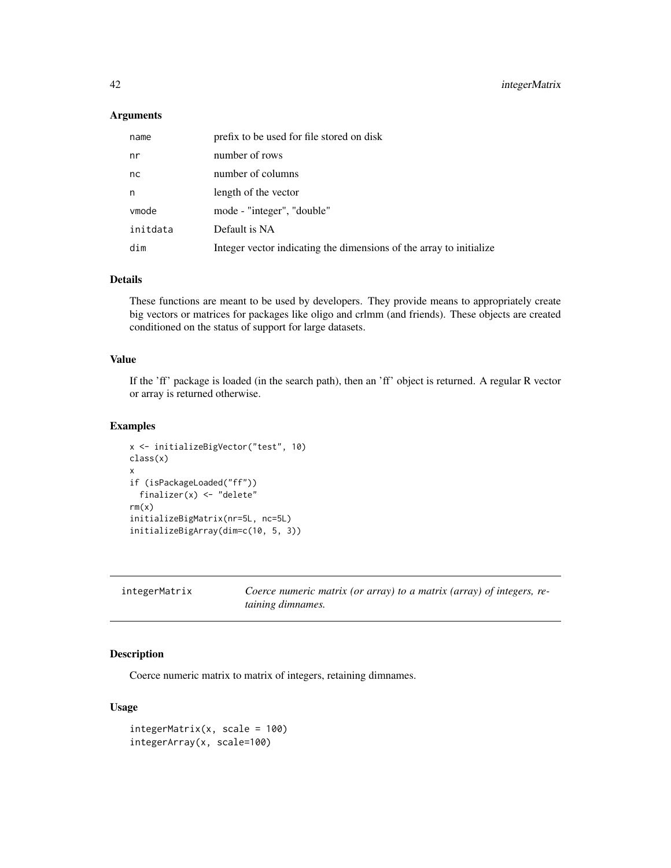# <span id="page-41-0"></span>Arguments

| name     | prefix to be used for file stored on disk                           |
|----------|---------------------------------------------------------------------|
| nr       | number of rows                                                      |
| nc       | number of columns                                                   |
| n        | length of the vector                                                |
| vmode    | mode - "integer", "double"                                          |
| initdata | Default is NA                                                       |
| dim      | Integer vector indicating the dimensions of the array to initialize |

# Details

These functions are meant to be used by developers. They provide means to appropriately create big vectors or matrices for packages like oligo and crlmm (and friends). These objects are created conditioned on the status of support for large datasets.

#### Value

If the 'ff' package is loaded (in the search path), then an 'ff' object is returned. A regular R vector or array is returned otherwise.

#### Examples

```
x <- initializeBigVector("test", 10)
class(x)
x
if (isPackageLoaded("ff"))
  finalizer(x) <- "delete"
rm(x)initializeBigMatrix(nr=5L, nc=5L)
initializeBigArray(dim=c(10, 5, 3))
```

| integerMatrix |  |
|---------------|--|
|---------------|--|

Coerce numeric matrix (or array) to a matrix (array) of integers, re*taining dimnames.*

#### Description

Coerce numeric matrix to matrix of integers, retaining dimnames.

# Usage

```
integerMatrix(x, scale = 100)integerArray(x, scale=100)
```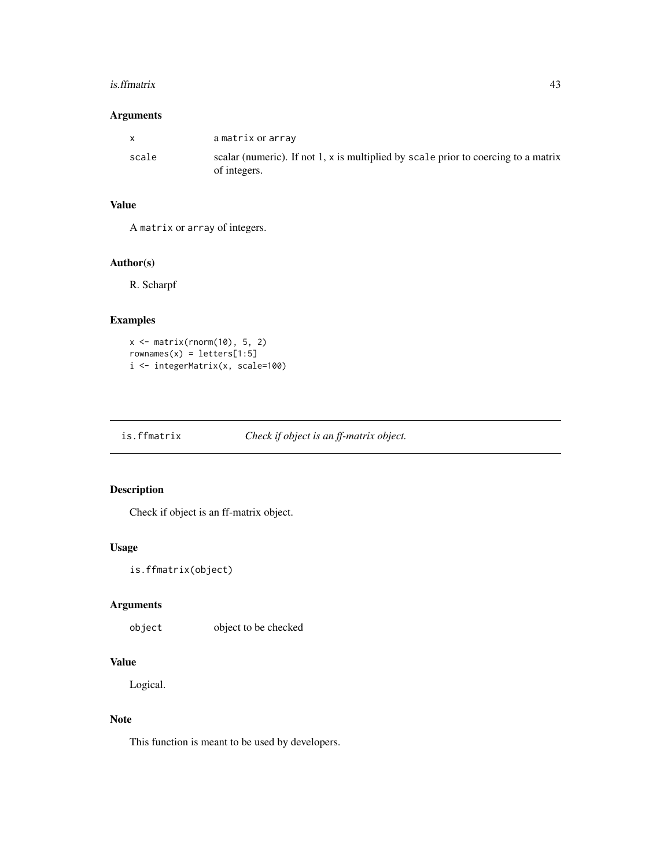#### <span id="page-42-0"></span>is.ffmatrix 43

# Arguments

| $\mathsf{x}$ | a matrix or array                                                                                  |
|--------------|----------------------------------------------------------------------------------------------------|
| scale        | scalar (numeric). If not 1, x is multiplied by scale prior to coercing to a matrix<br>of integers. |

# Value

A matrix or array of integers.

# Author(s)

R. Scharpf

# Examples

```
x \leftarrow \text{matrix}(rnorm(10), 5, 2)rownames(x) = letters[1:5]i <- integerMatrix(x, scale=100)
```
is.ffmatrix *Check if object is an ff-matrix object.*

# Description

Check if object is an ff-matrix object.

#### Usage

```
is.ffmatrix(object)
```
# Arguments

object object to be checked

#### Value

Logical.

# Note

This function is meant to be used by developers.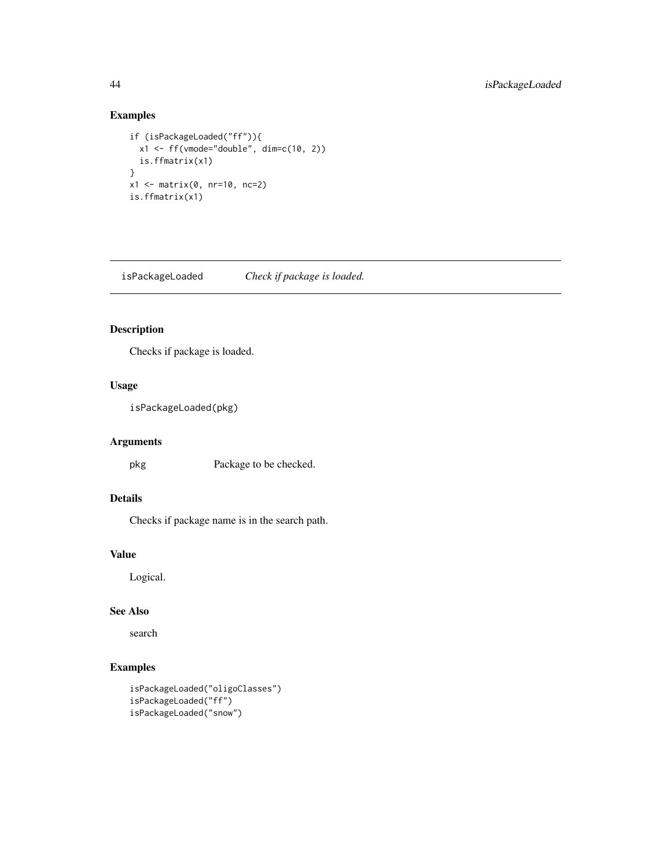# Examples

```
if (isPackageLoaded("ff")){
  x1 \leftarrow ff(\text{vmode}="double", \text{dim}=c(10, 2))is.ffmatrix(x1)
}
x1 <- matrix(0, nr=10, nc=2)
is.ffmatrix(x1)
```
isPackageLoaded *Check if package is loaded.*

# Description

Checks if package is loaded.

# Usage

isPackageLoaded(pkg)

# Arguments

pkg Package to be checked.

# Details

Checks if package name is in the search path.

# Value

Logical.

# See Also

search

```
isPackageLoaded("oligoClasses")
isPackageLoaded("ff")
isPackageLoaded("snow")
```
<span id="page-43-0"></span>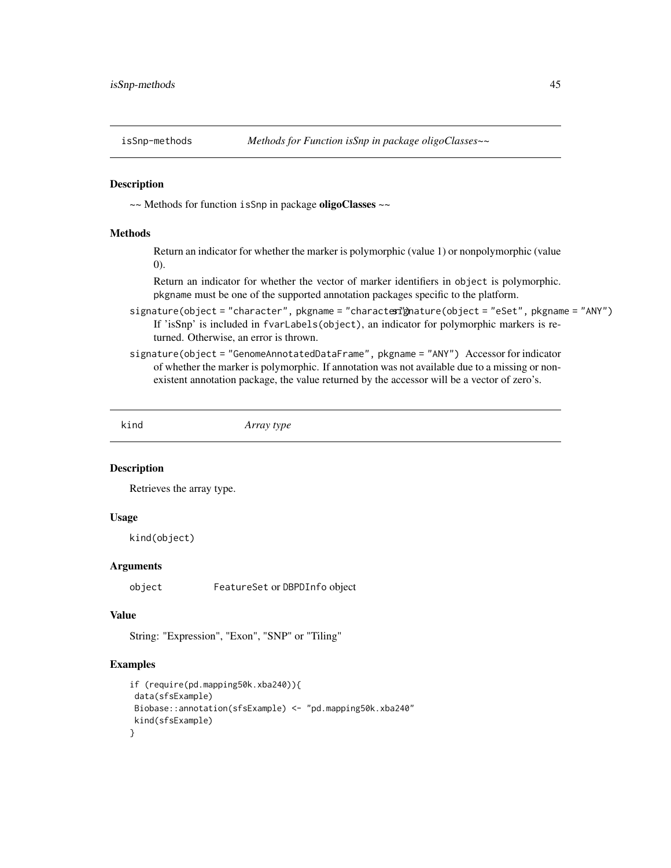<span id="page-44-1"></span><span id="page-44-0"></span>

~~ Methods for function isSnp in package oligoClasses ~~

#### Methods

Return an indicator for whether the marker is polymorphic (value 1) or nonpolymorphic (value 0).

Return an indicator for whether the vector of marker identifiers in object is polymorphic. pkgname must be one of the supported annotation packages specific to the platform.

- signature(object = "character", pkgname = "charactexignature(object = "eSet", pkgname = "ANY") If 'isSnp' is included in fvarLabels(object), an indicator for polymorphic markers is returned. Otherwise, an error is thrown.
- signature(object = "GenomeAnnotatedDataFrame", pkgname = "ANY") Accessor for indicator of whether the marker is polymorphic. If annotation was not available due to a missing or nonexistent annotation package, the value returned by the accessor will be a vector of zero's.

kind *Array type*

#### Description

Retrieves the array type.

#### Usage

kind(object)

#### **Arguments**

object FeatureSet or DBPDInfo object

#### Value

String: "Expression", "Exon", "SNP" or "Tiling"

```
if (require(pd.mapping50k.xba240)){
data(sfsExample)
Biobase::annotation(sfsExample) <- "pd.mapping50k.xba240"
kind(sfsExample)
}
```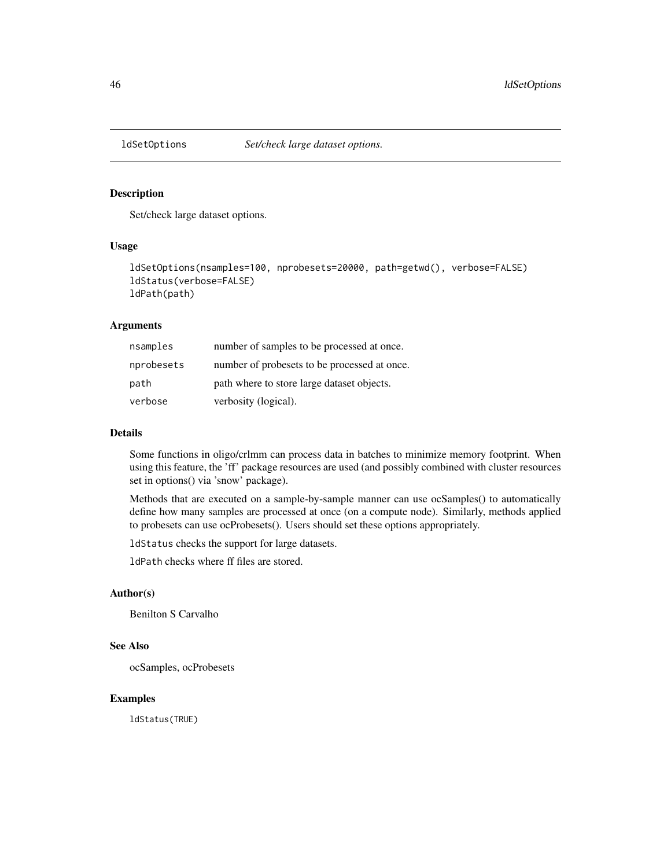<span id="page-45-0"></span>

Set/check large dataset options.

# Usage

```
ldSetOptions(nsamples=100, nprobesets=20000, path=getwd(), verbose=FALSE)
ldStatus(verbose=FALSE)
ldPath(path)
```
# Arguments

| nsamples   | number of samples to be processed at once.   |
|------------|----------------------------------------------|
| nprobesets | number of probesets to be processed at once. |
| path       | path where to store large dataset objects.   |
| verbose    | verbosity (logical).                         |

#### Details

Some functions in oligo/crlmm can process data in batches to minimize memory footprint. When using this feature, the 'ff' package resources are used (and possibly combined with cluster resources set in options() via 'snow' package).

Methods that are executed on a sample-by-sample manner can use ocSamples() to automatically define how many samples are processed at once (on a compute node). Similarly, methods applied to probesets can use ocProbesets(). Users should set these options appropriately.

ldStatus checks the support for large datasets.

ldPath checks where ff files are stored.

#### Author(s)

Benilton S Carvalho

# See Also

ocSamples, ocProbesets

# Examples

ldStatus(TRUE)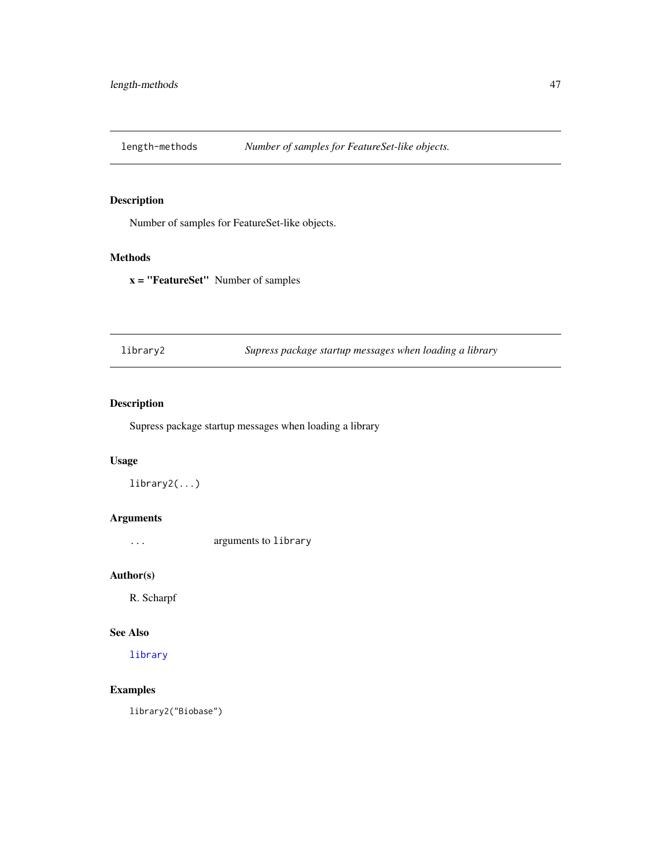<span id="page-46-0"></span>

Number of samples for FeatureSet-like objects.

#### Methods

x = "FeatureSet" Number of samples

library2 *Supress package startup messages when loading a library*

# Description

Supress package startup messages when loading a library

# Usage

library2(...)

# Arguments

... arguments to library

# Author(s)

R. Scharpf

# See Also

[library](#page-0-0)

# Examples

library2("Biobase")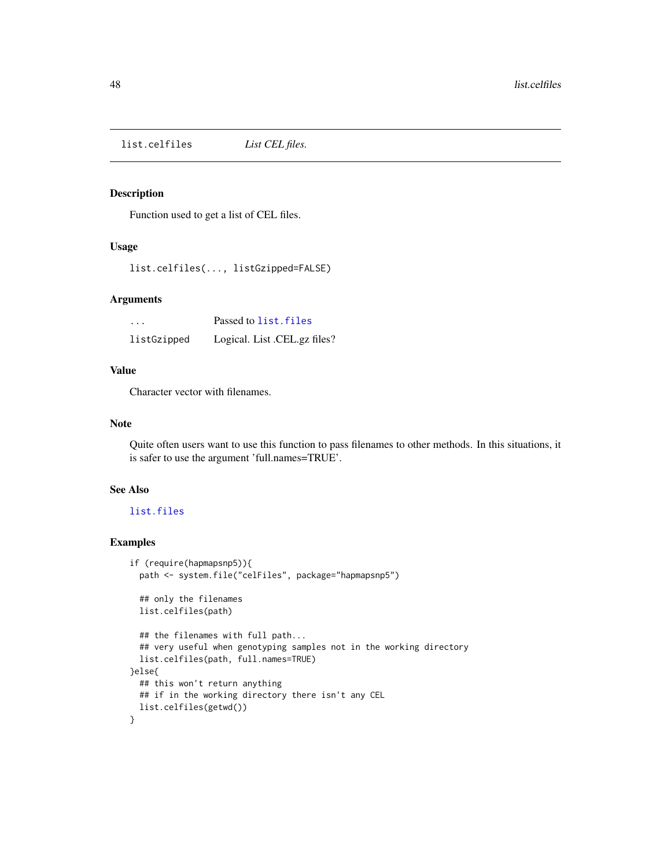<span id="page-47-0"></span>list.celfiles *List CEL files.*

# Description

Function used to get a list of CEL files.

# Usage

list.celfiles(..., listGzipped=FALSE)

#### Arguments

| $\cdots$    | Passed to list. files        |
|-------------|------------------------------|
| listGzipped | Logical. List .CEL.gz files? |

#### Value

Character vector with filenames.

# Note

Quite often users want to use this function to pass filenames to other methods. In this situations, it is safer to use the argument 'full.names=TRUE'.

#### See Also

# [list.files](#page-0-0)

```
if (require(hapmapsnp5)){
 path <- system.file("celFiles", package="hapmapsnp5")
 ## only the filenames
 list.celfiles(path)
 ## the filenames with full path...
 ## very useful when genotyping samples not in the working directory
 list.celfiles(path, full.names=TRUE)
}else{
 ## this won't return anything
 ## if in the working directory there isn't any CEL
 list.celfiles(getwd())
}
```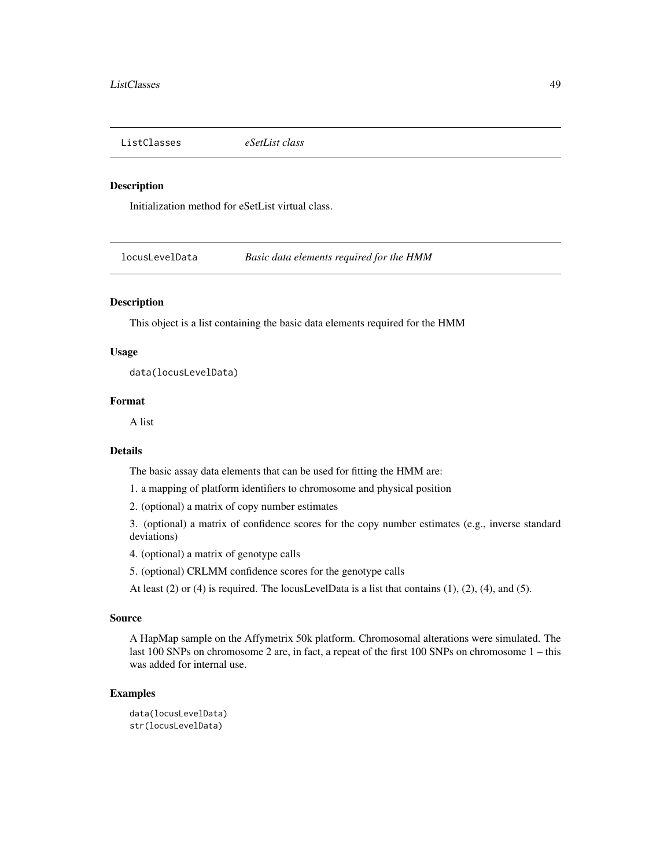<span id="page-48-1"></span>ListClasses *eSetList class*

#### Description

Initialization method for eSetList virtual class.

<span id="page-48-0"></span>locusLevelData *Basic data elements required for the HMM*

# Description

This object is a list containing the basic data elements required for the HMM

#### Usage

data(locusLevelData)

#### Format

A list

#### Details

The basic assay data elements that can be used for fitting the HMM are:

1. a mapping of platform identifiers to chromosome and physical position

2. (optional) a matrix of copy number estimates

3. (optional) a matrix of confidence scores for the copy number estimates (e.g., inverse standard deviations)

4. (optional) a matrix of genotype calls

5. (optional) CRLMM confidence scores for the genotype calls

At least  $(2)$  or  $(4)$  is required. The locusLevelData is a list that contains  $(1)$ ,  $(2)$ ,  $(4)$ , and  $(5)$ .

#### Source

A HapMap sample on the Affymetrix 50k platform. Chromosomal alterations were simulated. The last 100 SNPs on chromosome 2 are, in fact, a repeat of the first 100 SNPs on chromosome 1 – this was added for internal use.

```
data(locusLevelData)
str(locusLevelData)
```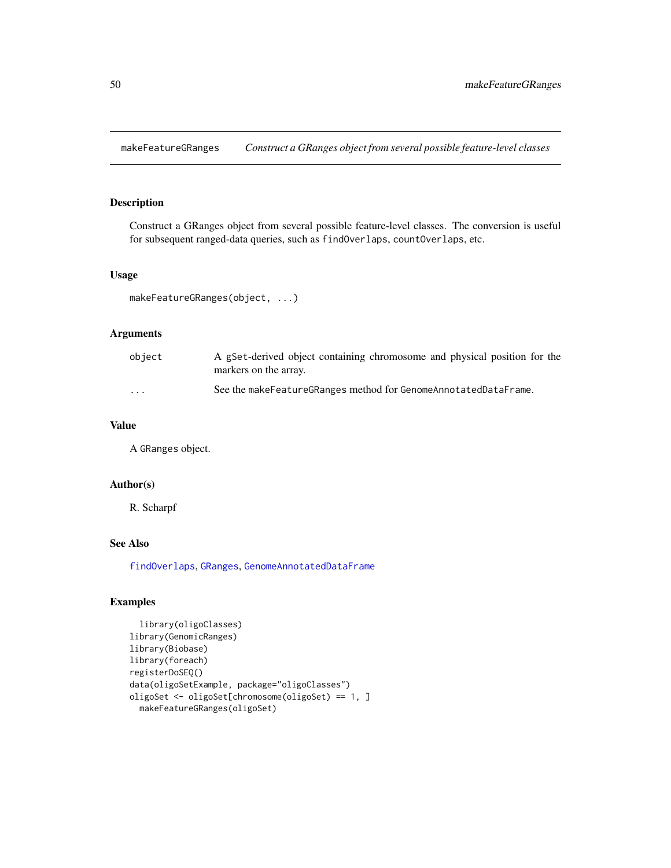<span id="page-49-0"></span>makeFeatureGRanges *Construct a GRanges object from several possible feature-level classes*

# Description

Construct a GRanges object from several possible feature-level classes. The conversion is useful for subsequent ranged-data queries, such as findOverlaps, countOverlaps, etc.

#### Usage

```
makeFeatureGRanges(object, ...)
```
# Arguments

| object   | A gSet-derived object containing chromosome and physical position for the<br>markers on the array. |
|----------|----------------------------------------------------------------------------------------------------|
| $\cdots$ | See the make Feature GRanges method for Genome Annotated Data Frame.                               |

# Value

A GRanges object.

# Author(s)

R. Scharpf

# See Also

[findOverlaps](#page-0-0), [GRanges](#page-0-0), [GenomeAnnotatedDataFrame](#page-29-0)

```
library(oligoClasses)
library(GenomicRanges)
library(Biobase)
library(foreach)
registerDoSEQ()
data(oligoSetExample, package="oligoClasses")
oligoSet <- oligoSet[chromosome(oligoSet) == 1, ]
  makeFeatureGRanges(oligoSet)
```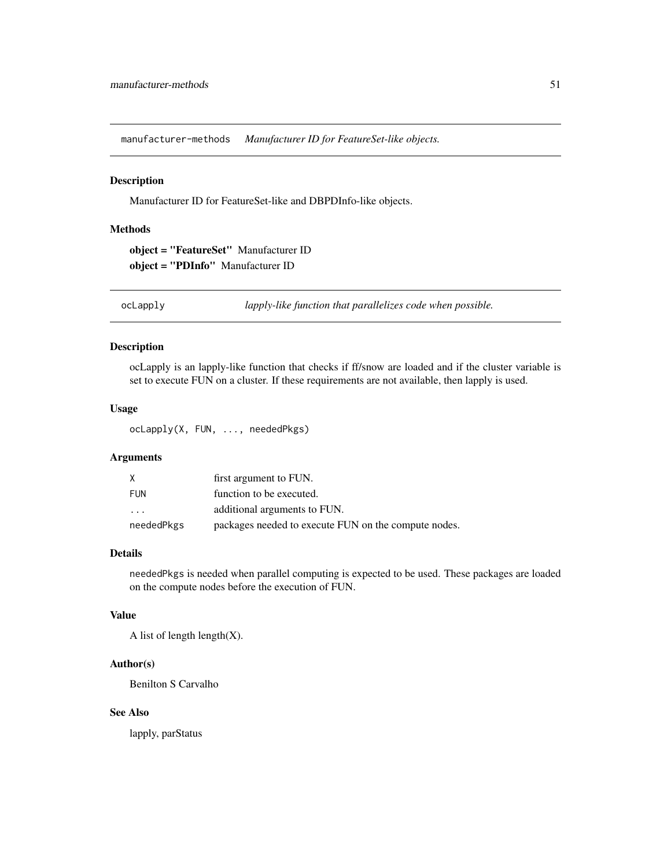<span id="page-50-0"></span>manufacturer-methods *Manufacturer ID for FeatureSet-like objects.*

#### Description

Manufacturer ID for FeatureSet-like and DBPDInfo-like objects.

# Methods

object = "FeatureSet" Manufacturer ID object = "PDInfo" Manufacturer ID

ocLapply *lapply-like function that parallelizes code when possible.*

#### Description

ocLapply is an lapply-like function that checks if ff/snow are loaded and if the cluster variable is set to execute FUN on a cluster. If these requirements are not available, then lapply is used.

# Usage

ocLapply(X, FUN, ..., neededPkgs)

# Arguments

| X                       | first argument to FUN.                               |
|-------------------------|------------------------------------------------------|
| <b>FUN</b>              | function to be executed.                             |
| $\cdot$ $\cdot$ $\cdot$ | additional arguments to FUN.                         |
| neededPkgs              | packages needed to execute FUN on the compute nodes. |

#### Details

neededPkgs is needed when parallel computing is expected to be used. These packages are loaded on the compute nodes before the execution of FUN.

# Value

A list of length length $(X)$ .

# Author(s)

Benilton S Carvalho

# See Also

lapply, parStatus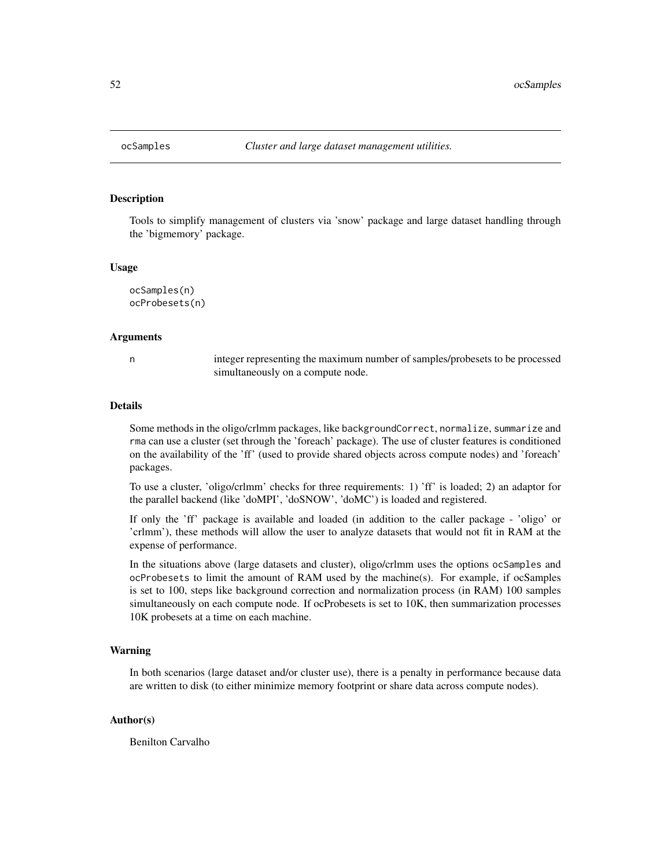<span id="page-51-0"></span>

Tools to simplify management of clusters via 'snow' package and large dataset handling through the 'bigmemory' package.

#### Usage

```
ocSamples(n)
ocProbesets(n)
```
#### Arguments

n integer representing the maximum number of samples/probesets to be processed simultaneously on a compute node.

# Details

Some methods in the oligo/crlmm packages, like backgroundCorrect, normalize, summarize and rma can use a cluster (set through the 'foreach' package). The use of cluster features is conditioned on the availability of the 'ff' (used to provide shared objects across compute nodes) and 'foreach' packages.

To use a cluster, 'oligo/crlmm' checks for three requirements: 1) 'ff' is loaded; 2) an adaptor for the parallel backend (like 'doMPI', 'doSNOW', 'doMC') is loaded and registered.

If only the 'ff' package is available and loaded (in addition to the caller package - 'oligo' or 'crlmm'), these methods will allow the user to analyze datasets that would not fit in RAM at the expense of performance.

In the situations above (large datasets and cluster), oligo/crlmm uses the options ocSamples and ocProbesets to limit the amount of RAM used by the machine(s). For example, if ocSamples is set to 100, steps like background correction and normalization process (in RAM) 100 samples simultaneously on each compute node. If ocProbesets is set to 10K, then summarization processes 10K probesets at a time on each machine.

#### Warning

In both scenarios (large dataset and/or cluster use), there is a penalty in performance because data are written to disk (to either minimize memory footprint or share data across compute nodes).

#### Author(s)

Benilton Carvalho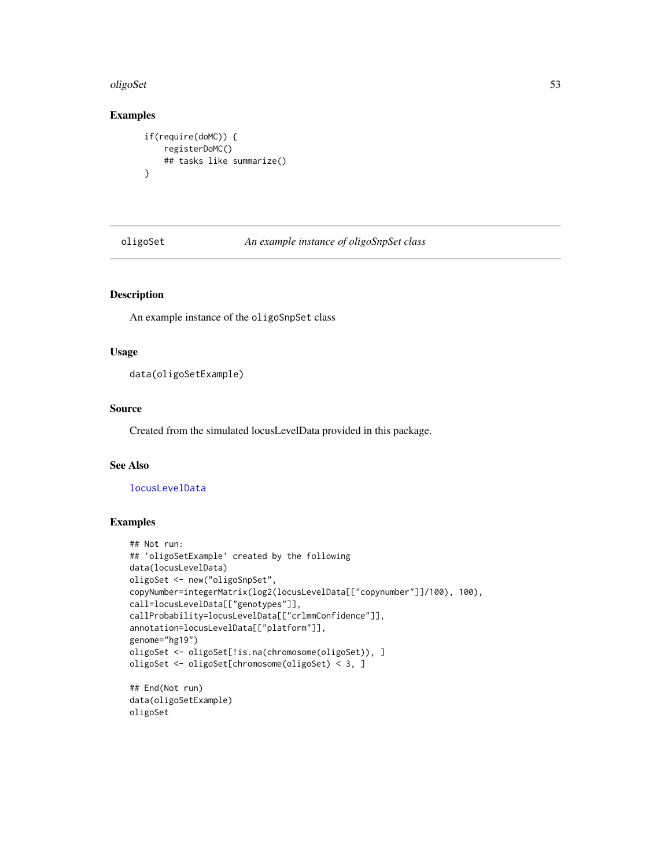#### <span id="page-52-0"></span>oligoSet 53

# Examples

```
if(require(doMC)) {
    registerDoMC()
    ## tasks like summarize()
}
```
oligoSet *An example instance of oligoSnpSet class*

# Description

An example instance of the oligoSnpSet class

# Usage

data(oligoSetExample)

#### Source

Created from the simulated locusLevelData provided in this package.

# See Also

#### [locusLevelData](#page-48-0)

#### Examples

oligoSet

```
## Not run:
## 'oligoSetExample' created by the following
data(locusLevelData)
oligoSet <- new("oligoSnpSet",
copyNumber=integerMatrix(log2(locusLevelData[["copynumber"]]/100), 100),
call=locusLevelData[["genotypes"]],
callProbability=locusLevelData[["crlmmConfidence"]],
annotation=locusLevelData[["platform"]],
genome="hg19")
oligoSet <- oligoSet[!is.na(chromosome(oligoSet)), ]
oligoSet <- oligoSet[chromosome(oligoSet) < 3, ]
## End(Not run)
data(oligoSetExample)
```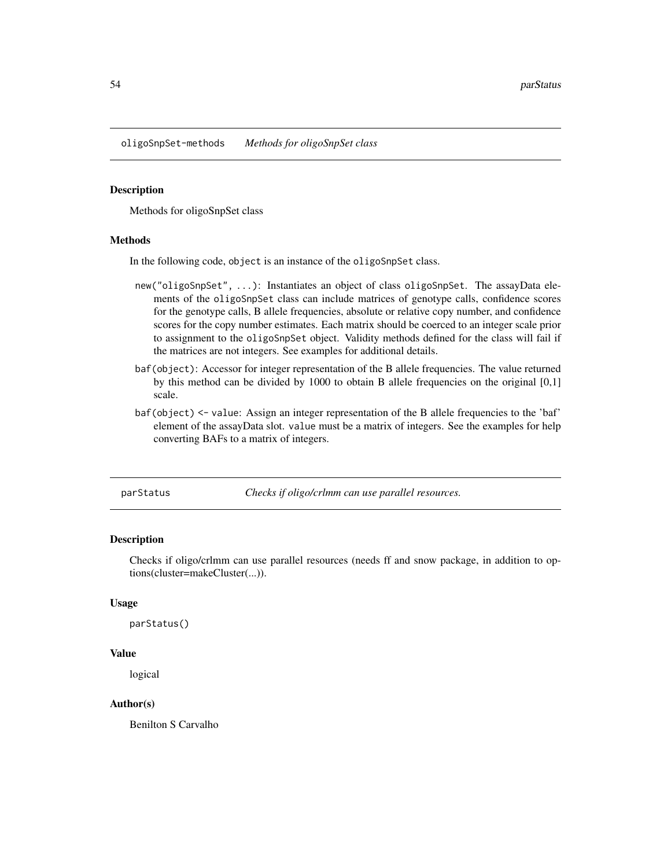<span id="page-53-0"></span>oligoSnpSet-methods *Methods for oligoSnpSet class*

#### Description

Methods for oligoSnpSet class

#### Methods

In the following code, object is an instance of the oligoSnpSet class.

- new("oligoSnpSet", ...): Instantiates an object of class oligoSnpSet. The assayData elements of the oligoSnpSet class can include matrices of genotype calls, confidence scores for the genotype calls, B allele frequencies, absolute or relative copy number, and confidence scores for the copy number estimates. Each matrix should be coerced to an integer scale prior to assignment to the oligoSnpSet object. Validity methods defined for the class will fail if the matrices are not integers. See examples for additional details.
- baf(object): Accessor for integer representation of the B allele frequencies. The value returned by this method can be divided by 1000 to obtain B allele frequencies on the original [0,1] scale.
- baf(object) <- value: Assign an integer representation of the B allele frequencies to the 'baf' element of the assayData slot. value must be a matrix of integers. See the examples for help converting BAFs to a matrix of integers.

parStatus *Checks if oligo/crlmm can use parallel resources.*

#### Description

Checks if oligo/crlmm can use parallel resources (needs ff and snow package, in addition to options(cluster=makeCluster(...)).

#### Usage

```
parStatus()
```
#### Value

logical

# Author(s)

Benilton S Carvalho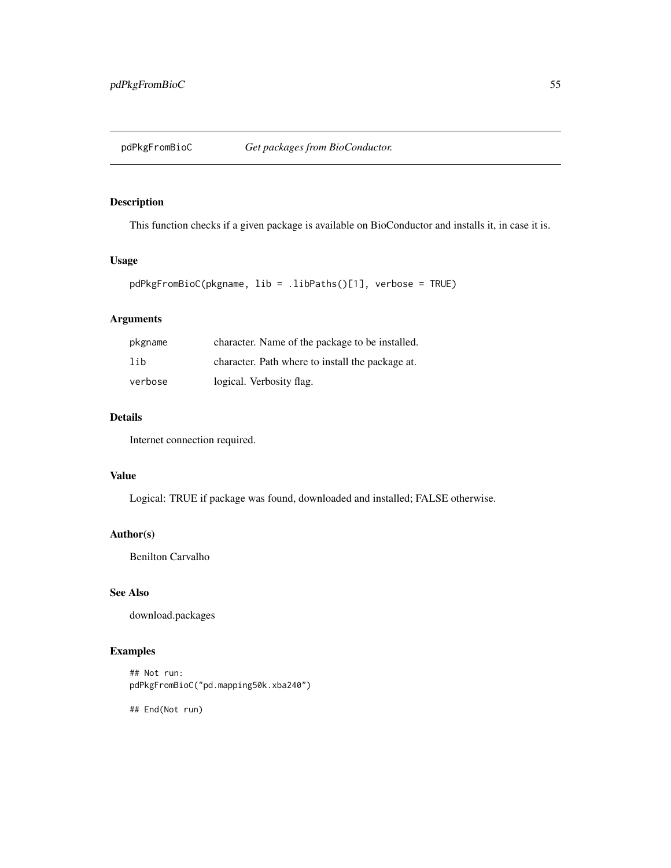<span id="page-54-0"></span>

This function checks if a given package is available on BioConductor and installs it, in case it is.

#### Usage

```
pdPkgFromBioC(pkgname, lib = .libPaths()[1], verbose = TRUE)
```
# Arguments

| pkgname | character. Name of the package to be installed.  |
|---------|--------------------------------------------------|
| lib     | character. Path where to install the package at. |
| verbose | logical. Verbosity flag.                         |

# Details

Internet connection required.

# Value

Logical: TRUE if package was found, downloaded and installed; FALSE otherwise.

# Author(s)

Benilton Carvalho

# See Also

download.packages

# Examples

## Not run: pdPkgFromBioC("pd.mapping50k.xba240")

## End(Not run)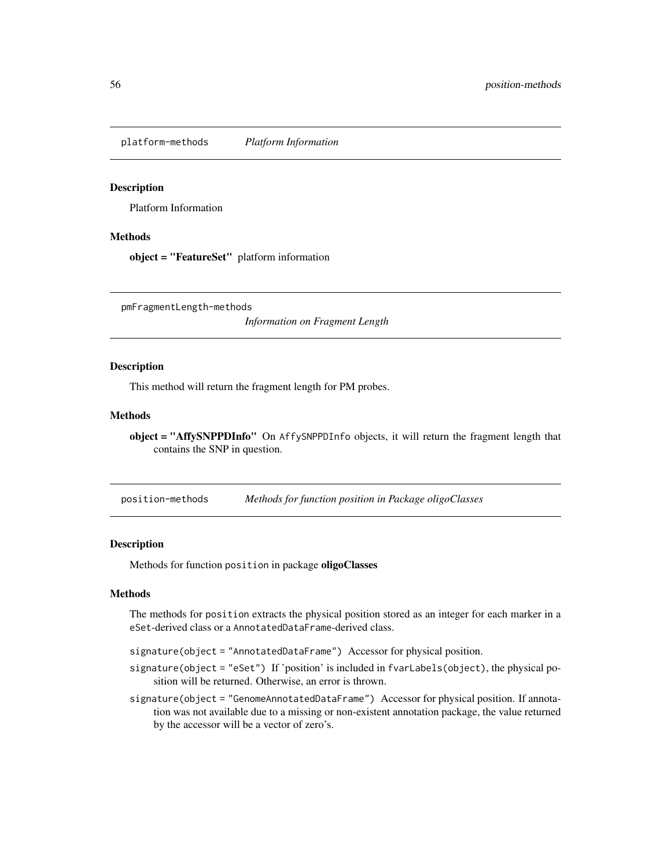<span id="page-55-1"></span>platform-methods *Platform Information*

#### Description

Platform Information

#### Methods

object = "FeatureSet" platform information

pmFragmentLength-methods

*Information on Fragment Length*

#### Description

This method will return the fragment length for PM probes.

# Methods

object = "AffySNPPDInfo" On AffySNPPDInfo objects, it will return the fragment length that contains the SNP in question.

position-methods *Methods for function position in Package oligoClasses*

#### <span id="page-55-0"></span>Description

Methods for function position in package oligoClasses

#### Methods

The methods for position extracts the physical position stored as an integer for each marker in a eSet-derived class or a AnnotatedDataFrame-derived class.

signature(object = "AnnotatedDataFrame") Accessor for physical position.

- signature(object = "eSet") If 'position' is included in fvarLabels(object), the physical position will be returned. Otherwise, an error is thrown.
- signature(object = "GenomeAnnotatedDataFrame") Accessor for physical position. If annotation was not available due to a missing or non-existent annotation package, the value returned by the accessor will be a vector of zero's.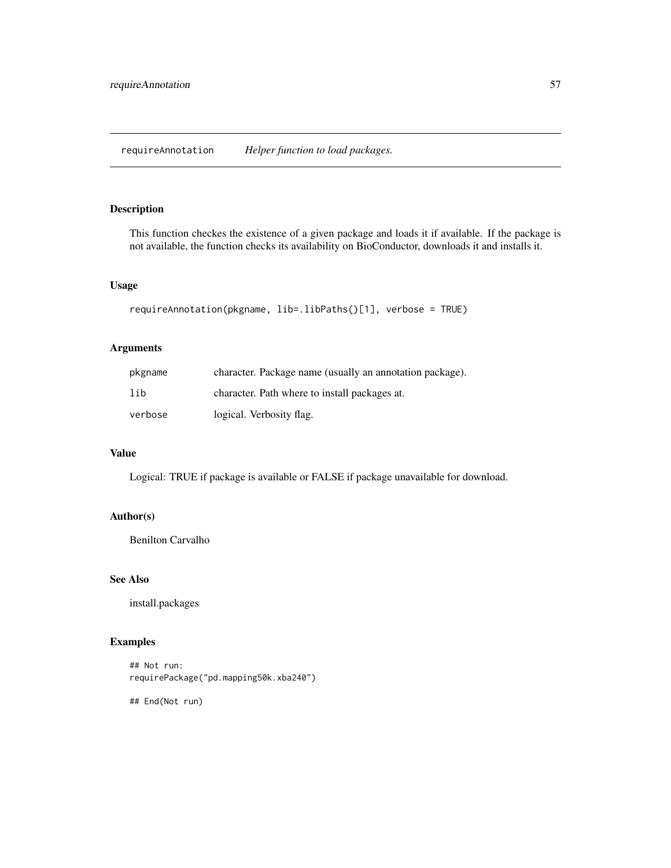<span id="page-56-0"></span>This function checkes the existence of a given package and loads it if available. If the package is not available, the function checks its availability on BioConductor, downloads it and installs it.

# Usage

```
requireAnnotation(pkgname, lib=.libPaths()[1], verbose = TRUE)
```
# Arguments

| pkgname | character. Package name (usually an annotation package). |
|---------|----------------------------------------------------------|
| lih     | character. Path where to install packages at.            |
| verbose | logical. Verbosity flag.                                 |

# Value

Logical: TRUE if package is available or FALSE if package unavailable for download.

# Author(s)

Benilton Carvalho

#### See Also

install.packages

# Examples

```
## Not run:
requirePackage("pd.mapping50k.xba240")
```
## End(Not run)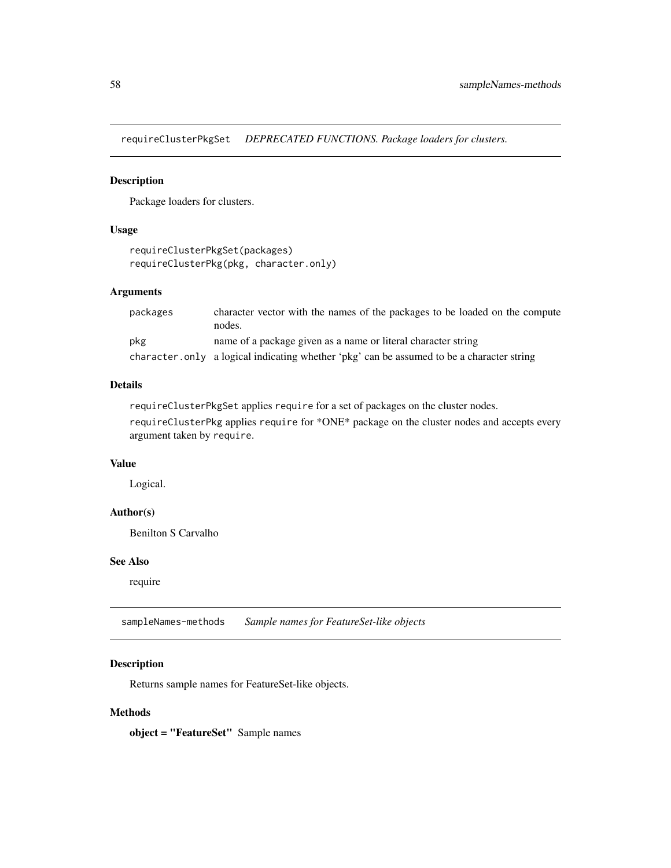<span id="page-57-0"></span>requireClusterPkgSet *DEPRECATED FUNCTIONS. Package loaders for clusters.*

# Description

Package loaders for clusters.

# Usage

```
requireClusterPkgSet(packages)
requireClusterPkg(pkg, character.only)
```
#### Arguments

| packages | character vector with the names of the packages to be loaded on the compute<br>nodes.     |
|----------|-------------------------------------------------------------------------------------------|
| pkg      | name of a package given as a name or literal character string                             |
|          | character only a logical indicating whether 'pkg' can be assumed to be a character string |

# Details

requireClusterPkgSet applies require for a set of packages on the cluster nodes.

requireClusterPkg applies require for \*ONE\* package on the cluster nodes and accepts every argument taken by require.

# Value

Logical.

# Author(s)

Benilton S Carvalho

# See Also

require

sampleNames-methods *Sample names for FeatureSet-like objects*

# Description

Returns sample names for FeatureSet-like objects.

# Methods

object = "FeatureSet" Sample names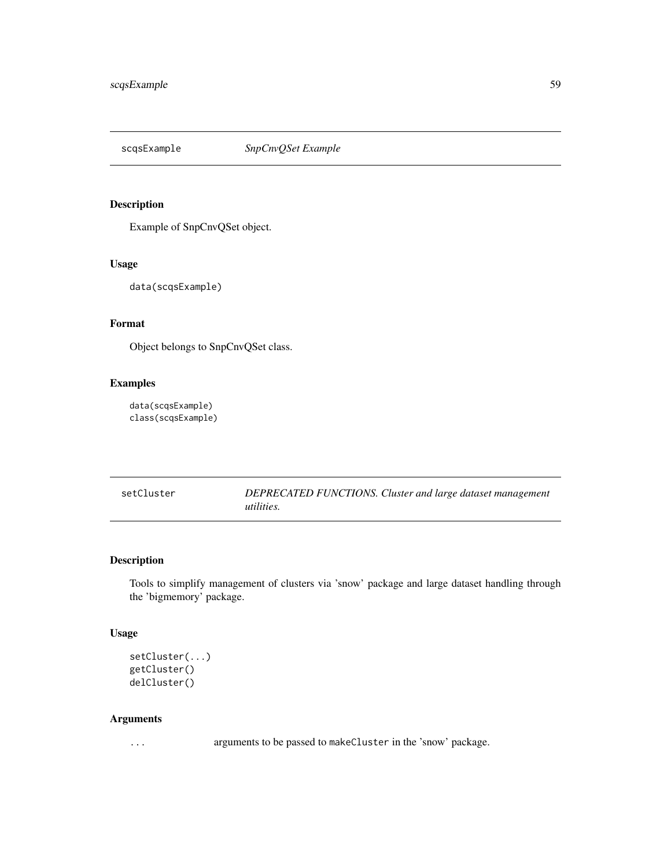<span id="page-58-0"></span>

Example of SnpCnvQSet object.

# Usage

data(scqsExample)

# Format

Object belongs to SnpCnvQSet class.

# Examples

data(scqsExample) class(scqsExample)

setCluster *DEPRECATED FUNCTIONS. Cluster and large dataset management utilities.*

# Description

Tools to simplify management of clusters via 'snow' package and large dataset handling through the 'bigmemory' package.

# Usage

```
setCluster(...)
getCluster()
delCluster()
```
#### Arguments

... arguments to be passed to makeCluster in the 'snow' package.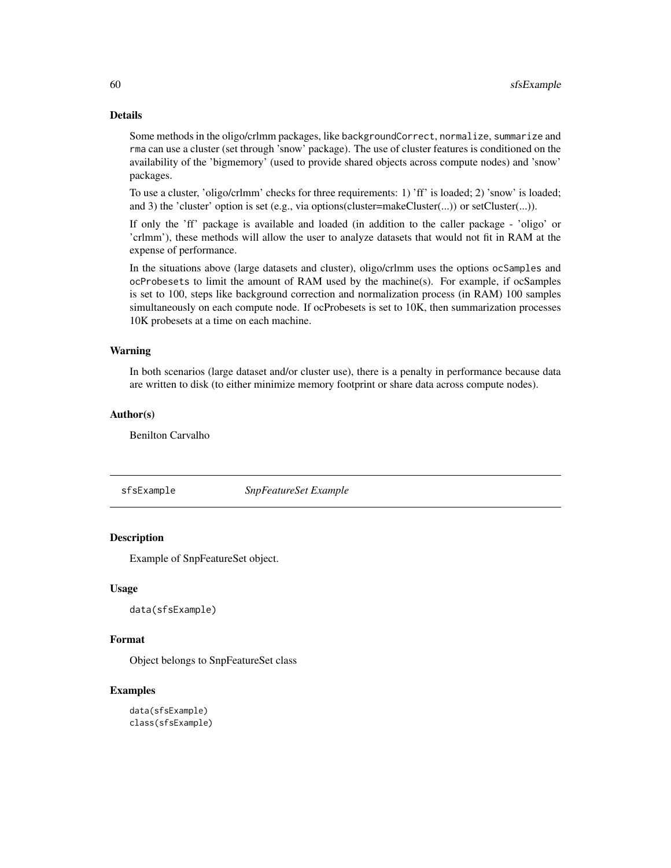# Details

Some methods in the oligo/crlmm packages, like backgroundCorrect, normalize, summarize and rma can use a cluster (set through 'snow' package). The use of cluster features is conditioned on the availability of the 'bigmemory' (used to provide shared objects across compute nodes) and 'snow' packages.

To use a cluster, 'oligo/crlmm' checks for three requirements: 1) 'ff' is loaded; 2) 'snow' is loaded; and 3) the 'cluster' option is set (e.g., via options(cluster=makeCluster(...)) or setCluster(...)).

If only the 'ff' package is available and loaded (in addition to the caller package - 'oligo' or 'crlmm'), these methods will allow the user to analyze datasets that would not fit in RAM at the expense of performance.

In the situations above (large datasets and cluster), oligo/crlmm uses the options ocSamples and ocProbesets to limit the amount of RAM used by the machine(s). For example, if ocSamples is set to 100, steps like background correction and normalization process (in RAM) 100 samples simultaneously on each compute node. If ocProbesets is set to 10K, then summarization processes 10K probesets at a time on each machine.

#### Warning

In both scenarios (large dataset and/or cluster use), there is a penalty in performance because data are written to disk (to either minimize memory footprint or share data across compute nodes).

# Author(s)

Benilton Carvalho

sfsExample *SnpFeatureSet Example*

#### Description

Example of SnpFeatureSet object.

#### Usage

data(sfsExample)

#### Format

Object belongs to SnpFeatureSet class

```
data(sfsExample)
class(sfsExample)
```
<span id="page-59-0"></span>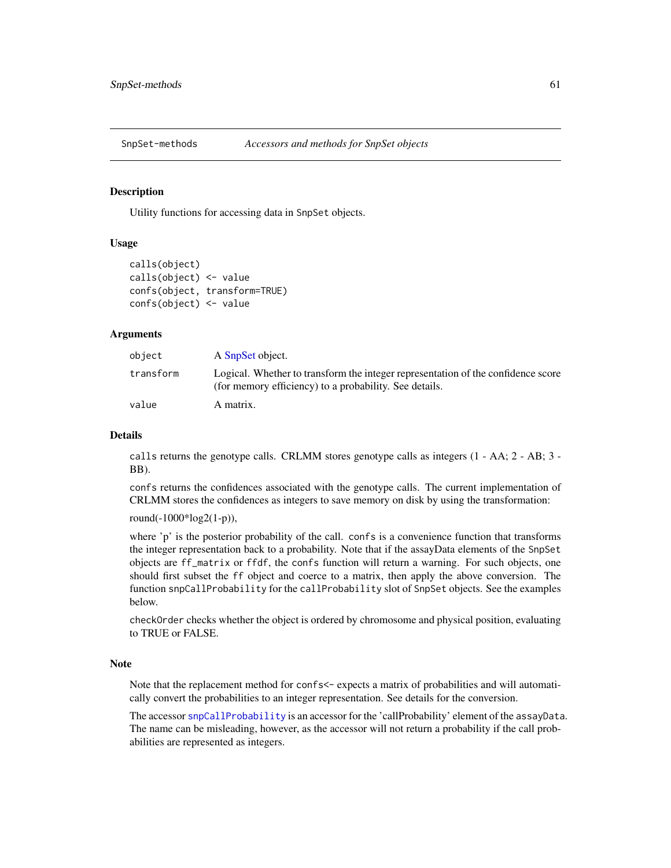<span id="page-60-1"></span>SnpSet-methods *Accessors and methods for SnpSet objects*

# <span id="page-60-0"></span>**Description**

Utility functions for accessing data in SnpSet objects.

#### Usage

```
calls(object)
calls(object) <- value
confs(object, transform=TRUE)
confs(object) <- value
```
#### Arguments

| object    | A SnpSet object.                                                                                                                           |
|-----------|--------------------------------------------------------------------------------------------------------------------------------------------|
| transform | Logical. Whether to transform the integer representation of the confidence score<br>(for memory efficiency) to a probability. See details. |
| value     | A matrix.                                                                                                                                  |

#### Details

calls returns the genotype calls. CRLMM stores genotype calls as integers (1 - AA; 2 - AB; 3 - BB).

confs returns the confidences associated with the genotype calls. The current implementation of CRLMM stores the confidences as integers to save memory on disk by using the transformation:

round(-1000\*log2(1-p)),

where 'p' is the posterior probability of the call. confs is a convenience function that transforms the integer representation back to a probability. Note that if the assayData elements of the SnpSet objects are ff\_matrix or ffdf, the confs function will return a warning. For such objects, one should first subset the ff object and coerce to a matrix, then apply the above conversion. The function snpCallProbability for the callProbability slot of SnpSet objects. See the examples below.

checkOrder checks whether the object is ordered by chromosome and physical position, evaluating to TRUE or FALSE.

#### **Note**

Note that the replacement method for confs<- expects a matrix of probabilities and will automatically convert the probabilities to an integer representation. See details for the conversion.

The accessor [snpCallProbability](#page-0-0) is an accessor for the 'callProbability' element of the assayData. The name can be misleading, however, as the accessor will not return a probability if the call probabilities are represented as integers.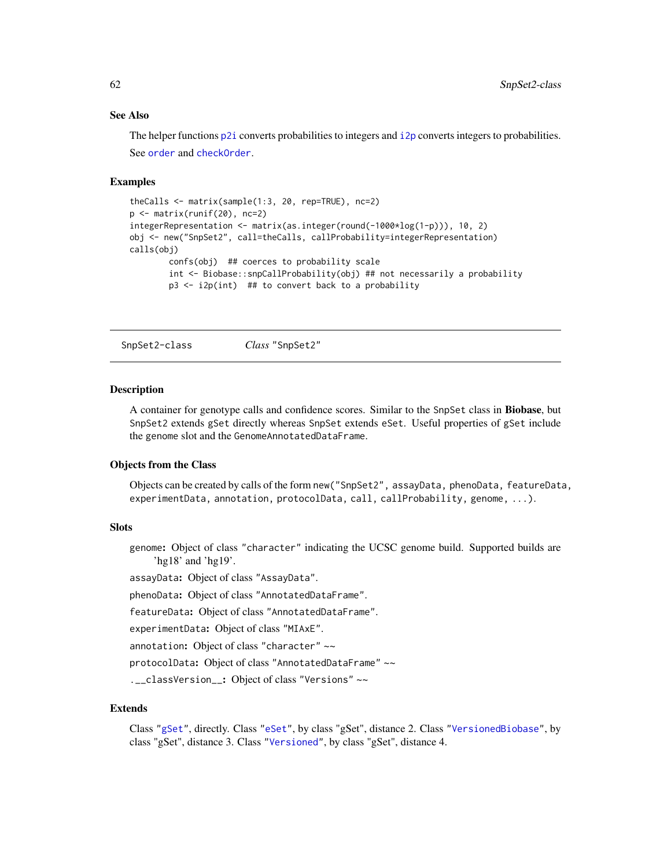#### <span id="page-61-0"></span>See Also

The helper functions  $p2i$  converts probabilities to integers and  $i2p$  converts integers to probabilities. See [order](#page-0-0) and [checkOrder](#page-14-0).

#### Examples

```
theCalls <- matrix(sample(1:3, 20, rep=TRUE), nc=2)
p \leftarrow matrix(runif(20), nc=2)
integerRepresentation <- matrix(as.integer(round(-1000*log(1-p))), 10, 2)
obj <- new("SnpSet2", call=theCalls, callProbability=integerRepresentation)
calls(obj)
        confs(obj) ## coerces to probability scale
        int <- Biobase::snpCallProbability(obj) ## not necessarily a probability
        p3 \leq i2p(int) ## to convert back to a probability
```
SnpSet2-class *Class* "SnpSet2"

#### Description

A container for genotype calls and confidence scores. Similar to the SnpSet class in Biobase, but SnpSet2 extends gSet directly whereas SnpSet extends eSet. Useful properties of gSet include the genome slot and the GenomeAnnotatedDataFrame.

#### Objects from the Class

Objects can be created by calls of the form new("SnpSet2", assayData, phenoData, featureData, experimentData, annotation, protocolData, call, callProbability, genome, ...).

#### **Slots**

genome: Object of class "character" indicating the UCSC genome build. Supported builds are 'hg18' and 'hg19'.

assayData: Object of class "AssayData".

phenoData: Object of class "AnnotatedDataFrame".

featureData: Object of class "AnnotatedDataFrame".

experimentData: Object of class "MIAxE".

annotation: Object of class "character" ~~

protocolData: Object of class "AnnotatedDataFrame" ~~

.\_\_classVersion\_: Object of class "Versions" ~~

#### Extends

Class ["gSet"](#page-37-0), directly. Class ["eSet"](#page-0-0), by class "gSet", distance 2. Class ["VersionedBiobase"](#page-0-0), by class "gSet", distance 3. Class ["Versioned"](#page-0-0), by class "gSet", distance 4.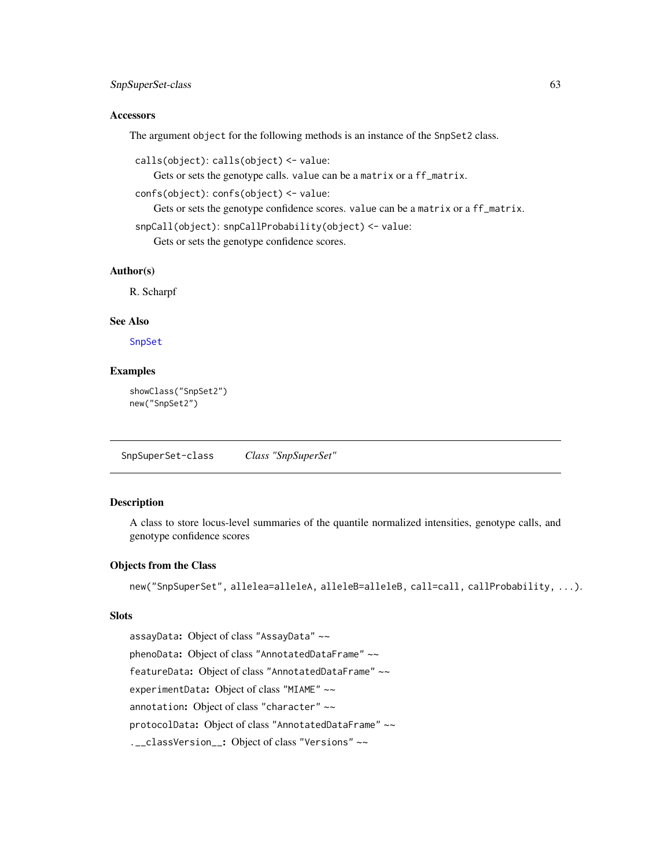# <span id="page-62-0"></span>SnpSuperSet-class 63

#### **Accessors**

The argument object for the following methods is an instance of the SnpSet2 class.

```
calls(object): calls(object) <- value:
```
Gets or sets the genotype calls. value can be a matrix or a ff\_matrix.

confs(object): confs(object) <- value:

Gets or sets the genotype confidence scores. value can be a matrix or a ff\_matrix.

```
snpCall(object): snpCallProbability(object) <- value:
```
Gets or sets the genotype confidence scores.

#### Author(s)

R. Scharpf

# See Also

[SnpSet](#page-0-0)

# Examples

```
showClass("SnpSet2")
new("SnpSet2")
```
SnpSuperSet-class *Class "SnpSuperSet"*

#### Description

A class to store locus-level summaries of the quantile normalized intensities, genotype calls, and genotype confidence scores

#### Objects from the Class

new("SnpSuperSet", allelea=alleleA, alleleB=alleleB, call=call, callProbability, ...).

# Slots

assayData: Object of class "AssayData" ~~ phenoData: Object of class "AnnotatedDataFrame" ~~ featureData: Object of class "AnnotatedDataFrame" ~~ experimentData: Object of class "MIAME" ~~ annotation: Object of class "character" ~~ protocolData: Object of class "AnnotatedDataFrame" ~~ .\_\_classVersion\_\_: Object of class "Versions" ~~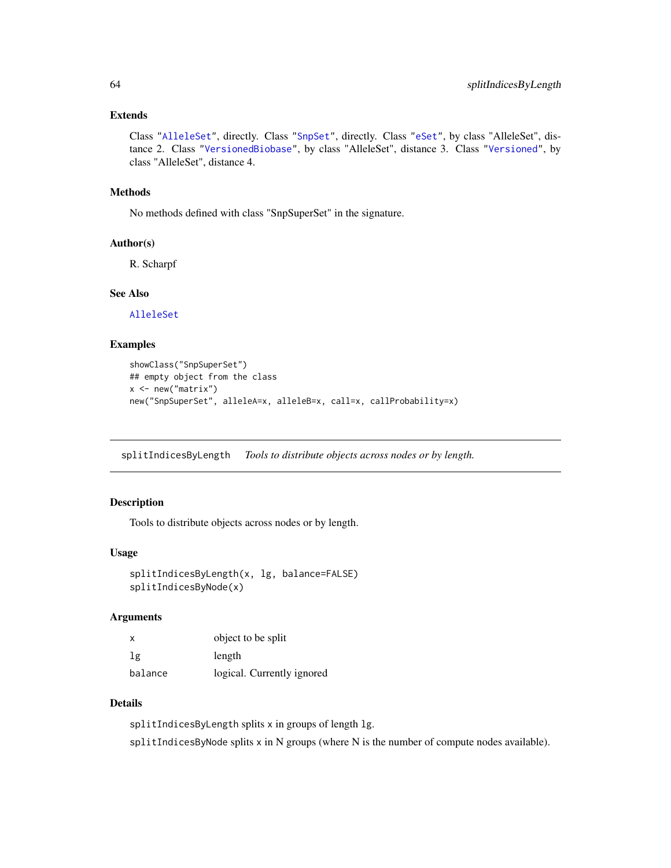# <span id="page-63-0"></span>Extends

Class ["AlleleSet"](#page-3-0), directly. Class ["SnpSet"](#page-0-0), directly. Class ["eSet"](#page-0-0), by class "AlleleSet", distance 2. Class ["VersionedBiobase"](#page-0-0), by class "AlleleSet", distance 3. Class ["Versioned"](#page-0-0), by class "AlleleSet", distance 4.

#### Methods

No methods defined with class "SnpSuperSet" in the signature.

#### Author(s)

R. Scharpf

#### See Also

[AlleleSet](#page-3-0)

# Examples

```
showClass("SnpSuperSet")
## empty object from the class
x \leq - new("matrix")
new("SnpSuperSet", alleleA=x, alleleB=x, call=x, callProbability=x)
```
splitIndicesByLength *Tools to distribute objects across nodes or by length.*

# Description

Tools to distribute objects across nodes or by length.

#### Usage

```
splitIndicesByLength(x, lg, balance=FALSE)
splitIndicesByNode(x)
```
#### Arguments

| X       | object to be split         |
|---------|----------------------------|
| lg      | length                     |
| balance | logical. Currently ignored |

#### Details

splitIndicesByLength splits x in groups of length lg. splitIndicesByNode splits x in N groups (where N is the number of compute nodes available).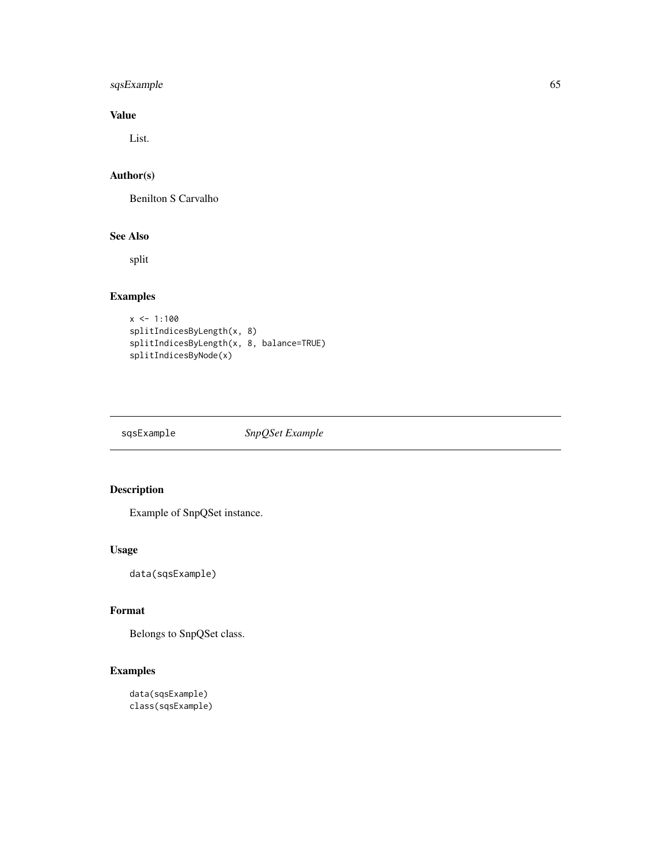# <span id="page-64-0"></span>sqsExample 65

# Value

List.

# Author(s)

Benilton S Carvalho

# See Also

split

# Examples

```
x \le -1:100splitIndicesByLength(x, 8)
splitIndicesByLength(x, 8, balance=TRUE)
splitIndicesByNode(x)
```
sqsExample *SnpQSet Example*

# Description

Example of SnpQSet instance.

# Usage

data(sqsExample)

# Format

Belongs to SnpQSet class.

```
data(sqsExample)
class(sqsExample)
```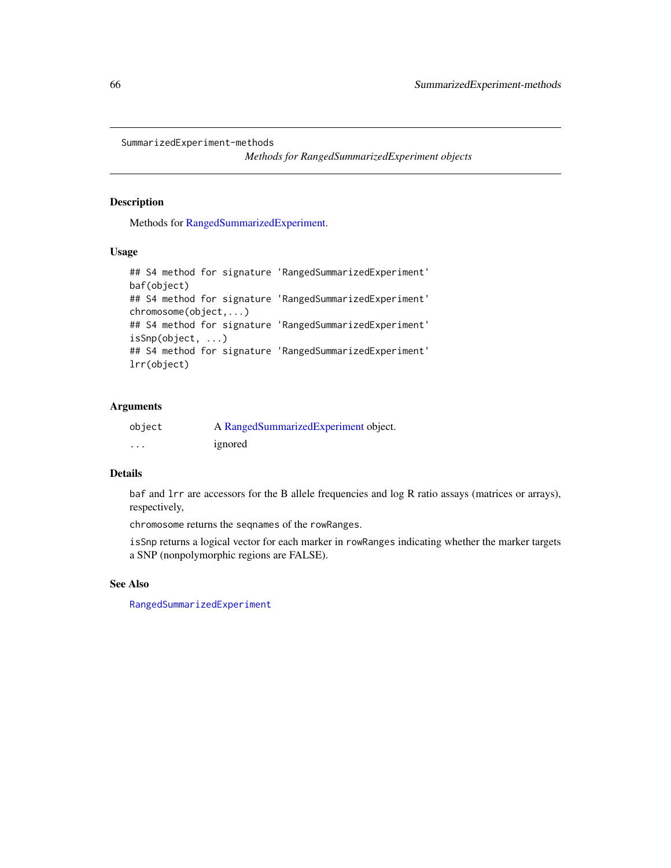```
SummarizedExperiment-methods
```
*Methods for RangedSummarizedExperiment objects*

#### Description

Methods for [RangedSummarizedExperiment.](#page-0-0)

# Usage

```
## S4 method for signature 'RangedSummarizedExperiment'
baf(object)
## S4 method for signature 'RangedSummarizedExperiment'
chromosome(object,...)
## S4 method for signature 'RangedSummarizedExperiment'
isSnp(object, ...)
## S4 method for signature 'RangedSummarizedExperiment'
lrr(object)
```
# Arguments

| object   | A RangedSummarizedExperiment object. |
|----------|--------------------------------------|
| $\cdots$ | ignored                              |

# Details

baf and lrr are accessors for the B allele frequencies and log R ratio assays (matrices or arrays), respectively,

chromosome returns the seqnames of the rowRanges.

isSnp returns a logical vector for each marker in rowRanges indicating whether the marker targets a SNP (nonpolymorphic regions are FALSE).

# See Also

[RangedSummarizedExperiment](#page-0-0)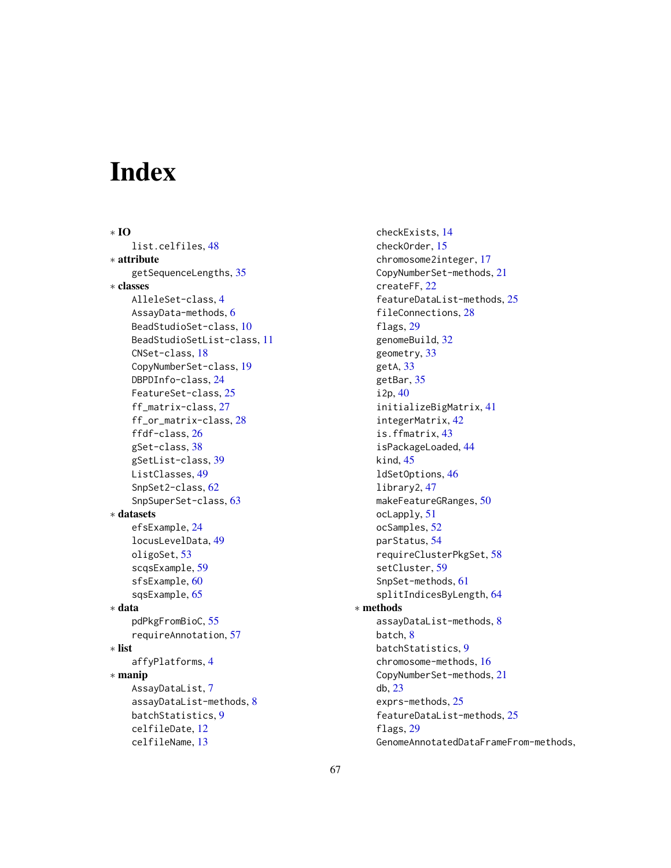# **Index**

∗ IO list.celfiles, [48](#page-47-0) ∗ attribute getSequenceLengths, [35](#page-34-0) ∗ classes AlleleSet-class, [4](#page-3-1) AssayData-methods, [6](#page-5-0) BeadStudioSet-class, [10](#page-9-0) BeadStudioSetList-class, [11](#page-10-2) CNSet-class, [18](#page-17-0) CopyNumberSet-class, [19](#page-18-0) DBPDInfo-class, [24](#page-23-0) FeatureSet-class, [25](#page-24-0) ff\_matrix-class, [27](#page-26-0) ff\_or\_matrix-class, [28](#page-27-0) ffdf-class, [26](#page-25-0) gSet-class, [38](#page-37-1) gSetList-class, [39](#page-38-0) ListClasses, [49](#page-48-1) SnpSet2-class, [62](#page-61-0) SnpSuperSet-class, [63](#page-62-0) ∗ datasets efsExample, [24](#page-23-0) locusLevelData, [49](#page-48-1) oligoSet, [53](#page-52-0) scqsExample, [59](#page-58-0) sfsExample, [60](#page-59-0) sqsExample, [65](#page-64-0) ∗ data pdPkgFromBioC, [55](#page-54-0) requireAnnotation, [57](#page-56-0) ∗ list affyPlatforms, [4](#page-3-1) ∗ manip AssayDataList, [7](#page-6-0) assayDataList-methods, [8](#page-7-0) batchStatistics, [9](#page-8-0) celfileDate, [12](#page-11-0) celfileName, [13](#page-12-0)

checkExists, [14](#page-13-0) checkOrder, [15](#page-14-1) chromosome2integer, [17](#page-16-0) CopyNumberSet-methods, [21](#page-20-0) createFF, [22](#page-21-0) featureDataList-methods, [25](#page-24-0) fileConnections, [28](#page-27-0) flags, [29](#page-28-0) genomeBuild, [32](#page-31-0) geometry, [33](#page-32-0) getA, [33](#page-32-0) getBar, [35](#page-34-0) i2p, [40](#page-39-2) initializeBigMatrix, [41](#page-40-0) integerMatrix, [42](#page-41-0) is.ffmatrix, [43](#page-42-0) isPackageLoaded, [44](#page-43-0) kind, [45](#page-44-1) ldSetOptions, [46](#page-45-0) library2, [47](#page-46-0) makeFeatureGRanges, [50](#page-49-0) ocLapply, [51](#page-50-0) ocSamples, [52](#page-51-0) parStatus, [54](#page-53-0) requireClusterPkgSet, [58](#page-57-0) setCluster, [59](#page-58-0) SnpSet-methods, [61](#page-60-1) splitIndicesByLength, [64](#page-63-0) ∗ methods assayDataList-methods, [8](#page-7-0) batch, [8](#page-7-0) batchStatistics, [9](#page-8-0) chromosome-methods, [16](#page-15-1) CopyNumberSet-methods, [21](#page-20-0) db, [23](#page-22-0) exprs-methods, [25](#page-24-0) featureDataList-methods, [25](#page-24-0) flags, [29](#page-28-0) GenomeAnnotatedDataFrameFrom-methods,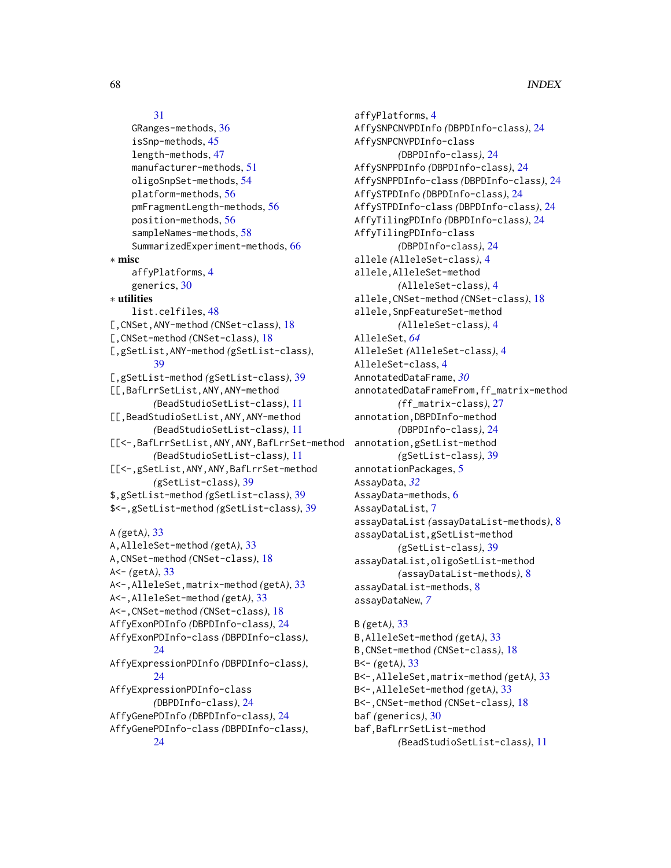#### [31](#page-30-0)

```
GRanges-methods, 36
    isSnp-methods, 45
    length-methods, 47
    manufacturer-methods, 51
    oligoSnpSet-methods, 54
    platform-methods, 56
    pmFragmentLength-methods, 56
    position-methods, 56
    sampleNames-methods, 58
    SummarizedExperiment-methods, 66
∗ misc
    affyPlatforms, 4
    generics, 30
∗ utilities
    list.celfiles, 48
[,CNSet,ANY-method (CNSet-class), 18
[,CNSet-method (CNSet-class), 18
[,gSetList,ANY-method (gSetList-class),
        39
[,gSetList-method (gSetList-class), 39
[[,BafLrrSetList,ANY,ANY-method
        (BeadStudioSetList-class), 11
[[,BeadStudioSetList,ANY,ANY-method
        (BeadStudioSetList-class), 11
[[<-,BafLrrSetList,ANY,ANY,BafLrrSet-method
        (BeadStudioSetList-class), 11
[[<-,gSetList,ANY,ANY,BafLrrSet-method
        (gSetList-class), 39
$,gSetList-method (gSetList-class), 39
$<-,gSetList-method (gSetList-class), 39
A (getA), 33
A,AlleleSet-method (getA), 33
A,CNSet-method (CNSet-class), 18
A<- (getA), 33
A<-,AlleleSet,matrix-method (getA), 33
A<-,AlleleSet-method (getA), 33
A<-,CNSet-method (CNSet-class), 18
AffyExonPDInfo (DBPDInfo-class), 24
AffyExonPDInfo-class (DBPDInfo-class),
        24
AffyExpressionPDInfo (DBPDInfo-class),
        24
AffyExpressionPDInfo-class
        (DBPDInfo-class), 24
AffyGenePDInfo (DBPDInfo-class), 24
AffyGenePDInfo-class (DBPDInfo-class),
        24
```
affyPlatforms, [4](#page-3-1) AffySNPCNVPDInfo *(*DBPDInfo-class*)*, [24](#page-23-0) AffySNPCNVPDInfo-class *(*DBPDInfo-class*)*, [24](#page-23-0) AffySNPPDInfo *(*DBPDInfo-class*)*, [24](#page-23-0) AffySNPPDInfo-class *(*DBPDInfo-class*)*, [24](#page-23-0) AffySTPDInfo *(*DBPDInfo-class*)*, [24](#page-23-0) AffySTPDInfo-class *(*DBPDInfo-class*)*, [24](#page-23-0) AffyTilingPDInfo *(*DBPDInfo-class*)*, [24](#page-23-0) AffyTilingPDInfo-class *(*DBPDInfo-class*)*, [24](#page-23-0) allele *(*AlleleSet-class*)*, [4](#page-3-1) allele,AlleleSet-method *(*AlleleSet-class*)*, [4](#page-3-1) allele,CNSet-method *(*CNSet-class*)*, [18](#page-17-0) allele,SnpFeatureSet-method *(*AlleleSet-class*)*, [4](#page-3-1) AlleleSet, *[64](#page-63-0)* AlleleSet *(*AlleleSet-class*)*, [4](#page-3-1) AlleleSet-class, [4](#page-3-1) AnnotatedDataFrame, *[30](#page-29-1)* annotatedDataFrameFrom,ff\_matrix-method *(*ff\_matrix-class*)*, [27](#page-26-0) annotation,DBPDInfo-method *(*DBPDInfo-class*)*, [24](#page-23-0) annotation,gSetList-method *(*gSetList-class*)*, [39](#page-38-0) annotationPackages, [5](#page-4-0) AssayData, *[32](#page-31-0)* AssayData-methods, [6](#page-5-0) AssayDataList, [7](#page-6-0) assayDataList *(*assayDataList-methods*)*, [8](#page-7-0) assayDataList,gSetList-method *(*gSetList-class*)*, [39](#page-38-0) assayDataList,oligoSetList-method *(*assayDataList-methods*)*, [8](#page-7-0) assayDataList-methods, [8](#page-7-0) assayDataNew, *[7](#page-6-0)*

# B *(*getA*)*, [33](#page-32-0) B,AlleleSet-method *(*getA*)*, [33](#page-32-0) B,CNSet-method *(*CNSet-class*)*, [18](#page-17-0) B<- *(*getA*)*, [33](#page-32-0) B<-,AlleleSet,matrix-method *(*getA*)*, [33](#page-32-0) B<-,AlleleSet-method *(*getA*)*, [33](#page-32-0) B<-,CNSet-method *(*CNSet-class*)*, [18](#page-17-0) baf *(*generics*)*, [30](#page-29-1) baf,BafLrrSetList-method *(*BeadStudioSetList-class*)*, [11](#page-10-2)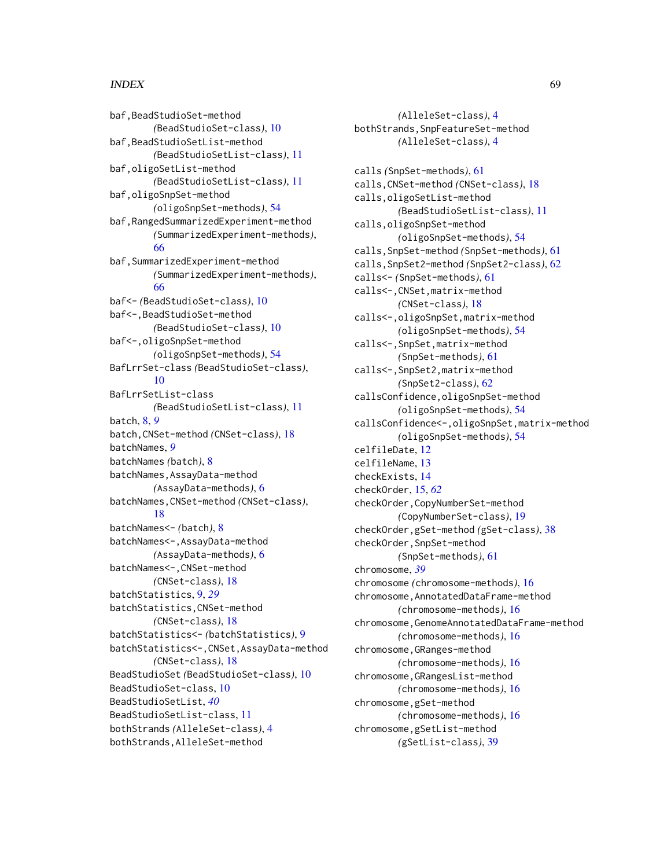#### INDEX  $\sim$  69

baf,BeadStudioSet-method *(*BeadStudioSet-class*)*, [10](#page-9-0) baf,BeadStudioSetList-method *(*BeadStudioSetList-class*)*, [11](#page-10-2) baf,oligoSetList-method *(*BeadStudioSetList-class*)*, [11](#page-10-2) baf,oligoSnpSet-method *(*oligoSnpSet-methods*)*, [54](#page-53-0) baf,RangedSummarizedExperiment-method *(*SummarizedExperiment-methods*)*, [66](#page-65-0) baf,SummarizedExperiment-method *(*SummarizedExperiment-methods*)*, [66](#page-65-0) baf<- *(*BeadStudioSet-class*)*, [10](#page-9-0) baf<-,BeadStudioSet-method *(*BeadStudioSet-class*)*, [10](#page-9-0) baf<-,oligoSnpSet-method *(*oligoSnpSet-methods*)*, [54](#page-53-0) BafLrrSet-class *(*BeadStudioSet-class*)*, [10](#page-9-0) BafLrrSetList-class *(*BeadStudioSetList-class*)*, [11](#page-10-2) batch, [8,](#page-7-0) *[9](#page-8-0)* batch,CNSet-method *(*CNSet-class*)*, [18](#page-17-0) batchNames, *[9](#page-8-0)* batchNames *(*batch*)*, [8](#page-7-0) batchNames,AssayData-method *(*AssayData-methods*)*, [6](#page-5-0) batchNames,CNSet-method *(*CNSet-class*)*, [18](#page-17-0) batchNames<- *(*batch*)*, [8](#page-7-0) batchNames<-,AssayData-method *(*AssayData-methods*)*, [6](#page-5-0) batchNames<-,CNSet-method *(*CNSet-class*)*, [18](#page-17-0) batchStatistics, [9,](#page-8-0) *[29](#page-28-0)* batchStatistics,CNSet-method *(*CNSet-class*)*, [18](#page-17-0) batchStatistics<- *(*batchStatistics*)*, [9](#page-8-0) batchStatistics<-,CNSet,AssayData-method *(*CNSet-class*)*, [18](#page-17-0) BeadStudioSet *(*BeadStudioSet-class*)*, [10](#page-9-0) BeadStudioSet-class, [10](#page-9-0) BeadStudioSetList, *[40](#page-39-2)* BeadStudioSetList-class, [11](#page-10-2) bothStrands *(*AlleleSet-class*)*, [4](#page-3-1) bothStrands,AlleleSet-method

*(*AlleleSet-class*)*, [4](#page-3-1) bothStrands,SnpFeatureSet-method *(*AlleleSet-class*)*, [4](#page-3-1) calls *(*SnpSet-methods*)*, [61](#page-60-1) calls,CNSet-method *(*CNSet-class*)*, [18](#page-17-0) calls,oligoSetList-method *(*BeadStudioSetList-class*)*, [11](#page-10-2) calls,oligoSnpSet-method *(*oligoSnpSet-methods*)*, [54](#page-53-0) calls,SnpSet-method *(*SnpSet-methods*)*, [61](#page-60-1) calls,SnpSet2-method *(*SnpSet2-class*)*, [62](#page-61-0) calls<- *(*SnpSet-methods*)*, [61](#page-60-1) calls<-,CNSet,matrix-method *(*CNSet-class*)*, [18](#page-17-0) calls<-,oligoSnpSet,matrix-method *(*oligoSnpSet-methods*)*, [54](#page-53-0) calls<-,SnpSet,matrix-method *(*SnpSet-methods*)*, [61](#page-60-1) calls<-,SnpSet2,matrix-method *(*SnpSet2-class*)*, [62](#page-61-0) callsConfidence,oligoSnpSet-method *(*oligoSnpSet-methods*)*, [54](#page-53-0) callsConfidence<-,oligoSnpSet,matrix-method *(*oligoSnpSet-methods*)*, [54](#page-53-0) celfileDate, [12](#page-11-0) celfileName, [13](#page-12-0) checkExists, [14](#page-13-0) checkOrder, [15,](#page-14-1) *[62](#page-61-0)* checkOrder,CopyNumberSet-method *(*CopyNumberSet-class*)*, [19](#page-18-0) checkOrder,gSet-method *(*gSet-class*)*, [38](#page-37-1) checkOrder,SnpSet-method *(*SnpSet-methods*)*, [61](#page-60-1) chromosome, *[39](#page-38-0)* chromosome *(*chromosome-methods*)*, [16](#page-15-1) chromosome,AnnotatedDataFrame-method *(*chromosome-methods*)*, [16](#page-15-1) chromosome,GenomeAnnotatedDataFrame-method *(*chromosome-methods*)*, [16](#page-15-1) chromosome,GRanges-method *(*chromosome-methods*)*, [16](#page-15-1) chromosome,GRangesList-method *(*chromosome-methods*)*, [16](#page-15-1) chromosome,gSet-method *(*chromosome-methods*)*, [16](#page-15-1) chromosome,gSetList-method *(*gSetList-class*)*, [39](#page-38-0)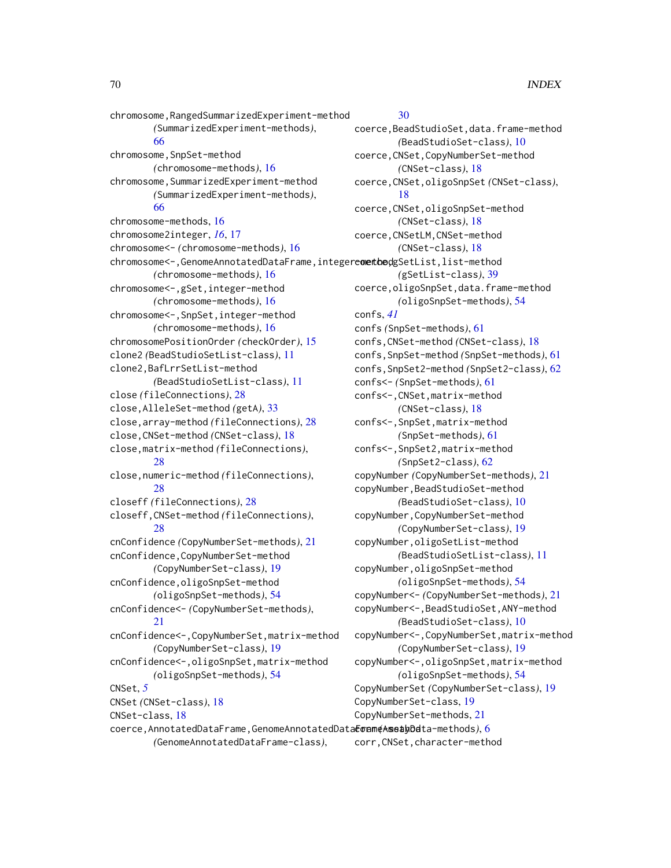chromosome,RangedSummarizedExperiment-method *(*SummarizedExperiment-methods*)*, [66](#page-65-0) chromosome, SnpSet-method *(*chromosome-methods*)*, [16](#page-15-1) chromosome,SummarizedExperiment-method *(*SummarizedExperiment-methods*)*, [66](#page-65-0) chromosome-methods, [16](#page-15-1) chromosome2integer, *[16](#page-15-1)*, [17](#page-16-0) chromosome<- *(*chromosome-methods*)*, [16](#page-15-1) chromosome<-,GenomeAnnotatedDataFrame,integerewetbedgSetList,list-method *(*chromosome-methods*)*, [16](#page-15-1) chromosome<-,gSet,integer-method *(*chromosome-methods*)*, [16](#page-15-1) chromosome<-,SnpSet,integer-method *(*chromosome-methods*)*, [16](#page-15-1) chromosomePositionOrder *(*checkOrder*)*, [15](#page-14-1) clone2 *(*BeadStudioSetList-class*)*, [11](#page-10-2) clone2,BafLrrSetList-method *(*BeadStudioSetList-class*)*, [11](#page-10-2) close *(*fileConnections*)*, [28](#page-27-0) close,AlleleSet-method *(*getA*)*, [33](#page-32-0) close,array-method *(*fileConnections*)*, [28](#page-27-0) close,CNSet-method *(*CNSet-class*)*, [18](#page-17-0) close,matrix-method *(*fileConnections*)*, [28](#page-27-0) close,numeric-method *(*fileConnections*)*, [28](#page-27-0) closeff *(*fileConnections*)*, [28](#page-27-0) closeff,CNSet-method *(*fileConnections*)*, [28](#page-27-0) cnConfidence *(*CopyNumberSet-methods*)*, [21](#page-20-0) cnConfidence,CopyNumberSet-method *(*CopyNumberSet-class*)*, [19](#page-18-0) cnConfidence,oligoSnpSet-method *(*oligoSnpSet-methods*)*, [54](#page-53-0) cnConfidence<- *(*CopyNumberSet-methods*)*, [21](#page-20-0) cnConfidence<-,CopyNumberSet,matrix-method *(*CopyNumberSet-class*)*, [19](#page-18-0) cnConfidence<-,oligoSnpSet,matrix-method *(*oligoSnpSet-methods*)*, [54](#page-53-0) CNSet, *[5](#page-4-0)* CNSet *(*CNSet-class*)*, [18](#page-17-0) CNSet-class, [18](#page-17-0) coerce,AnnotatedDataFrame,GenomeAnnotatedDataFrame-method corr *(*AssayData-methods*)*, [6](#page-5-0)

*(*GenomeAnnotatedDataFrame-class*)*,

#### [30](#page-29-1)

coerce,BeadStudioSet,data.frame-method *(*BeadStudioSet-class*)*, [10](#page-9-0) coerce,CNSet,CopyNumberSet-method *(*CNSet-class*)*, [18](#page-17-0) coerce,CNSet,oligoSnpSet *(*CNSet-class*)*, [18](#page-17-0) coerce,CNSet,oligoSnpSet-method *(*CNSet-class*)*, [18](#page-17-0) coerce,CNSetLM,CNSet-method *(*CNSet-class*)*, [18](#page-17-0) *(*gSetList-class*)*, [39](#page-38-0) coerce,oligoSnpSet,data.frame-method *(*oligoSnpSet-methods*)*, [54](#page-53-0) confs, *[41](#page-40-0)* confs *(*SnpSet-methods*)*, [61](#page-60-1) confs,CNSet-method *(*CNSet-class*)*, [18](#page-17-0) confs,SnpSet-method *(*SnpSet-methods*)*, [61](#page-60-1) confs,SnpSet2-method *(*SnpSet2-class*)*, [62](#page-61-0) confs<- *(*SnpSet-methods*)*, [61](#page-60-1) confs<-,CNSet,matrix-method *(*CNSet-class*)*, [18](#page-17-0) confs<-,SnpSet,matrix-method *(*SnpSet-methods*)*, [61](#page-60-1) confs<-,SnpSet2,matrix-method *(*SnpSet2-class*)*, [62](#page-61-0) copyNumber *(*CopyNumberSet-methods*)*, [21](#page-20-0) copyNumber,BeadStudioSet-method *(*BeadStudioSet-class*)*, [10](#page-9-0) copyNumber,CopyNumberSet-method *(*CopyNumberSet-class*)*, [19](#page-18-0) copyNumber,oligoSetList-method *(*BeadStudioSetList-class*)*, [11](#page-10-2) copyNumber,oligoSnpSet-method *(*oligoSnpSet-methods*)*, [54](#page-53-0) copyNumber<- *(*CopyNumberSet-methods*)*, [21](#page-20-0) copyNumber<-,BeadStudioSet,ANY-method *(*BeadStudioSet-class*)*, [10](#page-9-0) copyNumber<-,CopyNumberSet,matrix-method *(*CopyNumberSet-class*)*, [19](#page-18-0) copyNumber<-,oligoSnpSet,matrix-method *(*oligoSnpSet-methods*)*, [54](#page-53-0) CopyNumberSet *(*CopyNumberSet-class*)*, [19](#page-18-0) CopyNumberSet-class, [19](#page-18-0) CopyNumberSet-methods, [21](#page-20-0) corr,CNSet,character-method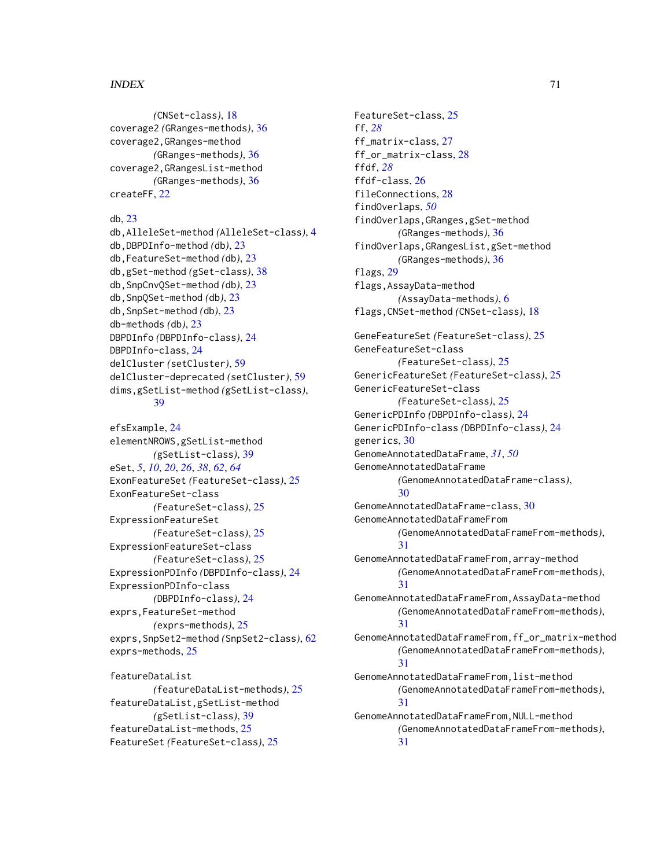#### $I<sub>N</sub>$  in  $I<sub>1</sub>$  is  $I<sub>2</sub>$  in  $I<sub>3</sub>$  in  $I<sub>4</sub>$  in  $I<sub>5</sub>$  in  $I<sub>6</sub>$  in  $I<sub>7</sub>$  in  $I<sub>8</sub>$  in  $I<sub>9</sub>$  in  $I<sub>9</sub>$  in  $I<sub>9</sub>$  in  $I<sub>9</sub>$  in  $I<sub>9</sub>$  in  $I<sub>9</sub>$  in  $I<sub>9</sub>$  i

*(*CNSet-class*)*, [18](#page-17-0) coverage2 *(*GRanges-methods*)*, [36](#page-35-0) coverage2,GRanges-method *(*GRanges-methods*)*, [36](#page-35-0) coverage2,GRangesList-method *(*GRanges-methods*)*, [36](#page-35-0) createFF, [22](#page-21-0)

#### db, [23](#page-22-0)

db,AlleleSet-method *(*AlleleSet-class*)*, [4](#page-3-1) db,DBPDInfo-method *(*db*)*, [23](#page-22-0) db,FeatureSet-method *(*db*)*, [23](#page-22-0) db,gSet-method *(*gSet-class*)*, [38](#page-37-1) db,SnpCnvQSet-method *(*db*)*, [23](#page-22-0) db,SnpQSet-method *(*db*)*, [23](#page-22-0) db,SnpSet-method *(*db*)*, [23](#page-22-0) db-methods *(*db*)*, [23](#page-22-0) DBPDInfo *(*DBPDInfo-class*)*, [24](#page-23-0) DBPDInfo-class, [24](#page-23-0) delCluster *(*setCluster*)*, [59](#page-58-0) delCluster-deprecated *(*setCluster*)*, [59](#page-58-0) dims,gSetList-method *(*gSetList-class*)*, [39](#page-38-0)

efsExample, [24](#page-23-0) elementNROWS,gSetList-method *(*gSetList-class*)*, [39](#page-38-0) eSet, *[5](#page-4-0)*, *[10](#page-9-0)*, *[20](#page-19-0)*, *[26](#page-25-0)*, *[38](#page-37-1)*, *[62](#page-61-0)*, *[64](#page-63-0)* ExonFeatureSet *(*FeatureSet-class*)*, [25](#page-24-0) ExonFeatureSet-class *(*FeatureSet-class*)*, [25](#page-24-0) ExpressionFeatureSet *(*FeatureSet-class*)*, [25](#page-24-0) ExpressionFeatureSet-class *(*FeatureSet-class*)*, [25](#page-24-0) ExpressionPDInfo *(*DBPDInfo-class*)*, [24](#page-23-0) ExpressionPDInfo-class *(*DBPDInfo-class*)*, [24](#page-23-0) exprs,FeatureSet-method *(*exprs-methods*)*, [25](#page-24-0) exprs,SnpSet2-method *(*SnpSet2-class*)*, [62](#page-61-0) exprs-methods, [25](#page-24-0)

featureDataList *(*featureDataList-methods*)*, [25](#page-24-0) featureDataList,gSetList-method *(*gSetList-class*)*, [39](#page-38-0) featureDataList-methods, [25](#page-24-0) FeatureSet *(*FeatureSet-class*)*, [25](#page-24-0)

FeatureSet-class, [25](#page-24-0) ff, *[28](#page-27-0)* ff\_matrix-class, [27](#page-26-0) ff\_or\_matrix-class, [28](#page-27-0) ffdf, *[28](#page-27-0)* ffdf-class, [26](#page-25-0) fileConnections, [28](#page-27-0) findOverlaps, *[50](#page-49-0)* findOverlaps,GRanges,gSet-method *(*GRanges-methods*)*, [36](#page-35-0) findOverlaps,GRangesList,gSet-method *(*GRanges-methods*)*, [36](#page-35-0) flags, [29](#page-28-0) flags,AssayData-method *(*AssayData-methods*)*, [6](#page-5-0) flags,CNSet-method *(*CNSet-class*)*, [18](#page-17-0) GeneFeatureSet *(*FeatureSet-class*)*, [25](#page-24-0) GeneFeatureSet-class *(*FeatureSet-class*)*, [25](#page-24-0) GenericFeatureSet *(*FeatureSet-class*)*, [25](#page-24-0) GenericFeatureSet-class *(*FeatureSet-class*)*, [25](#page-24-0) GenericPDInfo *(*DBPDInfo-class*)*, [24](#page-23-0) GenericPDInfo-class *(*DBPDInfo-class*)*, [24](#page-23-0) generics, [30](#page-29-1) GenomeAnnotatedDataFrame, *[31](#page-30-0)*, *[50](#page-49-0)* GenomeAnnotatedDataFrame *(*GenomeAnnotatedDataFrame-class*)*, [30](#page-29-1) GenomeAnnotatedDataFrame-class, [30](#page-29-1) GenomeAnnotatedDataFrameFrom *(*GenomeAnnotatedDataFrameFrom-methods*)*, [31](#page-30-0) GenomeAnnotatedDataFrameFrom,array-method *(*GenomeAnnotatedDataFrameFrom-methods*)*, [31](#page-30-0) GenomeAnnotatedDataFrameFrom,AssayData-method *(*GenomeAnnotatedDataFrameFrom-methods*)*, [31](#page-30-0) GenomeAnnotatedDataFrameFrom,ff\_or\_matrix-method *(*GenomeAnnotatedDataFrameFrom-methods*)*, [31](#page-30-0) GenomeAnnotatedDataFrameFrom,list-method *(*GenomeAnnotatedDataFrameFrom-methods*)*, [31](#page-30-0) GenomeAnnotatedDataFrameFrom,NULL-method *(*GenomeAnnotatedDataFrameFrom-methods*)*, [31](#page-30-0)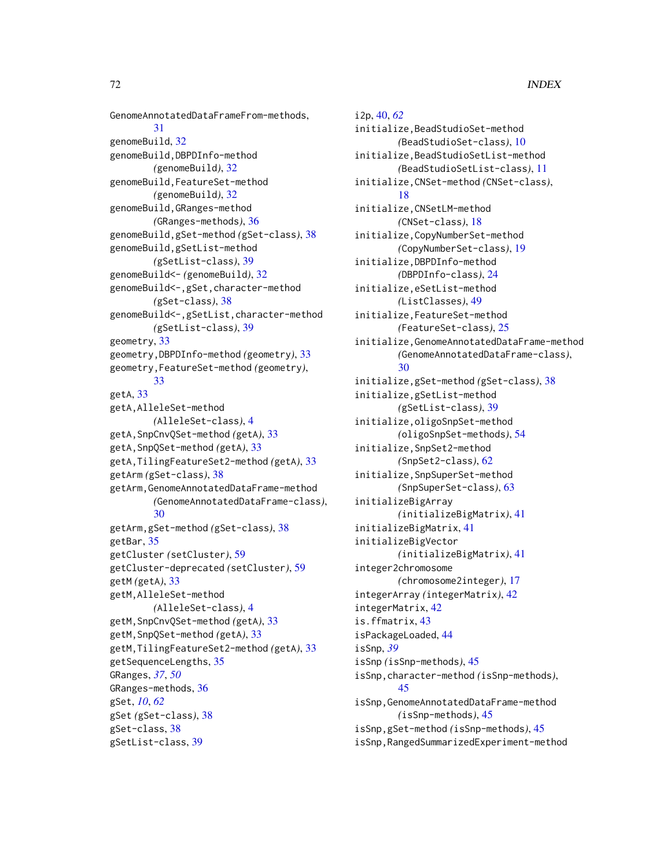GenomeAnnotatedDataFrameFrom-methods, [31](#page-30-0) genomeBuild, [32](#page-31-0) genomeBuild,DBPDInfo-method *(*genomeBuild*)*, [32](#page-31-0) genomeBuild,FeatureSet-method *(*genomeBuild*)*, [32](#page-31-0) genomeBuild,GRanges-method *(*GRanges-methods*)*, [36](#page-35-0) genomeBuild,gSet-method *(*gSet-class*)*, [38](#page-37-1) genomeBuild,gSetList-method *(*gSetList-class*)*, [39](#page-38-0) genomeBuild<- *(*genomeBuild*)*, [32](#page-31-0) genomeBuild<-,gSet,character-method *(*gSet-class*)*, [38](#page-37-1) genomeBuild<-,gSetList,character-method *(*gSetList-class*)*, [39](#page-38-0) geometry, [33](#page-32-0) geometry,DBPDInfo-method *(*geometry*)*, [33](#page-32-0) geometry,FeatureSet-method *(*geometry*)*, [33](#page-32-0) getA, [33](#page-32-0) getA,AlleleSet-method *(*AlleleSet-class*)*, [4](#page-3-1) getA,SnpCnvQSet-method *(*getA*)*, [33](#page-32-0) getA,SnpQSet-method *(*getA*)*, [33](#page-32-0) getA,TilingFeatureSet2-method *(*getA*)*, [33](#page-32-0) getArm *(*gSet-class*)*, [38](#page-37-1) getArm,GenomeAnnotatedDataFrame-method *(*GenomeAnnotatedDataFrame-class*)*, [30](#page-29-1) getArm,gSet-method *(*gSet-class*)*, [38](#page-37-1) getBar, [35](#page-34-0) getCluster *(*setCluster*)*, [59](#page-58-0) getCluster-deprecated *(*setCluster*)*, [59](#page-58-0) getM *(*getA*)*, [33](#page-32-0) getM,AlleleSet-method *(*AlleleSet-class*)*, [4](#page-3-1) getM,SnpCnvQSet-method *(*getA*)*, [33](#page-32-0) getM,SnpQSet-method *(*getA*)*, [33](#page-32-0) getM,TilingFeatureSet2-method *(*getA*)*, [33](#page-32-0) getSequenceLengths, [35](#page-34-0) GRanges, *[37](#page-36-0)*, *[50](#page-49-0)* GRanges-methods, [36](#page-35-0) gSet, *[10](#page-9-0)*, *[62](#page-61-0)* gSet *(*gSet-class*)*, [38](#page-37-1) gSet-class, [38](#page-37-1) gSetList-class, [39](#page-38-0)

i2p, [40,](#page-39-2) *[62](#page-61-0)* initialize,BeadStudioSet-method *(*BeadStudioSet-class*)*, [10](#page-9-0) initialize,BeadStudioSetList-method *(*BeadStudioSetList-class*)*, [11](#page-10-2) initialize,CNSet-method *(*CNSet-class*)*, [18](#page-17-0) initialize,CNSetLM-method *(*CNSet-class*)*, [18](#page-17-0) initialize,CopyNumberSet-method *(*CopyNumberSet-class*)*, [19](#page-18-0) initialize,DBPDInfo-method *(*DBPDInfo-class*)*, [24](#page-23-0) initialize,eSetList-method *(*ListClasses*)*, [49](#page-48-1) initialize,FeatureSet-method *(*FeatureSet-class*)*, [25](#page-24-0) initialize,GenomeAnnotatedDataFrame-method *(*GenomeAnnotatedDataFrame-class*)*, [30](#page-29-1) initialize,gSet-method *(*gSet-class*)*, [38](#page-37-1) initialize,gSetList-method *(*gSetList-class*)*, [39](#page-38-0) initialize,oligoSnpSet-method *(*oligoSnpSet-methods*)*, [54](#page-53-0) initialize,SnpSet2-method *(*SnpSet2-class*)*, [62](#page-61-0) initialize,SnpSuperSet-method *(*SnpSuperSet-class*)*, [63](#page-62-0) initializeBigArray *(*initializeBigMatrix*)*, [41](#page-40-0) initializeBigMatrix, [41](#page-40-0) initializeBigVector *(*initializeBigMatrix*)*, [41](#page-40-0) integer2chromosome *(*chromosome2integer*)*, [17](#page-16-0) integerArray *(*integerMatrix*)*, [42](#page-41-0) integerMatrix, [42](#page-41-0) is.ffmatrix, [43](#page-42-0) isPackageLoaded, [44](#page-43-0) isSnp, *[39](#page-38-0)* isSnp *(*isSnp-methods*)*, [45](#page-44-1) isSnp,character-method *(*isSnp-methods*)*, [45](#page-44-1) isSnp,GenomeAnnotatedDataFrame-method *(*isSnp-methods*)*, [45](#page-44-1) isSnp,gSet-method *(*isSnp-methods*)*, [45](#page-44-1) isSnp,RangedSummarizedExperiment-method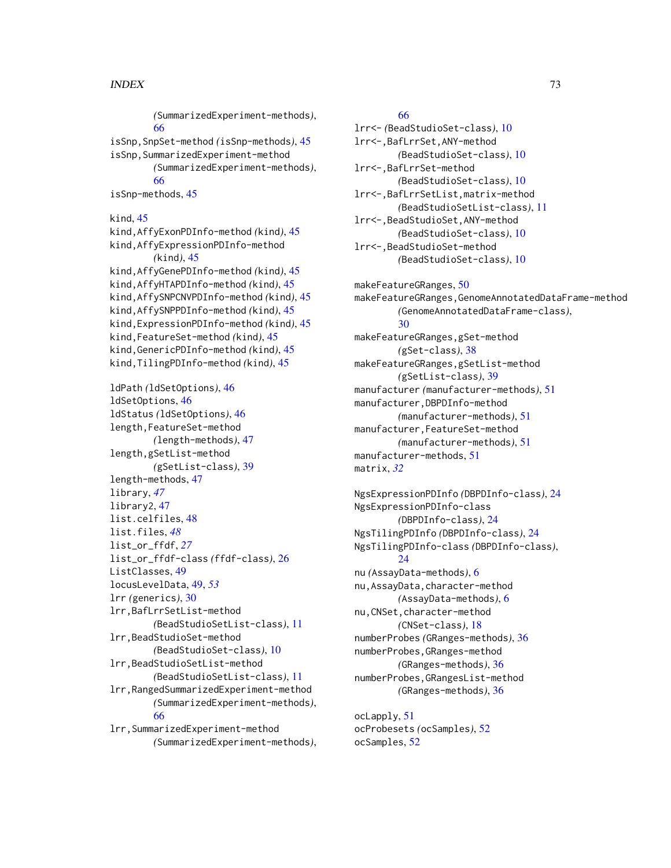## $I<sub>N</sub>$   $I<sub>3</sub>$   $I<sub>3</sub>$   $I<sub>4</sub>$   $I<sub>5</sub>$   $I<sub>6</sub>$   $I<sub>7</sub>$   $I<sub>8</sub>$   $I<sub>9</sub>$   $I<sub>9</sub>$   $I<sub>9</sub>$   $I<sub>9</sub>$   $I<sub>9</sub>$   $I<sub>9</sub>$   $I<sub>9</sub>$   $I<sub>9</sub>$   $I<sub>9</sub>$   $I<sub>9</sub>$   $I<sub>9</sub>$   $I<sub>9</sub>$   $I$

*(*SummarizedExperiment-methods*)*, [66](#page-65-0) isSnp,SnpSet-method *(*isSnp-methods*)*, [45](#page-44-0) isSnp,SummarizedExperiment-method *(*SummarizedExperiment-methods*)*, [66](#page-65-0) isSnp-methods, [45](#page-44-0) kind, [45](#page-44-0) kind,AffyExonPDInfo-method *(*kind*)*, [45](#page-44-0) kind,AffyExpressionPDInfo-method *(*kind*)*, [45](#page-44-0) kind,AffyGenePDInfo-method *(*kind*)*, [45](#page-44-0) kind,AffyHTAPDInfo-method *(*kind*)*, [45](#page-44-0) kind,AffySNPCNVPDInfo-method *(*kind*)*, [45](#page-44-0) kind,AffySNPPDInfo-method *(*kind*)*, [45](#page-44-0) kind,ExpressionPDInfo-method *(*kind*)*, [45](#page-44-0) kind,FeatureSet-method *(*kind*)*, [45](#page-44-0) kind,GenericPDInfo-method *(*kind*)*, [45](#page-44-0) kind,TilingPDInfo-method *(*kind*)*, [45](#page-44-0) ldPath *(*ldSetOptions*)*, [46](#page-45-0) ldSetOptions, [46](#page-45-0) ldStatus *(*ldSetOptions*)*, [46](#page-45-0) length,FeatureSet-method *(*length-methods*)*, [47](#page-46-0) length,gSetList-method *(*gSetList-class*)*, [39](#page-38-0) length-methods, [47](#page-46-0) library, *[47](#page-46-0)* library2, [47](#page-46-0) list.celfiles, [48](#page-47-0) list.files, *[48](#page-47-0)* list\_or\_ffdf, *[27](#page-26-0)* list\_or\_ffdf-class *(*ffdf-class*)*, [26](#page-25-0) ListClasses, [49](#page-48-0) locusLevelData, [49,](#page-48-0) *[53](#page-52-0)* lrr *(*generics*)*, [30](#page-29-0) lrr,BafLrrSetList-method *(*BeadStudioSetList-class*)*, [11](#page-10-0) lrr,BeadStudioSet-method *(*BeadStudioSet-class*)*, [10](#page-9-0) lrr,BeadStudioSetList-method *(*BeadStudioSetList-class*)*, [11](#page-10-0) lrr,RangedSummarizedExperiment-method *(*SummarizedExperiment-methods*)*, [66](#page-65-0) lrr,SummarizedExperiment-method *(*SummarizedExperiment-methods*)*,

## [66](#page-65-0)

lrr<- *(*BeadStudioSet-class*)*, [10](#page-9-0) lrr<-,BafLrrSet,ANY-method *(*BeadStudioSet-class*)*, [10](#page-9-0) lrr<-,BafLrrSet-method *(*BeadStudioSet-class*)*, [10](#page-9-0) lrr<-,BafLrrSetList,matrix-method *(*BeadStudioSetList-class*)*, [11](#page-10-0) lrr<-,BeadStudioSet,ANY-method *(*BeadStudioSet-class*)*, [10](#page-9-0) lrr<-,BeadStudioSet-method *(*BeadStudioSet-class*)*, [10](#page-9-0)

makeFeatureGRanges, [50](#page-49-0) makeFeatureGRanges,GenomeAnnotatedDataFrame-method *(*GenomeAnnotatedDataFrame-class*)*, [30](#page-29-0) makeFeatureGRanges,gSet-method *(*gSet-class*)*, [38](#page-37-0) makeFeatureGRanges,gSetList-method *(*gSetList-class*)*, [39](#page-38-0) manufacturer *(*manufacturer-methods*)*, [51](#page-50-0) manufacturer,DBPDInfo-method *(*manufacturer-methods*)*, [51](#page-50-0) manufacturer,FeatureSet-method *(*manufacturer-methods*)*, [51](#page-50-0) manufacturer-methods, [51](#page-50-0) matrix, *[32](#page-31-0)*

```
NgsExpressionPDInfo (DBPDInfo-class), 24
NgsExpressionPDInfo-class
        (DBPDInfo-class), 24
NgsTilingPDInfo (DBPDInfo-class), 24
NgsTilingPDInfo-class (DBPDInfo-class),
        24
nu (AssayData-methods), 6
nu,AssayData,character-method
        (AssayData-methods), 6
nu,CNSet,character-method
        (CNSet-class), 18
numberProbes (GRanges-methods), 36
numberProbes,GRanges-method
        (GRanges-methods), 36
numberProbes,GRangesList-method
        (GRanges-methods), 36
```
ocLapply, [51](#page-50-0) ocProbesets *(*ocSamples*)*, [52](#page-51-0) ocSamples, [52](#page-51-0)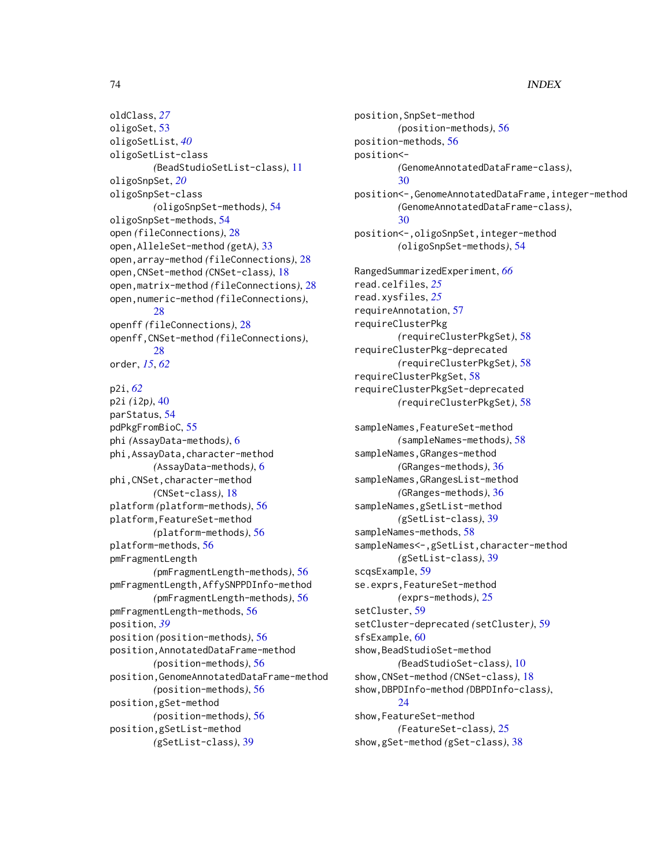## 74 INDEX

oldClass, *[27](#page-26-0)* oligoSet, [53](#page-52-0) oligoSetList, *[40](#page-39-0)* oligoSetList-class *(*BeadStudioSetList-class*)*, [11](#page-10-0) oligoSnpSet, *[20](#page-19-0)* oligoSnpSet-class *(*oligoSnpSet-methods*)*, [54](#page-53-0) oligoSnpSet-methods, [54](#page-53-0) open *(*fileConnections*)*, [28](#page-27-0) open,AlleleSet-method *(*getA*)*, [33](#page-32-0) open,array-method *(*fileConnections*)*, [28](#page-27-0) open,CNSet-method *(*CNSet-class*)*, [18](#page-17-0) open,matrix-method *(*fileConnections*)*, [28](#page-27-0) open,numeric-method *(*fileConnections*)*, [28](#page-27-0) openff *(*fileConnections*)*, [28](#page-27-0) openff,CNSet-method *(*fileConnections*)*, [28](#page-27-0) order, *[15](#page-14-0)*, *[62](#page-61-0)* p2i, *[62](#page-61-0)* p2i *(*i2p*)*, [40](#page-39-0) parStatus, [54](#page-53-0) pdPkgFromBioC, [55](#page-54-0) phi *(*AssayData-methods*)*, [6](#page-5-0) phi,AssayData,character-method *(*AssayData-methods*)*, [6](#page-5-0) phi,CNSet,character-method *(*CNSet-class*)*, [18](#page-17-0) platform *(*platform-methods*)*, [56](#page-55-0) platform,FeatureSet-method *(*platform-methods*)*, [56](#page-55-0) platform-methods, [56](#page-55-0) pmFragmentLength *(*pmFragmentLength-methods*)*, [56](#page-55-0) pmFragmentLength,AffySNPPDInfo-method *(*pmFragmentLength-methods*)*, [56](#page-55-0) pmFragmentLength-methods, [56](#page-55-0) position, *[39](#page-38-0)* position *(*position-methods*)*, [56](#page-55-0) position,AnnotatedDataFrame-method *(*position-methods*)*, [56](#page-55-0) position,GenomeAnnotatedDataFrame-method *(*position-methods*)*, [56](#page-55-0) position,gSet-method *(*position-methods*)*, [56](#page-55-0) position,gSetList-method

*(*gSetList-class*)*, [39](#page-38-0)

position,SnpSet-method *(*position-methods*)*, [56](#page-55-0) position-methods, [56](#page-55-0) position<- *(*GenomeAnnotatedDataFrame-class*)*, [30](#page-29-0) position<-,GenomeAnnotatedDataFrame,integer-method *(*GenomeAnnotatedDataFrame-class*)*, [30](#page-29-0) position<-,oligoSnpSet,integer-method *(*oligoSnpSet-methods*)*, [54](#page-53-0) RangedSummarizedExperiment, *[66](#page-65-0)* read.celfiles, *[25](#page-24-0)* read.xysfiles, *[25](#page-24-0)* requireAnnotation, [57](#page-56-0) requireClusterPkg *(*requireClusterPkgSet*)*, [58](#page-57-0) requireClusterPkg-deprecated *(*requireClusterPkgSet*)*, [58](#page-57-0) requireClusterPkgSet, [58](#page-57-0) requireClusterPkgSet-deprecated *(*requireClusterPkgSet*)*, [58](#page-57-0) sampleNames,FeatureSet-method *(*sampleNames-methods*)*, [58](#page-57-0) sampleNames,GRanges-method *(*GRanges-methods*)*, [36](#page-35-0) sampleNames,GRangesList-method *(*GRanges-methods*)*, [36](#page-35-0) sampleNames,gSetList-method *(*gSetList-class*)*, [39](#page-38-0) sampleNames-methods, [58](#page-57-0) sampleNames<-,gSetList,character-method *(*gSetList-class*)*, [39](#page-38-0) scqsExample, [59](#page-58-0) se.exprs,FeatureSet-method *(*exprs-methods*)*, [25](#page-24-0) setCluster, [59](#page-58-0) setCluster-deprecated *(*setCluster*)*, [59](#page-58-0) sfsExample, [60](#page-59-0) show,BeadStudioSet-method *(*BeadStudioSet-class*)*, [10](#page-9-0) show,CNSet-method *(*CNSet-class*)*, [18](#page-17-0) show,DBPDInfo-method *(*DBPDInfo-class*)*, [24](#page-23-0) show,FeatureSet-method *(*FeatureSet-class*)*, [25](#page-24-0) show,gSet-method *(*gSet-class*)*, [38](#page-37-0)